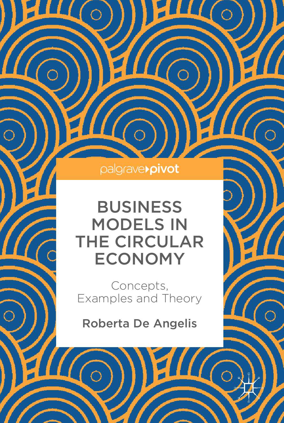palgraverpivot

 $\sqrt{\circ}$ 

Щ

 $\frac{1}{\sqrt{2}}$ 

 $\overline{O}$ 

Щ

 $\it II$ l

# BUSINESS MODELS IN THE CIRCULAR ECONOMY

Concepts, Examples and Theory

Roberta De Angelis

 $\frac{1}{\sqrt{2}}$ 

 $\frac{1}{\sqrt{2}}$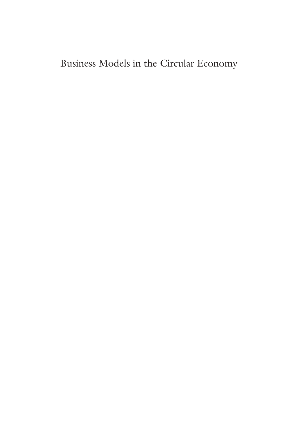# Business Models in the Circular Economy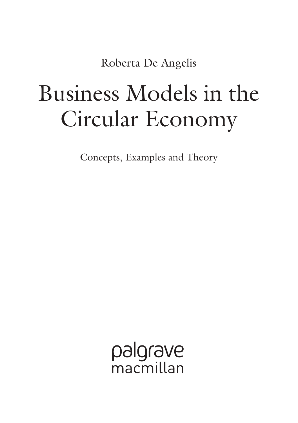Roberta De Angelis

# Business Models in the Circular Economy

Concepts, Examples and Theory

palgrave macmillan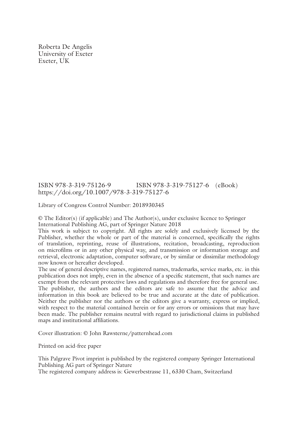Roberta De Angelis University of Exeter Exeter, UK

#### ISBN 978-3-319-75126-9 ISBN 978-3-319-75127-6 (eBook) https://doi.org/10.1007/978-3-319-75127-6

Library of Congress Control Number: 2018930345

 $\odot$  The Editor(s) (if applicable) and The Author(s), under exclusive licence to Springer International Publishing AG, part of Springer Nature 2018

This work is subject to copyright. All rights are solely and exclusively licensed by the Publisher, whether the whole or part of the material is concerned, specifcally the rights of translation, reprinting, reuse of illustrations, recitation, broadcasting, reproduction on microflms or in any other physical way, and transmission or information storage and retrieval, electronic adaptation, computer software, or by similar or dissimilar methodology now known or hereafter developed.

The use of general descriptive names, registered names, trademarks, service marks, etc. in this publication does not imply, even in the absence of a specifc statement, that such names are exempt from the relevant protective laws and regulations and therefore free for general use. The publisher, the authors and the editors are safe to assume that the advice and information in this book are believed to be true and accurate at the date of publication. Neither the publisher nor the authors or the editors give a warranty, express or implied, with respect to the material contained herein or for any errors or omissions that may have been made. The publisher remains neutral with regard to jurisdictional claims in published maps and institutional affliations.

Cover illustration: © John Rawsterne/patternhead.com

Printed on acid-free paper

This Palgrave Pivot imprint is published by the registered company Springer International Publishing AG part of Springer Nature The registered company address is: Gewerbestrasse 11, 6330 Cham, Switzerland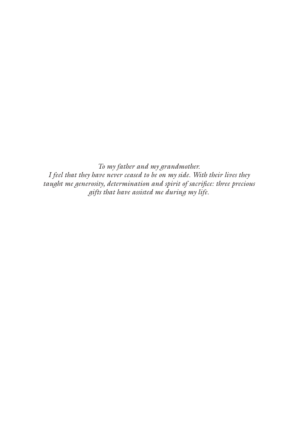*To my father and my grandmother. I feel that they have never ceased to be on my side. With their lives they taught me generosity, determination and spirit of sacrifce: three precious gifts that have assisted me during my life.*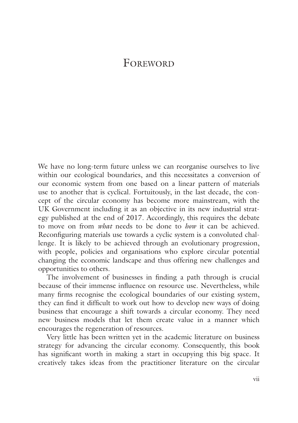### **FOREWORD**

We have no long-term future unless we can reorganise ourselves to live within our ecological boundaries, and this necessitates a conversion of our economic system from one based on a linear pattern of materials use to another that is cyclical. Fortuitously, in the last decade, the concept of the circular economy has become more mainstream, with the UK Government including it as an objective in its new industrial strategy published at the end of 2017. Accordingly, this requires the debate to move on from *what* needs to be done to *how* it can be achieved. Reconfguring materials use towards a cyclic system is a convoluted challenge. It is likely to be achieved through an evolutionary progression, with people, policies and organisations who explore circular potential changing the economic landscape and thus offering new challenges and opportunities to others.

The involvement of businesses in fnding a path through is crucial because of their immense infuence on resource use. Nevertheless, while many frms recognise the ecological boundaries of our existing system, they can fnd it diffcult to work out how to develop new ways of doing business that encourage a shift towards a circular economy. They need new business models that let them create value in a manner which encourages the regeneration of resources.

Very little has been written yet in the academic literature on business strategy for advancing the circular economy. Consequently, this book has signifcant worth in making a start in occupying this big space. It creatively takes ideas from the practitioner literature on the circular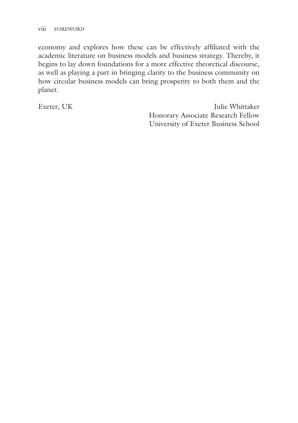economy and explores how these can be effectively affliated with the academic literature on business models and business strategy. Thereby, it begins to lay down foundations for a more effective theoretical discourse, as well as playing a part in bringing clarity to the business community on how circular business models can bring prosperity to both them and the planet.

Exeter, UK Julie Whittaker Honorary Associate Research Fellow University of Exeter Business School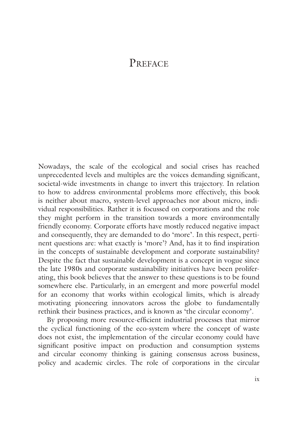### **PREFACE**

Nowadays, the scale of the ecological and social crises has reached unprecedented levels and multiples are the voices demanding signifcant, societal-wide investments in change to invert this trajectory. In relation to how to address environmental problems more effectively, this book is neither about macro, system-level approaches nor about micro, individual responsibilities. Rather it is focussed on corporations and the role they might perform in the transition towards a more environmentally friendly economy. Corporate efforts have mostly reduced negative impact and consequently, they are demanded to do 'more'. In this respect, pertinent questions are: what exactly is 'more'? And, has it to fnd inspiration in the concepts of sustainable development and corporate sustainability? Despite the fact that sustainable development is a concept in vogue since the late 1980s and corporate sustainability initiatives have been proliferating, this book believes that the answer to these questions is to be found somewhere else. Particularly, in an emergent and more powerful model for an economy that works within ecological limits, which is already motivating pioneering innovators across the globe to fundamentally rethink their business practices, and is known as 'the circular economy'.

By proposing more resource-efficient industrial processes that mirror the cyclical functioning of the eco-system where the concept of waste does not exist, the implementation of the circular economy could have signifcant positive impact on production and consumption systems and circular economy thinking is gaining consensus across business, policy and academic circles. The role of corporations in the circular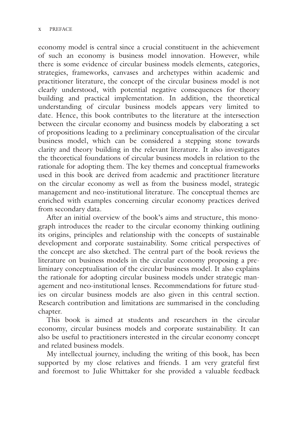economy model is central since a crucial constituent in the achievement of such an economy is business model innovation. However, while there is some evidence of circular business models elements, categories, strategies, frameworks, canvases and archetypes within academic and practitioner literature, the concept of the circular business model is not clearly understood, with potential negative consequences for theory building and practical implementation. In addition, the theoretical understanding of circular business models appears very limited to date. Hence, this book contributes to the literature at the intersection between the circular economy and business models by elaborating a set of propositions leading to a preliminary conceptualisation of the circular business model, which can be considered a stepping stone towards clarity and theory building in the relevant literature. It also investigates the theoretical foundations of circular business models in relation to the rationale for adopting them. The key themes and conceptual frameworks used in this book are derived from academic and practitioner literature on the circular economy as well as from the business model, strategic management and neo-institutional literature. The conceptual themes are enriched with examples concerning circular economy practices derived from secondary data.

After an initial overview of the book's aims and structure, this monograph introduces the reader to the circular economy thinking outlining its origins, principles and relationship with the concepts of sustainable development and corporate sustainability. Some critical perspectives of the concept are also sketched. The central part of the book reviews the literature on business models in the circular economy proposing a preliminary conceptualisation of the circular business model. It also explains the rationale for adopting circular business models under strategic management and neo-institutional lenses. Recommendations for future studies on circular business models are also given in this central section. Research contribution and limitations are summarised in the concluding chapter.

This book is aimed at students and researchers in the circular economy, circular business models and corporate sustainability. It can also be useful to practitioners interested in the circular economy concept and related business models.

My intellectual journey, including the writing of this book, has been supported by my close relatives and friends. I am very grateful first and foremost to Julie Whittaker for she provided a valuable feedback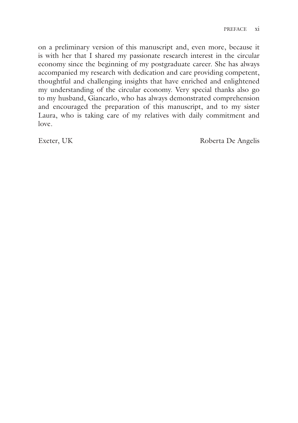on a preliminary version of this manuscript and, even more, because it is with her that I shared my passionate research interest in the circular economy since the beginning of my postgraduate career. She has always accompanied my research with dedication and care providing competent, thoughtful and challenging insights that have enriched and enlightened my understanding of the circular economy. Very special thanks also go to my husband, Giancarlo, who has always demonstrated comprehension and encouraged the preparation of this manuscript, and to my sister Laura, who is taking care of my relatives with daily commitment and love.

Exeter, UK Roberta De Angelis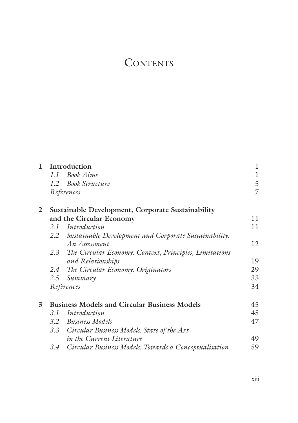### **CONTENTS**

| L | Introduction                                        |                                                            | 1  |  |
|---|-----------------------------------------------------|------------------------------------------------------------|----|--|
|   |                                                     | 1.1 Book Aims                                              | 1  |  |
|   |                                                     | 1.2 Book Structure                                         | 5  |  |
|   | References                                          |                                                            |    |  |
| 2 | Sustainable Development, Corporate Sustainability   |                                                            |    |  |
|   |                                                     | and the Circular Economy                                   | 11 |  |
|   | 2.1                                                 | Introduction                                               | 11 |  |
|   | 2.2                                                 | Sustainable Development and Corporate Sustainability:      |    |  |
|   |                                                     | An Assessment                                              | 12 |  |
|   |                                                     | 2.3 The Circular Economy: Context, Principles, Limitations |    |  |
|   |                                                     | and Relationships                                          | 19 |  |
|   | 2.4                                                 | The Circular Economy: Originators                          | 29 |  |
|   | 2.5                                                 | Summary                                                    | 33 |  |
|   | References                                          |                                                            | 34 |  |
| 3 | <b>Business Models and Circular Business Models</b> |                                                            | 45 |  |
|   | 3.1                                                 | Introduction                                               | 45 |  |
|   |                                                     | 3.2 Business Models                                        | 47 |  |
|   |                                                     | 3.3 Circular Business Models: State of the Art             |    |  |
|   |                                                     | in the Current Literature                                  | 49 |  |
|   | 3.4                                                 | Circular Business Models: Towards a Conceptualisation      | 59 |  |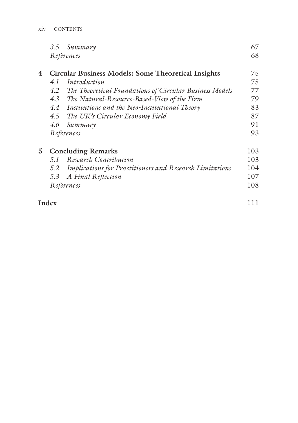|    |                           | 3.5 Summary                                                    | 67  |
|----|---------------------------|----------------------------------------------------------------|-----|
|    |                           | References                                                     | 68  |
| 4  |                           | Circular Business Models: Some Theoretical Insights            | 75  |
|    | 4. I                      | Introduction                                                   | 75  |
|    | 4.2                       | The Theoretical Foundations of Circular Business Models        | 77  |
|    |                           | 4.3 The Natural-Resource-Based-View of the Firm                | 79  |
|    |                           | 4.4 Institutions and the Neo-Institutional Theory              | 83  |
|    | 4.5                       | The UK's Circular Economy Field                                | 87  |
|    | 4.6                       | Summary                                                        | 91  |
|    | References                |                                                                | 93  |
| 5. | <b>Concluding Remarks</b> |                                                                | 103 |
|    | 5. I                      | Research Contribution                                          | 103 |
|    | 5.2                       | <b>Implications for Practitioners and Research Limitations</b> | 104 |
|    | 5.3                       | A Final Reflection                                             | 107 |
|    |                           | References                                                     | 108 |
|    | Index                     |                                                                | 111 |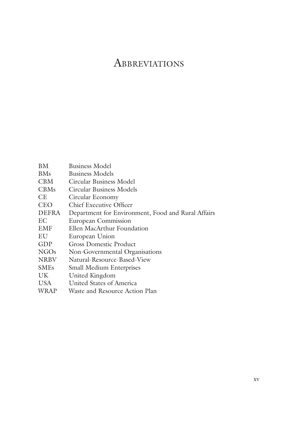### **ABBREVIATIONS**

| BМ               | <b>Business Model</b>                              |
|------------------|----------------------------------------------------|
| <b>BMs</b>       | <b>Business Models</b>                             |
| CBM              | Circular Business Model                            |
| <b>CBMs</b>      | Circular Business Models                           |
| CЕ               | Circular Economy                                   |
| <b>CEO</b>       | Chief Executive Officer                            |
| <b>DEFRA</b>     | Department for Environment, Food and Rural Affairs |
| EС               | European Commission                                |
| EMF              | Ellen MacArthur Foundation                         |
| EU               | European Union                                     |
| GDP              | Gross Domestic Product                             |
| NGO <sub>s</sub> | Non-Governmental Organisations                     |
| <b>NRBV</b>      | Natural-Resource-Based-View                        |
| <b>SMEs</b>      | <b>Small Medium Enterprises</b>                    |
| UK               | United Kingdom                                     |
| USA              | United States of America                           |
| WRAP             | Waste and Resource Action Plan                     |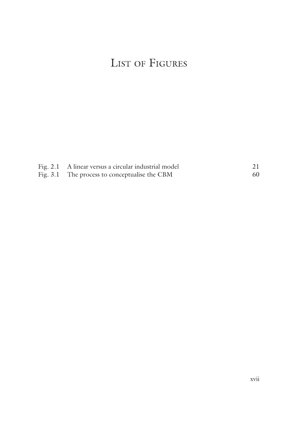# LIST OF FIGURES

| Fig. 2.1 A linear versus a circular industrial model |    |
|------------------------------------------------------|----|
| Fig. 3.1 The process to conceptualise the CBM        | 60 |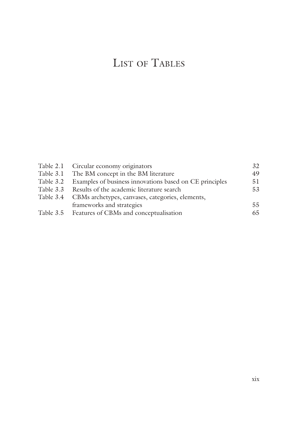# List of Tables

| Table 2.1 Circular economy originators                            | 32 |
|-------------------------------------------------------------------|----|
| Table 3.1 The BM concept in the BM literature                     | 49 |
| Table 3.2 Examples of business innovations based on CE principles | 51 |
| Table 3.3 Results of the academic literature search               | 53 |
| Table 3.4 CBMs archetypes, canvases, categories, elements,        |    |
| frameworks and strategies                                         | 55 |
| Table 3.5 Features of CBMs and conceptualisation                  | 65 |
|                                                                   |    |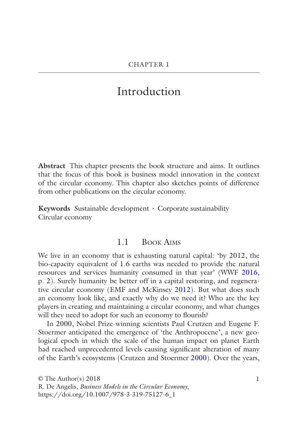### <span id="page-15-0"></span>Introduction

**Abstract** This chapter presents the book structure and aims. It outlines that the focus of this book is business model innovation in the context of the circular economy. This chapter also sketches points of difference from other publications on the circular economy.

**Keywords** Sustainable development · Corporate sustainability Circular economy

#### 1.1 Book Aims

We live in an economy that is exhausting natural capital: 'by 2012, the bio-capacity equivalent of 1.6 earths was needed to provide the natural resources and services humanity consumed in that year' (WWF [2016,](#page-24-0) p. 2). Surely humanity be better off in a capital restoring, and regenerative circular economy (EMF and McKinsey [2012\)](#page-21-1). But what does such an economy look like, and exactly why do we need it? Who are the key players in creating and maintaining a circular economy, and what changes will they need to adopt for such an economy to flourish?

In 2000, Nobel Prize-winning scientists Paul Crutzen and Eugene F. Stoermer anticipated the emergence of 'the Anthropocene', a new geological epoch in which the scale of the human impact on planet Earth had reached unprecedented levels causing signifcant alteration of many of the Earth's ecosystems (Crutzen and Stoermer [2000](#page-21-2)). Over the years,

© The Author(s) 2018 R. De Angelis, *Business Models in the Circular Economy*, https://doi.org/10.1007/978-3-319-75127-6\_1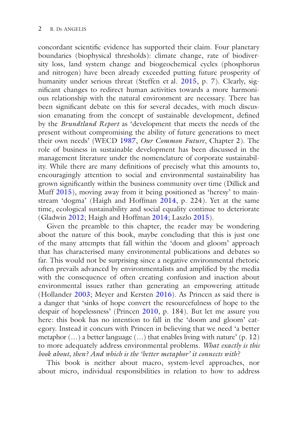concordant scientifc evidence has supported their claim. Four planetary boundaries (biophysical thresholds): climate change, rate of biodiversity loss, land system change and biogeochemical cycles (phosphorus and nitrogen) have been already exceeded putting future prosperity of humanity under serious threat (Steffen et al. [2015](#page-24-1), p. 7). Clearly, signifcant changes to redirect human activities towards a more harmonious relationship with the natural environment are necessary. There has been signifcant debate on this for several decades, with much discussion emanating from the concept of sustainable development, defned by the *Brundtland Report* as 'development that meets the needs of the present without compromising the ability of future generations to meet their own needs' (WECD [1987](#page-24-2), *Our Common Future*, Chapter 2). The role of business in sustainable development has been discussed in the management literature under the nomenclature of corporate sustainability. While there are many defnitions of precisely what this amounts to, encouragingly attention to social and environmental sustainability has grown signifcantly within the business community over time (Dillick and Muff [2015](#page-21-3)), moving away from it being positioned as 'heresy' to mainstream 'dogma' (Haigh and Hoffman [2014,](#page-22-0) p. 224). Yet at the same time, ecological sustainability and social equality continue to deteriorate (Gladwin [2012;](#page-22-1) Haigh and Hoffman [2014;](#page-22-0) Laszlo [2015\)](#page-23-0).

Given the preamble to this chapter, the reader may be wondering about the nature of this book, maybe concluding that this is just one of the many attempts that fall within the 'doom and gloom' approach that has characterised many environmental publications and debates so far. This would not be surprising since a negative environmental rhetoric often prevails advanced by environmentalists and amplifed by the media with the consequence of often creating confusion and inaction about environmental issues rather than generating an empowering attitude (Hollander [2003](#page-23-1); Meyer and Kersten [2016\)](#page-23-2). As Princen as said there is a danger that 'sinks of hope convert the resourcefulness of hope to the despair of hopelessness' (Princen [2010,](#page-23-3) p. 184). But let me assure you here: this book has no intention to fall in the 'doom and gloom' category. Instead it concurs with Princen in believing that we need 'a better metaphor  $(...)$  a better language  $(...)$  that enables living with nature'  $(p. 12)$ to more adequately address environmental problems. *What exactly is this book about, then? And which is the 'better metaphor' it connects with?*

This book is neither about macro, system-level approaches, nor about micro, individual responsibilities in relation to how to address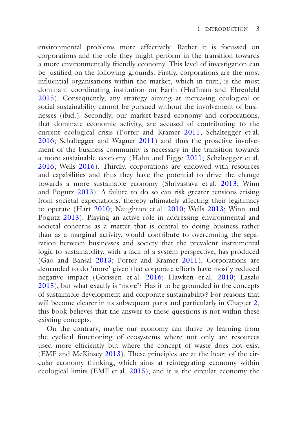environmental problems more effectively. Rather it is focussed on corporations and the role they might perform in the transition towards a more environmentally friendly economy. This level of investigation can be justifed on the following grounds. Firstly, corporations are the most infuential organisations within the market, which in turn, is the most dominant coordinating institution on Earth (Hoffman and Ehrenfeld [2015](#page-22-2)). Consequently, any strategy aiming at increasing ecological or social sustainability cannot be pursued without the involvement of businesses (ibid.). Secondly, our market-based economy and corporations, that dominate economic activity, are accused of contributing to the current ecological crisis (Porter and Kramer [2011;](#page-23-4) Schaltegger et al. [2016](#page-24-3); Schaltegger and Wagner [2011\)](#page-23-5) and thus the proactive involvement of the business community is necessary in the transition towards a more sustainable economy (Hahn and Figge [2011;](#page-22-3) Schaltegger et al. [2016](#page-24-3); Wells [2016](#page-24-4)). Thirdly, corporations are endowed with resources and capabilities and thus they have the potential to drive the change towards a more sustainable economy (Shrivastava et al. [2013;](#page-24-5) Winn and Pogutz [2013](#page-24-6)). A failure to do so can risk greater tensions arising from societal expectations, thereby ultimately affecting their legitimacy to operate (Hart [2010;](#page-22-4) Naughton et al. [2010](#page-23-6); Wells [2013;](#page-24-7) Winn and Pogutz [2013\)](#page-24-6). Playing an active role in addressing environmental and societal concerns as a matter that is central to doing business rather than as a marginal activity, would contribute to overcoming the separation between businesses and society that the prevalent instrumental logic to sustainability, with a lack of a system perspective, has produced (Gao and Bansal [2013](#page-22-5); Porter and Kramer [2011\)](#page-23-4). Corporations are demanded to do 'more' given that corporate efforts have mostly reduced negative impact (Gorissen et al. [2016;](#page-22-6) Hawken et al. [2010;](#page-22-7) Laszlo [2015](#page-23-0)), but what exactly is 'more'? Has it to be grounded in the concepts of sustainable development and corporate sustainability? For reasons that will become clearer in its subsequent parts and particularly in Chapter [2,](http://dx.doi.org/10.1007/978-3-319-75127-6_2) this book believes that the answer to these questions is not within these existing concepts.

On the contrary, maybe our economy can thrive by learning from the cyclical functioning of ecosystems where not only are resources used more efficiently but where the concept of waste does not exist (EMF and McKinsey [2013](#page-21-4)). These principles are at the heart of the circular economy thinking, which aims at reintegrating economy within ecological limits (EMF et al. [2015\)](#page-21-5), and it is the circular economy the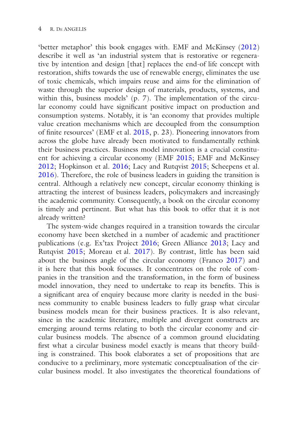'better metaphor' this book engages with. EMF and McKinsey [\(2012\)](#page-21-1) describe it well as 'an industrial system that is restorative or regenerative by intention and design [that] replaces the end-of life concept with restoration, shifts towards the use of renewable energy, eliminates the use of toxic chemicals, which impairs reuse and aims for the elimination of waste through the superior design of materials, products, systems, and within this, business models' (p. 7). The implementation of the circular economy could have signifcant positive impact on production and consumption systems. Notably, it is 'an economy that provides multiple value creation mechanisms which are decoupled from the consumption of fnite resources' (EMF et al. [2015](#page-21-5), p. 23). Pioneering innovators from across the globe have already been motivated to fundamentally rethink their business practices. Business model innovation is a crucial constituent for achieving a circular economy (EMF [2015;](#page-21-6) EMF and McKinsey [2012](#page-21-1); Hopkinson et al. [2016;](#page-23-7) Lacy and Rutqvist [2015](#page-23-8); Scheepens et al. [2016](#page-24-8)). Therefore, the role of business leaders in guiding the transition is central. Although a relatively new concept, circular economy thinking is attracting the interest of business leaders, policymakers and increasingly the academic community. Consequently, a book on the circular economy is timely and pertinent. But what has this book to offer that it is not already written?

The system-wide changes required in a transition towards the circular economy have been sketched in a number of academic and practitioner publications (e.g. Ex'tax Project [2016](#page-22-8); Green Alliance [2013;](#page-22-9) Lacy and Rutqvist [2015](#page-23-8); Moreau et al. [2017](#page-23-9)). By contrast, little has been said about the business angle of the circular economy (Franco [2017](#page-22-10)) and it is here that this book focusses. It concentrates on the role of companies in the transition and the transformation, in the form of business model innovation, they need to undertake to reap its benefts. This is a signifcant area of enquiry because more clarity is needed in the business community to enable business leaders to fully grasp what circular business models mean for their business practices. It is also relevant, since in the academic literature, multiple and divergent constructs are emerging around terms relating to both the circular economy and circular business models. The absence of a common ground elucidating frst what a circular business model exactly is means that theory building is constrained. This book elaborates a set of propositions that are conducive to a preliminary, more systematic conceptualisation of the circular business model. It also investigates the theoretical foundations of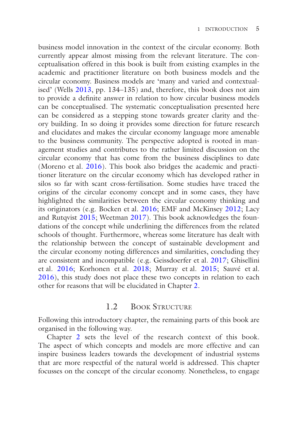<span id="page-19-0"></span>business model innovation in the context of the circular economy. Both currently appear almost missing from the relevant literature. The conceptualisation offered in this book is built from existing examples in the academic and practitioner literature on both business models and the circular economy. Business models are 'many and varied and contextualised' (Wells [2013,](#page-24-7) pp. 134–135) and, therefore, this book does not aim to provide a defnite answer in relation to how circular business models can be conceptualised. The systematic conceptualisation presented here can be considered as a stepping stone towards greater clarity and theory building. In so doing it provides some direction for future research and elucidates and makes the circular economy language more amenable to the business community. The perspective adopted is rooted in management studies and contributes to the rather limited discussion on the circular economy that has come from the business disciplines to date (Moreno et al. [2016\)](#page-23-10). This book also bridges the academic and practitioner literature on the circular economy which has developed rather in silos so far with scant cross-fertilisation. Some studies have traced the origins of the circular economy concept and in some cases, they have highlighted the similarities between the circular economy thinking and its originators (e.g. Bocken et al. [2016;](#page-21-7) EMF and McKinsey [2012;](#page-21-1) Lacy and Rutqvist [2015](#page-23-8); Weetman [2017](#page-24-9)). This book acknowledges the foundations of the concept while underlining the differences from the related schools of thought. Furthermore, whereas some literature has dealt with the relationship between the concept of sustainable development and the circular economy noting differences and similarities, concluding they are consistent and incompatible (e.g. Geissdoerfer et al. [2017](#page-22-11); Ghisellini et al. [2016;](#page-22-12) Korhonen et al. [2018](#page-23-11); Murray et al. [2015;](#page-23-12) Sauvé et al. [2016](#page-23-13)), this study does not place these two concepts in relation to each other for reasons that will be elucidated in Chapter [2.](http://dx.doi.org/10.1007/978-3-319-75127-6_2)

#### 1.2 Book Structure

Following this introductory chapter, the remaining parts of this book are organised in the following way.

Chapter [2](http://dx.doi.org/10.1007/978-3-319-75127-6_2) sets the level of the research context of this book. The aspect of which concepts and models are more effective and can inspire business leaders towards the development of industrial systems that are more respectful of the natural world is addressed. This chapter focusses on the concept of the circular economy. Nonetheless, to engage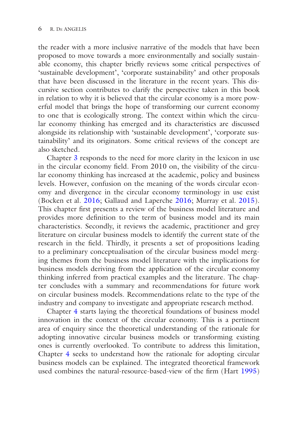the reader with a more inclusive narrative of the models that have been proposed to move towards a more environmentally and socially sustainable economy, this chapter briefy reviews some critical perspectives of 'sustainable development', 'corporate sustainability' and other proposals that have been discussed in the literature in the recent years. This discursive section contributes to clarify the perspective taken in this book in relation to why it is believed that the circular economy is a more powerful model that brings the hope of transforming our current economy to one that is ecologically strong. The context within which the circular economy thinking has emerged and its characteristics are discussed alongside its relationship with 'sustainable development', 'corporate sustainability' and its originators. Some critical reviews of the concept are also sketched.

Chapter [3](http://dx.doi.org/10.1007/978-3-319-75127-6_3) responds to the need for more clarity in the lexicon in use in the circular economy feld. From 2010 on, the visibility of the circular economy thinking has increased at the academic, policy and business levels. However, confusion on the meaning of the words circular economy and divergence in the circular economy terminology in use exist (Bocken et al. [2016;](#page-21-7) Gallaud and Laperche [2016;](#page-22-13) Murray et al. [2015](#page-23-12)). This chapter frst presents a review of the business model literature and provides more defnition to the term of business model and its main characteristics. Secondly, it reviews the academic, practitioner and grey literature on circular business models to identify the current state of the research in the feld. Thirdly, it presents a set of propositions leading to a preliminary conceptualisation of the circular business model merging themes from the business model literature with the implications for business models deriving from the application of the circular economy thinking inferred from practical examples and the literature. The chapter concludes with a summary and recommendations for future work on circular business models. Recommendations relate to the type of the industry and company to investigate and appropriate research method.

Chapter [4](http://dx.doi.org/10.1007/978-3-319-75127-6_4) starts laying the theoretical foundations of business model innovation in the context of the circular economy. This is a pertinent area of enquiry since the theoretical understanding of the rationale for adopting innovative circular business models or transforming existing ones is currently overlooked. To contribute to address this limitation, Chapter [4](http://dx.doi.org/10.1007/978-3-319-75127-6_4) seeks to understand how the rationale for adopting circular business models can be explained. The integrated theoretical framework used combines the natural-resource-based-view of the frm (Hart [1995\)](#page-22-14)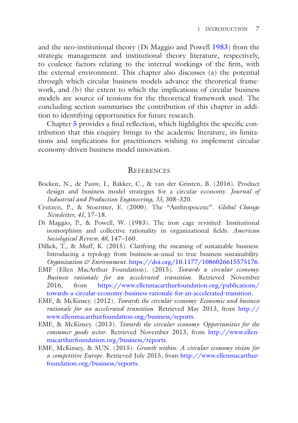<span id="page-21-0"></span>and the neo-institutional theory (Di Maggio and Powell [1983](#page-21-8)) from the strategic management and institutional theory literature, respectively, to coalesce factors relating to the internal workings of the frm, with the external environment. This chapter also discusses (a) the potential through which circular business models advance the theoretical framework, and (b) the extent to which the implications of circular business models are source of tensions for the theoretical framework used. The concluding section summarises the contribution of this chapter in addition to identifying opportunities for future research.

Chapter [5](http://dx.doi.org/10.1007/978-3-319-75127-6_5) provides a fnal refection, which highlights the specifc contribution that this enquiry brings to the academic literature, its limitations and implications for practitioners wishing to implement circular economy-driven business model innovation.

#### **REFERENCES**

- <span id="page-21-7"></span>Bocken, N., de Pauw, I., Bakker, C., & van der Grinten, B. (2016). Product design and business model strategies for a circular economy. *Journal of Industrial and Production Engineering, 33,* 308–320.
- <span id="page-21-2"></span>Crutzen, P., & Stoermer, E. (2000). The "Anthropocene". *Global Change Newsletter, 41,* 17–18.
- <span id="page-21-8"></span>Di Maggio, P., & Powell, W. (1983). The iron cage revisited: Institutional isomorphism and collective rationality in organizational felds. *American Sociological Review, 48,* 147–160.
- <span id="page-21-3"></span>Dillick, T., & Muff, K. (2015). Clarifying the meaning of sustainable business: Introducing a typology from business-as-usual to true business sustainability. *Organization & Environment*. [https://doi.org/10.1177/1086026615575176](http://dx.doi.org/10.1177/1086026615575176).
- <span id="page-21-6"></span>EMF (Ellen MacArthur Foundation). (2015). *Towards a circular economy: Business rationale for an accelerated transition*. Retrieved November 2016, from [https://www.ellenmacarthurfoundation.org/publications/](https://www.ellenmacarthurfoundation.org/publications/towards-a-circular-economy-business-rationale-for-an-accelerated-transition) [towards-a-circular-economy-business-rationale-for-an-accelerated-transition](https://www.ellenmacarthurfoundation.org/publications/towards-a-circular-economy-business-rationale-for-an-accelerated-transition).
- <span id="page-21-1"></span>EMF, & McKinsey. (2012). *Towards the circular economy: Economic and business rationale for an accelerated transition*. Retrieved May 2013, from [http://](http://www.ellenmacarthurfoundation.org/business/reports) [www.ellenmacarthurfoundation.org/business/reports.](http://www.ellenmacarthurfoundation.org/business/reports)
- <span id="page-21-4"></span>EMF, & McKinsey. (2013). *Towards the circular economy: Opportunities for the consumer goods sector*. Retrieved November 2013, from [http://www.ellen](http://www.ellenmacarthurfoundation.org/business/reports)[macarthurfoundation.org/business/reports](http://www.ellenmacarthurfoundation.org/business/reports).
- <span id="page-21-5"></span>EMF, McKinsey, & SUN. (2015)*. Growth within: A circular economy vision for a competitive Europe.* Retrieved July 2015, from [http://www.ellenmacarthur](http://www.ellenmacarthurfoundation.org/business/reports)[foundation.org/business/reports.](http://www.ellenmacarthurfoundation.org/business/reports)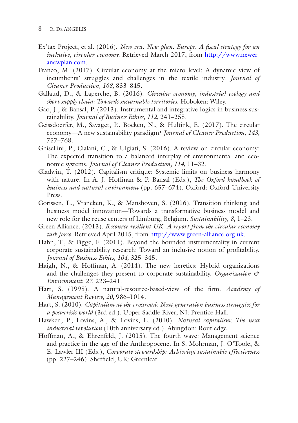- <span id="page-22-8"></span>Ex'tax Project, et al. (2016). *New era. New plan. Europe. A fscal strategy for an inclusive, circular economy.* Retrieved March 2017, from [http://www.newer](http://www.neweranewplan.com)[anewplan.com.](http://www.neweranewplan.com)
- <span id="page-22-10"></span>Franco, M. (2017). Circular economy at the micro level: A dynamic view of incumbents' struggles and challenges in the textile industry. *Journal of Cleaner Production, 168,* 833–845.
- <span id="page-22-13"></span>Gallaud, D., & Laperche, B. (2016). *Circular economy, industrial ecology and short supply chain: Towards sustainable territories*. Hoboken: Wiley.
- <span id="page-22-5"></span>Gao, J., & Bansal, P. (2013). Instrumental and integrative logics in business sustainability. *Journal of Business Ethics, 112,* 241–255.
- <span id="page-22-11"></span>Geissdoerfer, M., Savaget, P., Bocken, N., & Hultink, E. (2017). The circular economy—A new sustainability paradigm? *Journal of Cleaner Production, 143,* 757–768.
- <span id="page-22-12"></span>Ghisellini, P., Cialani, C., & Ulgiati, S. (2016). A review on circular economy: The expected transition to a balanced interplay of environmental and economic systems. *Journal of Cleaner Production, 114,* 11–32.
- <span id="page-22-1"></span>Gladwin, T. (2012). Capitalism critique: Systemic limits on business harmony with nature. In A. J. Hoffman & P. Bansal (Eds.), *The Oxford handbook of business and natural environment* (pp. 657–674). Oxford: Oxford University Press.
- <span id="page-22-6"></span>Gorissen, L., Vrancken, K., & Manshoven, S. (2016). Transition thinking and business model innovation—Towards a transformative business model and new role for the reuse centers of Limburg, Belgium. *Sustainability, 8,* 1–23.
- <span id="page-22-9"></span>Green Alliance. (2013). *Resource resilient UK. A report from the circular economy task force.* Retrieved April 2015, from <http://www.green-alliance.org.uk>.
- <span id="page-22-3"></span>Hahn, T., & Figge, F. (2011). Beyond the bounded instrumentality in current corporate sustainability research: Toward an inclusive notion of proftability. *Journal of Business Ethics, 104,* 325–345.
- <span id="page-22-0"></span>Haigh, N., & Hoffman, A. (2014). The new heretics: Hybrid organizations and the challenges they present to corporate sustainability. *Organization & Environment, 27,* 223–241.
- <span id="page-22-14"></span>Hart, S. (1995). A natural-resource-based-view of the frm. *Academy of Management Review, 20,* 986–1014.
- <span id="page-22-4"></span>Hart, S. (2010). *Capitalism at the crossroad: Next generation business strategies for a post-crisis world* (3rd ed.). Upper Saddle River, NJ: Prentice Hall.
- <span id="page-22-7"></span>Hawken, P., Lovins, A., & Lovins, L. (2010). *Natural capitalism: The next industrial revolution* (10th anniversary ed.). Abingdon: Routledge.
- <span id="page-22-2"></span>Hoffman, A., & Ehrenfeld, J. (2015). The fourth wave: Management science and practice in the age of the Anthropocene. In S. Mohrman, J. O'Toole, & E. Lawler III (Eds.), *Corporate stewardship: Achieving sustainable effectiveness* (pp. 227–246). Sheffeld, UK: Greenleaf.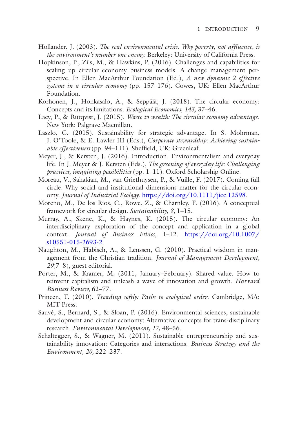- <span id="page-23-1"></span>Hollander, J. (2003). *The real environmental crisis. Why poverty, not affuence, is the environment's number one enemy.* Berkeley: University of California Press.
- <span id="page-23-7"></span>Hopkinson, P., Zils, M., & Hawkins, P. (2016). Challenges and capabilities for scaling up circular economy business models. A change management perspective. In Ellen MacArthur Foundation (Ed.), *A new dynamic 2 effective systems in a circular economy* (pp. 157–176). Cowes, UK: Ellen MacArthur Foundation.
- <span id="page-23-11"></span>Korhonen, J., Honkasalo, A., & Seppälä, J. (2018). The circular economy: Concepts and its limitations. *Ecological Economics, 143,* 37–46.
- <span id="page-23-8"></span>Lacy, P., & Rutqvist, J. (2015). *Waste to wealth: The circular economy advantage*. New York: Palgrave Macmillan.
- <span id="page-23-0"></span>Laszlo, C. (2015). Sustainability for strategic advantage. In S. Mohrman, J. O'Toole, & E. Lawler III (Eds.), *Corporate stewardship: Achieving sustainable effectiveness* (pp. 94–111). Sheffeld, UK: Greenleaf.
- <span id="page-23-2"></span>Meyer, J., & Kersten, J. (2016). Introduction. Environmentalism and everyday life. In J. Meyer & J. Kersten (Eds.), *The greening of everyday life: Challenging practices, imagining possibilities* (pp. 1–11). Oxford Scholarship Online.
- <span id="page-23-9"></span>Moreau, V., Sahakian, M., van Griethuysen, P., & Vuille, F. (2017). Coming full circle. Why social and institutional dimensions matter for the circular economy. *Journal of Industrial Ecology*. [https://doi.org/10.1111/jiec.12598](http://dx.doi.org/10.1111/jiec.12598).
- <span id="page-23-10"></span>Moreno, M., De los Rios, C., Rowe, Z., & Charnley, F. (2016). A conceptual framework for circular design. *Sustainability, 8,* 1–15.
- <span id="page-23-12"></span>Murray, A., Skene, K., & Haynes, K. (2015). The circular economy: An interdisciplinary exploration of the concept and application in a global context. *Journal of Business Ethics*, 1–12. [https://doi.org/10.1007/](http://dx.doi.org/10.1007/s10551-015-2693-2) [s10551-015-2693-2](http://dx.doi.org/10.1007/s10551-015-2693-2).
- <span id="page-23-6"></span>Naughton, M., Habisch, A., & Lenssen, G. (2010). Practical wisdom in management from the Christian tradition. *Journal of Management Development, 29*(7–8), guest editorial.
- <span id="page-23-4"></span>Porter, M., & Kramer, M. (2011, January–February). Shared value. How to reinvent capitalism and unleash a wave of innovation and growth. *Harvard Business Review,* 62–77.
- <span id="page-23-3"></span>Princen, T. (2010). *Treading softly: Paths to ecological order*. Cambridge, MA: MIT Press.
- <span id="page-23-13"></span>Sauvé, S., Bernard, S., & Sloan, P. (2016). Environmental sciences, sustainable development and circular economy: Alternative concepts for trans-disciplinary research. *Environmental Development, 17,* 48–56.
- <span id="page-23-5"></span>Schaltegger, S., & Wagner, M. (2011). Sustainable entrepreneurship and sustainability innovation: Categories and interactions. *Business Strategy and the Environment, 20,* 222–237.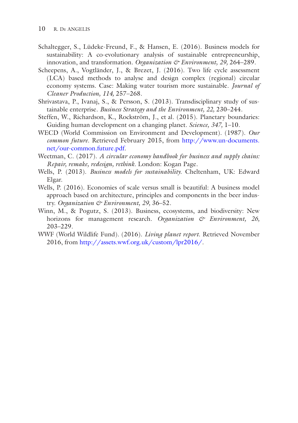- <span id="page-24-3"></span>Schaltegger, S., Lüdeke-Freund, F., & Hansen, E. (2016). Business models for sustainability: A co-evolutionary analysis of sustainable entrepreneurship, innovation, and transformation. *Organization & Environment, 29,* 264–289.
- <span id="page-24-8"></span>Scheepens, A., Vogtländer, J., & Brezet, J. (2016). Two life cycle assessment (LCA) based methods to analyse and design complex (regional) circular economy systems. Case: Making water tourism more sustainable. *Journal of Cleaner Production, 114,* 257–268.
- <span id="page-24-5"></span>Shrivastava, P., Ivanaj, S., & Persson, S. (2013). Transdisciplinary study of sustainable enterprise. *Business Strategy and the Environment, 22,* 230–244.
- <span id="page-24-1"></span>Steffen, W., Richardson, K., Rockström, J., et al. (2015). Planetary boundaries: Guiding human development on a changing planet. *Science, 347,* 1–10.
- <span id="page-24-2"></span>WECD (World Commission on Environment and Development). (1987). *Our common future.* Retrieved February 2015, from [http://www.un-documents.](http://www.un-documents.net/our-common.future.pdf) [net/our-common.future.pdf](http://www.un-documents.net/our-common.future.pdf).
- <span id="page-24-9"></span>Weetman, C. (2017). *A circular economy handbook for business and supply chains: Repair, remake, redesign, rethink*. London: Kogan Page.
- <span id="page-24-7"></span>Wells, P. (2013). *Business models for sustainability.* Cheltenham, UK: Edward Elgar.
- <span id="page-24-4"></span>Wells, P. (2016). Economies of scale versus small is beautiful: A business model approach based on architecture, principles and components in the beer industry. *Organization & Environment, 29,* 36–52.
- <span id="page-24-6"></span>Winn, M., & Pogutz, S. (2013). Business, ecosystems, and biodiversity: New horizons for management research. *Organization & Environment, 26,* 203–229.
- <span id="page-24-0"></span>WWF (World Wildlife Fund). (2016). *Living planet report*. Retrieved November 2016, from [http://assets.wwf.org.uk/custom/lpr2016/.](http://assets.wwf.org.uk/custom/lpr2016/)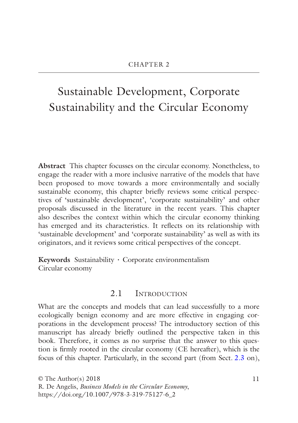# Sustainable Development, Corporate Sustainability and the Circular Economy

**Abstract** This chapter focusses on the circular economy. Nonetheless, to engage the reader with a more inclusive narrative of the models that have been proposed to move towards a more environmentally and socially sustainable economy, this chapter briefy reviews some critical perspectives of 'sustainable development', 'corporate sustainability' and other proposals discussed in the literature in the recent years. This chapter also describes the context within which the circular economy thinking has emerged and its characteristics. It refects on its relationship with 'sustainable development' and 'corporate sustainability' as well as with its originators, and it reviews some critical perspectives of the concept.

**Keywords** Sustainability · Corporate environmentalism Circular economy

#### 2.1 INTRODUCTION

What are the concepts and models that can lead successfully to a more ecologically benign economy and are more effective in engaging corporations in the development process? The introductory section of this manuscript has already briefy outlined the perspective taken in this book. Therefore, it comes as no surprise that the answer to this question is frmly rooted in the circular economy (CE hereafter), which is the focus of this chapter. Particularly, in the second part (from Sect. 2.3 on),

© The Author(s) 2018 R. De Angelis, *Business Models in the Circular Economy*, https://doi.org/10.1007/978-3-319-75127-6\_2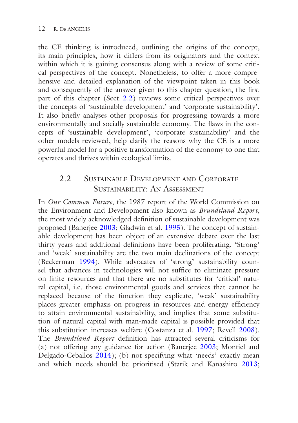the CE thinking is introduced, outlining the origins of the concept, its main principles, how it differs from its originators and the context within which it is gaining consensus along with a review of some critical perspectives of the concept. Nonetheless, to offer a more comprehensive and detailed explanation of the viewpoint taken in this book and consequently of the answer given to this chapter question, the frst part of this chapter (Sect. 2.2) reviews some critical perspectives over the concepts of 'sustainable development' and 'corporate sustainability'. It also briefy analyses other proposals for progressing towards a more environmentally and socially sustainable economy. The faws in the concepts of 'sustainable development', 'corporate sustainability' and the other models reviewed, help clarify the reasons why the CE is a more powerful model for a positive transformation of the economy to one that operates and thrives within ecological limits.

### 2.2 SUSTAINABLE DEVELOPMENT AND CORPORATE Sustainability: An Assessment

In *Our Common Future*, the 1987 report of the World Commission on the Environment and Development also known as *Brundtland Report*, the most widely acknowledged defnition of sustainable development was proposed (Banerjee 2003; Gladwin et al. [1995](#page-52-0)). The concept of sustainable development has been object of an extensive debate over the last thirty years and additional defnitions have been proliferating. 'Strong' and 'weak' sustainability are the two main declinations of the concept (Beckerman 1994). While advocates of 'strong' sustainability counsel that advances in technologies will not suffice to eliminate pressure on fnite resources and that there are no substitutes for 'critical' natural capital, i.e. those environmental goods and services that cannot be replaced because of the function they explicate, 'weak' sustainability places greater emphasis on progress in resources and energy efficiency to attain environmental sustainability, and implies that some substitution of natural capital with man-made capital is possible provided that this substitution increases welfare (Costanza et al. [1997](#page-50-0); Revell [2008](#page-55-0)). The *Brundtland Report* defnition has attracted several criticisms for (a) not offering any guidance for action (Banerjee 2003; Montiel and Delgado-Ceballos [2014\)](#page-55-1); (b) not specifying what 'needs' exactly mean and which needs should be prioritised (Starik and Kanashiro [2013;](#page-56-0)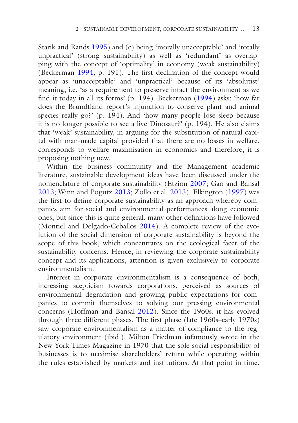Starik and Rands [1995](#page-56-1)) and (c) being 'morally unacceptable' and 'totally unpractical' (strong sustainability) as well as 'redundant' as overlapping with the concept of 'optimality' in economy (weak sustainability) (Beckerman 1994, p. 191). The frst declination of the concept would appear as 'unacceptable' and 'unpractical' because of its 'absolutist' meaning, i.e. 'as a requirement to preserve intact the environment as we fnd it today in all its forms' (p. 194). Beckerman (1994) asks: 'how far does the Brundtland report's injunction to conserve plant and animal species really go?' (p. 194). And 'how many people lose sleep because it is no longer possible to see a live Dinosaur?' (p. 194). He also claims that 'weak' sustainability, in arguing for the substitution of natural capital with man-made capital provided that there are no losses in welfare, corresponds to welfare maximisation in economics and therefore, it is proposing nothing new.

Within the business community and the Management academic literature, sustainable development ideas have been discussed under the nomenclature of corporate sustainability (Etzion [2007;](#page-51-0) Gao and Bansal [2013](#page-52-1); Winn and Pogutz [2013;](#page-57-0) Zollo et al. [2013](#page-57-1)). Elkington [\(1997\)](#page-51-1) was the frst to defne corporate sustainability as an approach whereby companies aim for social and environmental performances along economic ones, but since this is quite general, many other defnitions have followed (Montiel and Delgado-Ceballos [2014](#page-55-1)). A complete review of the evolution of the social dimension of corporate sustainability is beyond the scope of this book, which concentrates on the ecological facet of the sustainability concerns. Hence, in reviewing the corporate sustainability concept and its applications, attention is given exclusively to corporate environmentalism.

Interest in corporate environmentalism is a consequence of both, increasing scepticism towards corporations, perceived as sources of environmental degradation and growing public expectations for companies to commit themselves to solving our pressing environmental concerns (Hoffman and Bansal 2012). Since the 1960s, it has evolved through three different phases. The frst phase (late 1960s–early 1970s) saw corporate environmentalism as a matter of compliance to the regulatory environment (ibid.). Milton Friedman infamously wrote in the New York Times Magazine in 1970 that the sole social responsibility of businesses is to maximise shareholders' return while operating within the rules established by markets and institutions. At that point in time,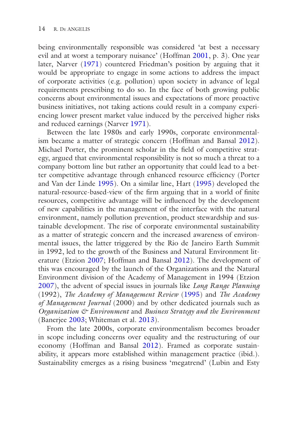being environmentally responsible was considered 'at best a necessary evil and at worst a temporary nuisance' (Hoffman 2001, p. 3). One year later, Narver [\(1971\)](#page-55-2) countered Friedman's position by arguing that it would be appropriate to engage in some actions to address the impact of corporate activities (e.g. pollution) upon society in advance of legal requirements prescribing to do so. In the face of both growing public concerns about environmental issues and expectations of more proactive business initiatives, not taking actions could result in a company experiencing lower present market value induced by the perceived higher risks and reduced earnings (Narver [1971](#page-55-2)).

Between the late 1980s and early 1990s, corporate environmentalism became a matter of strategic concern (Hoffman and Bansal 2012). Michael Porter, the prominent scholar in the feld of competitive strategy, argued that environmental responsibility is not so much a threat to a company bottom line but rather an opportunity that could lead to a better competitive advantage through enhanced resource efficiency (Porter and Van der Linde [1995](#page-55-3)). On a similar line, Hart ([1995](#page-53-0)) developed the natural-resource-based-view of the frm arguing that in a world of fnite resources, competitive advantage will be infuenced by the development of new capabilities in the management of the interface with the natural environment, namely pollution prevention, product stewardship and sustainable development. The rise of corporate environmental sustainability as a matter of strategic concern and the increased awareness of environmental issues, the latter triggered by the Rio de Janeiro Earth Summit in 1992, led to the growth of the Business and Natural Environment literature (Etzion [2007;](#page-51-0) Hoffman and Bansal 2012). The development of this was encouraged by the launch of the Organizations and the Natural Environment division of the Academy of Management in 1994 (Etzion [2007](#page-51-0)), the advent of special issues in journals like *Long Range Planning* (1992), *The Academy of Management Review* [\(1995\)](#page-50-1) and *The Academy of Management Journal* (2000) and by other dedicated journals such as *Organization & Environment* and *Business Strategy and the Environment* (Banerjee 2003; Whiteman et al. [2013\)](#page-57-2).

From the late 2000s, corporate environmentalism becomes broader in scope including concerns over equality and the restructuring of our economy (Hoffman and Bansal 2012). Framed as corporate sustainability, it appears more established within management practice (ibid.). Sustainability emerges as a rising business 'megatrend' (Lubin and Esty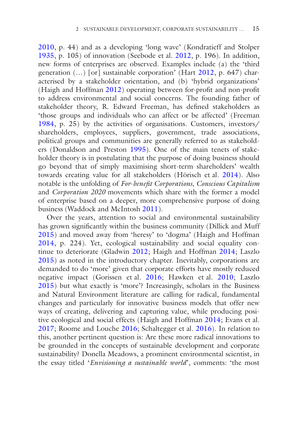2010, p. 44) and as a developing 'long wave' (Kondratieff and Stolper 1935, p. 105) of innovation (Seebode et al. [2012](#page-56-2), p. 196). In addition, new forms of enterprises are observed. Examples include (a) the 'third generation (...) [or] sustainable corporation' (Hart [2012,](#page-53-1) p. 647) characterised by a stakeholder orientation, and (b) 'hybrid organizations' (Haigh and Hoffman [2012](#page-53-2)) operating between for-proft and non-proft to address environmental and social concerns. The founding father of stakeholder theory, R. Edward Freeman, has defned stakeholders as 'those groups and individuals who can affect or be affected' (Freeman [1984](#page-52-2), p. 25) by the activities of organisations. Customers, investors/ shareholders, employees, suppliers, government, trade associations, political groups and communities are generally referred to as stakeholders (Donaldson and Preston [1995\)](#page-50-1). One of the main tenets of stakeholder theory is in postulating that the purpose of doing business should go beyond that of simply maximising short-term shareholders' wealth towards creating value for all stakeholders (Hörisch et al. 2014). Also notable is the unfolding of *For*-*beneft Corporations*, *Conscious Capitalism* and *Corporation 2020* movements which share with the former a model of enterprise based on a deeper, more comprehensive purpose of doing business (Waddock and McIntosh [2011\)](#page-57-3).

Over the years, attention to social and environmental sustainability has grown signifcantly within the business community (Dillick and Muff [2015](#page-50-2)) and moved away from 'heresy' to 'dogma' (Haigh and Hoffman [2014](#page-53-3), p. 224). Yet, ecological sustainability and social equality continue to deteriorate (Gladwin [2012;](#page-52-3) Haigh and Hoffman [2014](#page-53-3); Laszlo 2015) as noted in the introductory chapter. Inevitably, corporations are demanded to do 'more' given that corporate efforts have mostly reduced negative impact (Gorissen et al. [2016;](#page-53-4) Hawken et al. [2010;](#page-53-5) Laszlo 2015) but what exactly is 'more'? Increasingly, scholars in the Business and Natural Environment literature are calling for radical, fundamental changes and particularly for innovative business models that offer new ways of creating, delivering and capturing value, while producing positive ecological and social effects (Haigh and Hoffman [2014;](#page-53-3) Evans et al. [2017](#page-51-2); Roome and Louche [2016](#page-56-3); Schaltegger et al. [2016](#page-56-4)). In relation to this, another pertinent question is: Are these more radical innovations to be grounded in the concepts of sustainable development and corporate sustainability? Donella Meadows, a prominent environmental scientist, in the essay titled '*Envisioning a sustainable world*', comments: 'the most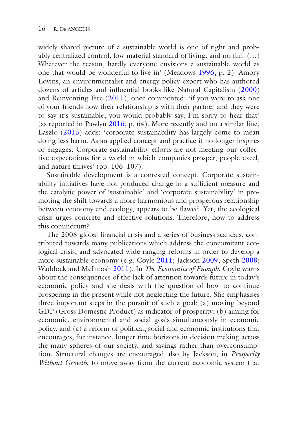widely shared picture of a sustainable world is one of tight and probably centralized control, low material standard of living, and no fun. (…) Whatever the reason, hardly everyone envisions a sustainable world as one that would be wonderful to live in' (Meadows [1996,](#page-55-4) p. 2). Amory Lovins, an environmentalist and energy policy expert who has authored dozens of articles and infuential books like Natural Capitalism [\(2000\)](#page-53-6) and Reinventing Fire (2011), once commented: 'if you were to ask one of your friends how their relationship is with their partner and they were to say it's sustainable, you would probably say, I'm sorry to hear that' (as reported in Pawlyn [2016,](#page-55-5) p. 64). More recently and on a similar line, Laszlo (2015) adds: 'corporate sustainability has largely come to mean doing less harm. As an applied concept and practice it no longer inspires or engages. Corporate sustainability efforts are not meeting our collective expectations for a world in which companies prosper, people excel, and nature thrives' (pp. 106–107).

Sustainable development is a contested concept. Corporate sustainability initiatives have not produced change in a sufficient measure and the catalytic power of 'sustainable' and 'corporate sustainability' in promoting the shift towards a more harmonious and prosperous relationship between economy and ecology, appears to be fawed. Yet, the ecological crisis urges concrete and effective solutions. Therefore, how to address this conundrum?

The 2008 global fnancial crisis and a series of business scandals, contributed towards many publications which address the concomitant ecological crisis, and advocated wide-ranging reforms in order to develop a more sustainable economy (e.g. Coyle [2011](#page-50-3); Jackson 2009; Speth [2008;](#page-56-5) Waddock and McIntosh [2011\)](#page-57-3). In *The Economics of Enough*, Coyle warns about the consequences of the lack of attention towards future in today's economic policy and she deals with the question of how to continue prospering in the present while not neglecting the future. She emphasises three important steps in the pursuit of such a goal: (a) moving beyond GDP (Gross Domestic Product) as indicator of prosperity; (b) aiming for economic, environmental and social goals simultaneously in economic policy, and (c) a reform of political, social and economic institutions that encourages, for instance, longer time horizons in decision making across the many spheres of our society, and savings rather than overconsumption. Structural changes are encouraged also by Jackson, in *Prosperity Without Growth*, to move away from the current economic system that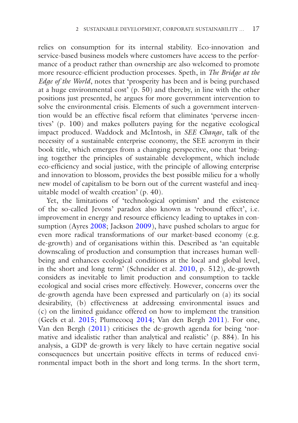relies on consumption for its internal stability. Eco-innovation and service-based business models where customers have access to the performance of a product rather than ownership are also welcomed to promote more resource-effcient production processes. Speth, in *The Bridge at the Edge of the World*, notes that 'prosperity has been and is being purchased at a huge environmental cost<sup> $\hat{p}$ </sup> (p. 50) and thereby, in line with the other positions just presented, he argues for more government intervention to solve the environmental crisis. Elements of such a government intervention would be an effective fscal reform that eliminates 'perverse incentives' (p. 100) and makes polluters paying for the negative ecological impact produced. Waddock and McIntosh, in *SEE Change*, talk of the necessity of a sustainable enterprise economy, the SEE acronym in their book title, which emerges from a changing perspective, one that 'bringing together the principles of sustainable development, which include eco-effciency and social justice, with the principle of allowing enterprise and innovation to blossom, provides the best possible milieu for a wholly new model of capitalism to be born out of the current wasteful and inequitable model of wealth creation' (p. 40).

Yet, the limitations of 'technological optimism' and the existence of the so-called Jevons' paradox also known as 'rebound effect', i.e. improvement in energy and resource effciency leading to uptakes in con-sumption (Ayres [2008;](#page-49-0) Jackson 2009), have pushed scholars to argue for even more radical transformations of our market-based economy (e.g. de-growth) and of organisations within this. Described as 'an equitable downscaling of production and consumption that increases human wellbeing and enhances ecological conditions at the local and global level, in the short and long term' (Schneider et al. [2010](#page-56-6), p. 512), de-growth considers as inevitable to limit production and consumption to tackle ecological and social crises more effectively. However, concerns over the de-growth agenda have been expressed and particularly on (a) its social desirability, (b) effectiveness at addressing environmental issues and (c) on the limited guidance offered on how to implement the transition (Geels et al. [2015](#page-52-4); Plumecocq [2014;](#page-55-6) Van den Bergh [2011](#page-57-4)). For one, Van den Bergh [\(2011\)](#page-57-4) criticises the de-growth agenda for being 'normative and idealistic rather than analytical and realistic' (p. 884). In his analysis, a GDP de-growth is very likely to have certain negative social consequences but uncertain positive effects in terms of reduced environmental impact both in the short and long terms. In the short term,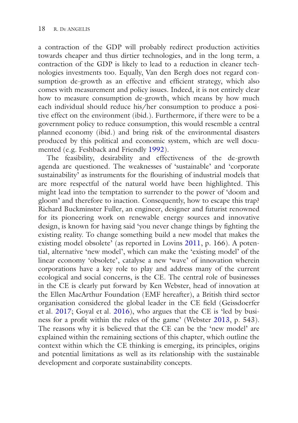a contraction of the GDP will probably redirect production activities towards cheaper and thus dirtier technologies, and in the long term, a contraction of the GDP is likely to lead to a reduction in cleaner technologies investments too. Equally, Van den Bergh does not regard consumption de-growth as an effective and efficient strategy, which also comes with measurement and policy issues. Indeed, it is not entirely clear how to measure consumption de-growth, which means by how much each individual should reduce his/her consumption to produce a positive effect on the environment (ibid.). Furthermore, if there were to be a government policy to reduce consumption, this would resemble a central planned economy (ibid.) and bring risk of the environmental disasters produced by this political and economic system, which are well documented (e.g. Feshback and Friendly [1992](#page-52-5)).

The feasibility, desirability and effectiveness of the de-growth agenda are questioned. The weaknesses of 'sustainable' and 'corporate sustainability<sup>3</sup> as instruments for the flourishing of industrial models that are more respectful of the natural world have been highlighted. This might lead into the temptation to surrender to the power of 'doom and gloom' and therefore to inaction. Consequently, how to escape this trap? Richard Buckminster Fuller, an engineer, designer and futurist renowned for its pioneering work on renewable energy sources and innovative design, is known for having said 'you never change things by fghting the existing reality. To change something build a new model that makes the existing model obsolete' (as reported in Lovins 2011, p. 166). A potential, alternative 'new model', which can make the 'existing model' of the linear economy 'obsolete', catalyse a new 'wave' of innovation wherein corporations have a key role to play and address many of the current ecological and social concerns, is the CE. The central role of businesses in the CE is clearly put forward by Ken Webster, head of innovation at the Ellen MacArthur Foundation (EMF hereafter), a British third sector organisation considered the global leader in the CE feld (Geissdoerfer et al. [2017;](#page-52-6) Goyal et al. [2016\)](#page-53-7), who argues that the CE is 'led by business for a proft within the rules of the game' (Webster [2013](#page-57-5), p. 543). The reasons why it is believed that the CE can be the 'new model' are explained within the remaining sections of this chapter, which outline the context within which the CE thinking is emerging, its principles, origins and potential limitations as well as its relationship with the sustainable development and corporate sustainability concepts.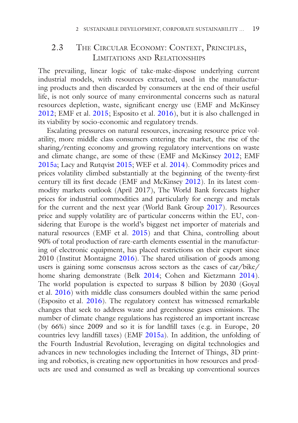### 2.3 The Circular Economy: Context, Principles, LIMITATIONS AND RELATIONSHIPS

The prevailing, linear logic of take-make-dispose underlying current industrial models, with resources extracted, used in the manufacturing products and then discarded by consumers at the end of their useful life, is not only source of many environmental concerns such as natural resources depletion, waste, signifcant energy use (EMF and McKinsey [2012](#page-51-3); EMF et al. [2015](#page-51-4); Esposito et al. [2016](#page-51-5)), but it is also challenged in its viability by socio-economic and regulatory trends.

Escalating pressures on natural resources, increasing resource price volatility, more middle class consumers entering the market, the rise of the sharing/renting economy and growing regulatory interventions on waste and climate change, are some of these (EMF and McKinsey [2012](#page-51-3); EMF [2015a](#page-51-6); Lacy and Rutqvist 2015; WEF et al. [2014\)](#page-57-6). Commodity prices and prices volatility climbed substantially at the beginning of the twenty-frst century till its frst decade (EMF and McKinsey [2012\)](#page-51-3). In its latest commodity markets outlook (April 2017), The World Bank forecasts higher prices for industrial commodities and particularly for energy and metals for the current and the next year (World Bank Group [2017](#page-57-7)). Resources price and supply volatility are of particular concerns within the EU, considering that Europe is the world's biggest net importer of materials and natural resources (EMF et al. [2015](#page-51-4)) and that China, controlling about 90% of total production of rare-earth elements essential in the manufacturing of electronic equipment, has placed restrictions on their export since 2010 (Institut Montaigne 2016). The shared utilisation of goods among users is gaining some consensus across sectors as the cases of car/bike/ home sharing demonstrate (Belk 2014; Cohen and Kietzmann [2014](#page-50-4)). The world population is expected to surpass 8 billion by 2030 (Goyal et al. [2016](#page-53-7)) with middle class consumers doubled within the same period (Esposito et al. [2016\)](#page-51-5). The regulatory context has witnessed remarkable changes that seek to address waste and greenhouse gases emissions. The number of climate change regulations has registered an important increase (by 66%) since 2009 and so it is for landfll taxes (e.g. in Europe, 20 countries levy landfll taxes) (EMF [2015a\)](#page-51-6). In addition, the unfolding of the Fourth Industrial Revolution, leveraging on digital technologies and advances in new technologies including the Internet of Things, 3D printing and robotics, is creating new opportunities in how resources and products are used and consumed as well as breaking up conventional sources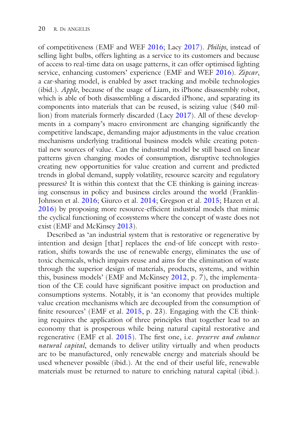of competitiveness (EMF and WEF [2016;](#page-51-7) Lacy 2017). *Philips*, instead of selling light bulbs, offers lighting as a service to its customers and because of access to real-time data on usage patterns, it can offer optimised lighting service, enhancing customers' experience (EMF and WEF [2016\)](#page-51-7). *Zipcar*, a car-sharing model, is enabled by asset tracking and mobile technologies (ibid.). *Apple*, because of the usage of Liam, its iPhone disassembly robot, which is able of both disassembling a discarded iPhone, and separating its components into materials that can be reused, is seizing value (\$40 million) from materials formerly discarded (Lacy 2017). All of these developments in a company's macro environment are changing signifcantly the competitive landscape, demanding major adjustments in the value creation mechanisms underlying traditional business models while creating potential new sources of value. Can the industrial model be still based on linear patterns given changing modes of consumption, disruptive technologies creating new opportunities for value creation and current and predicted trends in global demand, supply volatility, resource scarcity and regulatory pressures? It is within this context that the CE thinking is gaining increasing consensus in policy and business circles around the world (Franklin-Johnson et al. [2016;](#page-52-7) Giurco et al. [2014;](#page-52-8) Gregson et al. [2015](#page-53-8); Hazen et al. [2016\)](#page-53-9) by proposing more resource-effcient industrial models that mimic the cyclical functioning of ecosystems where the concept of waste does not exist (EMF and McKinsey [2013](#page-51-8)).

Described as 'an industrial system that is restorative or regenerative by intention and design [that] replaces the end-of life concept with restoration, shifts towards the use of renewable energy, eliminates the use of toxic chemicals, which impairs reuse and aims for the elimination of waste through the superior design of materials, products, systems, and within this, business models' (EMF and McKinsey [2012](#page-51-3), p. 7), the implementation of the CE could have signifcant positive impact on production and consumptions systems. Notably, it is 'an economy that provides multiple value creation mechanisms which are decoupled from the consumption of fnite resources' (EMF et al. [2015,](#page-51-4) p. 23). Engaging with the CE thinking requires the application of three principles that together lead to an economy that is prosperous while being natural capital restorative and regenerative (EMF et al. [2015\)](#page-51-4). The frst one, i.e. *preserve and enhance natural capital*, demands to deliver utility virtually and when products are to be manufactured, only renewable energy and materials should be used whenever possible (ibid.). At the end of their useful life, renewable materials must be returned to nature to enriching natural capital (ibid.).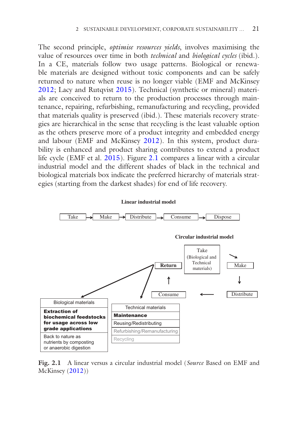The second principle, *optimise resources yields*, involves maximising the value of resources over time in both *technical* and *biological cycles* (ibid.). In a CE, materials follow two usage patterns. Biological or renewable materials are designed without toxic components and can be safely returned to nature when reuse is no longer viable (EMF and McKinsey [2012](#page-51-3); Lacy and Rutqvist 2015). Technical (synthetic or mineral) materials are conceived to return to the production processes through maintenance, repairing, refurbishing, remanufacturing and recycling, provided that materials quality is preserved (ibid.). These materials recovery strategies are hierarchical in the sense that recycling is the least valuable option as the others preserve more of a product integrity and embedded energy and labour (EMF and McKinsey [2012\)](#page-51-3). In this system, product durability is enhanced and product sharing contributes to extend a product life cycle (EMF et al. [2015](#page-51-4)). Figure 2.1 compares a linear with a circular industrial model and the different shades of black in the technical and biological materials box indicate the preferred hierarchy of materials strategies (starting from the darkest shades) for end of life recovery.



**Fig. 2.1** A linear versus a circular industrial model (*Source* Based on EMF and McKinsey ([2012\)](#page-51-3))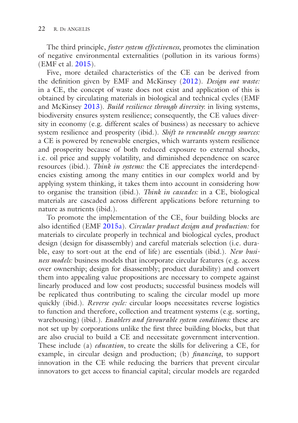The third principle, *foster system effectiveness*, promotes the elimination of negative environmental externalities (pollution in its various forms) (EMF et al. [2015](#page-51-0)).

Five, more detailed characteristics of the CE can be derived from the defnition given by EMF and McKinsey ([2012](#page-51-1)). *Design out waste:* in a CE, the concept of waste does not exist and application of this is obtained by circulating materials in biological and technical cycles (EMF and McKinsey [2013\)](#page-51-2). *Build resilience through diversity*: in living systems, biodiversity ensures system resilience; consequently, the CE values diversity in economy (e.g. different scales of business) as necessary to achieve system resilience and prosperity (ibid.). *Shift to renewable energy sources:* a CE is powered by renewable energies, which warrants system resilience and prosperity because of both reduced exposure to external shocks, i.e. oil price and supply volatility, and diminished dependence on scarce resources (ibid.). *Think in systems:* the CE appreciates the interdependencies existing among the many entities in our complex world and by applying system thinking, it takes them into account in considering how to organise the transition (ibid.). *Think in cascades:* in a CE, biological materials are cascaded across different applications before returning to nature as nutrients (ibid.).

To promote the implementation of the CE, four building blocks are also identifed (EMF [2015a\)](#page-51-3). *Circular product design and production:* for materials to circulate properly in technical and biological cycles, product design (design for disassembly) and careful materials selection (i.e. durable, easy to sort-out at the end of life) are essentials (ibid.). *New business models:* business models that incorporate circular features (e.g. access over ownership; design for disassembly; product durability) and convert them into appealing value propositions are necessary to compete against linearly produced and low cost products; successful business models will be replicated thus contributing to scaling the circular model up more quickly (ibid.). *Reverse cycle:* circular loops necessitates reverse logistics to function and therefore, collection and treatment systems (e.g. sorting, warehousing) (ibid.). *Enablers and favourable system conditions:* these are not set up by corporations unlike the frst three building blocks, but that are also crucial to build a CE and necessitate government intervention. These include (a) *education*, to create the skills for delivering a CE, for example, in circular design and production; (b) *fnancing*, to support innovation in the CE while reducing the barriers that prevent circular innovators to get access to fnancial capital; circular models are regarded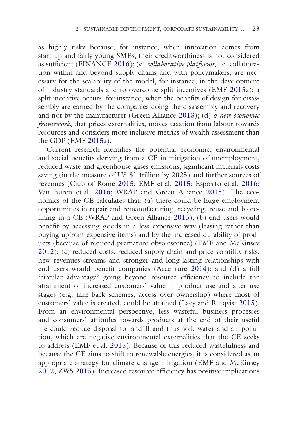as highly risky because, for instance, when innovation comes from start-up and fairly young SMEs, their creditworthiness is not considered as suffcient (FINANCE [2016\)](#page-52-0); (c) *collaborative platforms*, i.e. collaboration within and beyond supply chains and with policymakers, are necessary for the scalability of the model, for instance, in the development of industry standards and to overcome split incentives (EMF [2015a\)](#page-51-3); a split incentive occurs, for instance, when the benefts of design for disassembly are earned by the companies doing the disassembly and recovery and not by the manufacturer (Green Alliance [2013](#page-53-0)); (d) *a new economic framework*, that prices externalities, moves taxation from labour towards resources and considers more inclusive metrics of wealth assessment than the GDP (EMF [2015a](#page-51-3)).

Current research identifes the potential economic, environmental and social benefts deriving from a CE in mitigation of unemployment, reduced waste and greenhouse gases emissions, signifcant materials costs saving (in the measure of US \$1 trillion by 2025) and further sources of revenues (Club of Rome [2015;](#page-49-0) EMF et al. [2015;](#page-51-0) Esposito et al. [2016;](#page-51-4) Van Buren et al. [2016;](#page-56-0) WRAP and Green Alliance [2015\)](#page-57-0). The economics of the CE calculates that: (a) there could be huge employment opportunities in repair and remanufacturing, recycling, reuse and biorefining in a CE (WRAP and Green Alliance  $2015$ ); (b) end users would beneft by accessing goods in a less expensive way (leasing rather than buying upfront expensive items) and by the increased durability of products (because of reduced premature obsolescence) (EMF and McKinsey [2012](#page-51-1)); (c) reduced costs, reduced supply chain and price volatility risks, new revenues streams and stronger and long-lasting relationships with end users would benefit companies (Accenture  $2014$ ); and (d) a full 'circular advantage' going beyond resource effciency to include the attainment of increased customers' value in product use and after use stages (e.g. take-back schemes; access over ownership) where most of customers' value is created, could be attained (Lacy and Rutqvist 2015). From an environmental perspective, less wasteful business processes and consumers' attitudes towards products at the end of their useful life could reduce disposal to landfll and thus soil, water and air pollution, which are negative environmental externalities that the CE seeks to address (EMF et al. [2015\)](#page-51-0). Because of this reduced wastefulness and because the CE aims to shift to renewable energies, it is considered as an appropriate strategy for climate change mitigation (EMF and McKinsey [2012](#page-51-1); ZWS [2015\)](#page-57-1). Increased resource efficiency has positive implications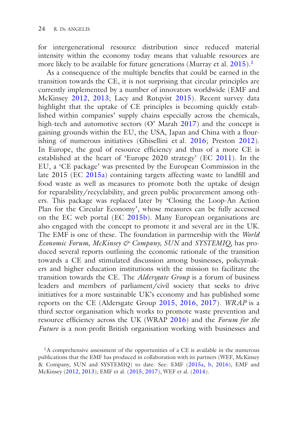for intergenerational resource distribution since reduced material intensity within the economy today means that valuable resources are more likely to be available for future generations (Murray et al. [2015\)](#page-55-0).<sup>1</sup>

As a consequence of the multiple benefts that could be earned in the transition towards the CE, it is not surprising that circular principles are currently implemented by a number of innovators worldwide (EMF and McKinsey [2012](#page-51-1), [2013](#page-51-2); Lacy and Rutqvist 2015). Recent survey data highlight that the uptake of CE principles is becoming quickly established within companies' supply chains especially across the chemicals, high-tech and automotive sectors (O' Marah [2017\)](#page-55-1) and the concept is gaining grounds within the EU, the USA, Japan and China with a flourishing of numerous initiatives (Ghisellini et al. [2016](#page-52-1); Preston [2012](#page-55-2)). In Europe, the goal of resource efficiency and thus of a more CE is established at the heart of 'Europe 2020 strategy' (EC [2011\)](#page-50-0). In the EU, a 'CE package' was presented by the European Commission in the late 2015 (EC [2015a\)](#page-50-1) containing targets affecting waste to landfill and food waste as well as measures to promote both the uptake of design for reparability/recyclability, and green public procurement among others. This package was replaced later by 'Closing the Loop-An Action Plan for the Circular Economy', whose measures can be fully accessed on the EC web portal (EC [2015b](#page-51-5)). Many European organisations are also engaged with the concept to promote it and several are in the UK. The EMF is one of these. The foundation in partnership with the *World Economic Forum, McKinsey & Company, SUN* and *SYSTEMIQ*, has produced several reports outlining the economic rationale of the transition towards a CE and stimulated discussion among businesses, policymakers and higher education institutions with the mission to facilitate the transition towards the CE. The *Aldersgate Group* is a forum of business leaders and members of parliament/civil society that seeks to drive initiatives for a more sustainable UK's economy and has published some reports on the CE (Aldersgate Group [2015,](#page-48-1) [2016,](#page-49-1) [2017](#page-49-2)). *WRAP* is a third sector organisation which works to promote waste prevention and resource effciency across the UK (WRAP [2016](#page-57-2)) and the *Forum for the Future* is a non-proft British organisation working with businesses and

 $1A$  comprehensive assessment of the opportunities of a CE is available in the numerous publications that the EMF has produced in collaboration with its partners (WEF, McKinsey & Company, SUN and SYSTEMIQ) to date. See: EMF [\(2015a,](#page-51-3) [b,](#page-51-6) [2016](#page-51-7)), EMF and McKinsey ([2012,](#page-51-1) [2013](#page-51-2)), EMF et al. [\(2015](#page-51-0), [2017](#page-51-8)), WEF et al. [\(2014](#page-57-3)).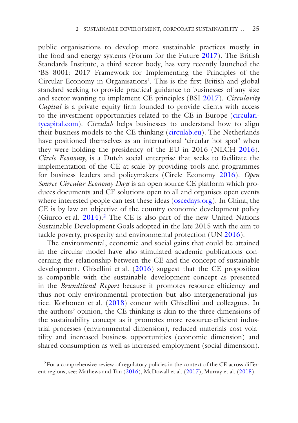public organisations to develop more sustainable practices mostly in the food and energy systems (Forum for the Future [2017\)](#page-52-2). The British Standards Institute, a third sector body, has very recently launched the 'BS 8001: 2017 Framework for Implementing the Principles of the Circular Economy in Organisations'. This is the frst British and global standard seeking to provide practical guidance to businesses of any size and sector wanting to implement CE principles (BSI [2017](#page-49-3)). *Circularity Capital* is a private equity frm founded to provide clients with access to the investment opportunities related to the CE in Europe [\(circulari](http://circularitycapital.com)[tycapital.com](http://circularitycapital.com)). *Circulab* helps businesses to understand how to align their business models to the CE thinking ([circulab.eu\)](http://circulab.eu). The Netherlands have positioned themselves as an international 'circular hot spot' when they were holding the presidency of the EU in 2016 (NLCH [2016](#page-55-3)). *Circle Economy*, is a Dutch social enterprise that seeks to facilitate the implementation of the CE at scale by providing tools and programmes for business leaders and policymakers (Circle Economy [2016\)](#page-49-4). *Open Source Circular Economy Days* is an open source CE platform which produces documents and CE solutions open to all and organises open events where interested people can test these ideas [\(oscedays.org\)](http://oscedays.org). In China, the CE is by law an objective of the country economic development policy (Giurco et al.  $2014$ ).<sup>2</sup> The CE is also part of the new United Nations Sustainable Development Goals adopted in the late 2015 with the aim to tackle poverty, prosperity and environmental protection (UN [2016](#page-56-1)).

The environmental, economic and social gains that could be attained in the circular model have also stimulated academic publications concerning the relationship between the CE and the concept of sustainable development. Ghisellini et al. ([2016\)](#page-52-1) suggest that the CE proposition is compatible with the sustainable development concept as presented in the *Brundtland Report* because it promotes resource effciency and thus not only environmental protection but also intergenerational justice. Korhonen et al. (2018) concur with Ghisellini and colleagues. In the authors' opinion, the CE thinking is akin to the three dimensions of the sustainability concept as it promotes more resource-efficient industrial processes (environmental dimension), reduced materials cost volatility and increased business opportunities (economic dimension) and shared consumption as well as increased employment (social dimension).

<sup>2</sup>For a comprehensive review of regulatory policies in the context of the CE across different regions, see: Mathews and Tan (2016), McDowall et al. (2017), Murray et al. ([2015\)](#page-55-0).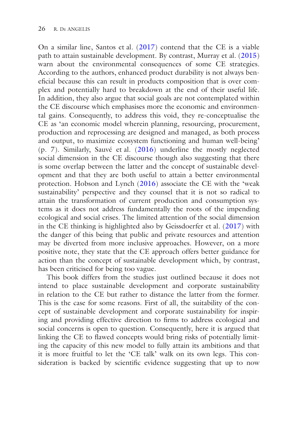On a similar line, Santos et al. ([2017](#page-56-2)) contend that the CE is a viable path to attain sustainable development. By contrast, Murray et al. [\(2015\)](#page-55-0) warn about the environmental consequences of some CE strategies. According to the authors, enhanced product durability is not always benefcial because this can result in products composition that is over complex and potentially hard to breakdown at the end of their useful life. In addition, they also argue that social goals are not contemplated within the CE discourse which emphasises more the economic and environmental gains. Consequently, to address this void, they re-conceptualise the CE as 'an economic model wherein planning, resourcing, procurement, production and reprocessing are designed and managed, as both process and output, to maximize ecosystem functioning and human well-being' (p. 7). Similarly, Sauvé et al. ([2016](#page-56-3)) underline the mostly neglected social dimension in the CE discourse though also suggesting that there is some overlap between the latter and the concept of sustainable development and that they are both useful to attain a better environmental protection. Hobson and Lynch (2016) associate the CE with the 'weak sustainability' perspective and they counsel that it is not so radical to attain the transformation of current production and consumption systems as it does not address fundamentally the roots of the impending ecological and social crises. The limited attention of the social dimension in the CE thinking is highlighted also by Geissdoerfer et al. [\(2017\)](#page-52-4) with the danger of this being that public and private resources and attention may be diverted from more inclusive approaches. However, on a more positive note, they state that the CE approach offers better guidance for action than the concept of sustainable development which, by contrast, has been criticised for being too vague.

This book differs from the studies just outlined because it does not intend to place sustainable development and corporate sustainability in relation to the CE but rather to distance the latter from the former. This is the case for some reasons. First of all, the suitability of the concept of sustainable development and corporate sustainability for inspiring and providing effective direction to frms to address ecological and social concerns is open to question. Consequently, here it is argued that linking the CE to fawed concepts would bring risks of potentially limiting the capacity of this new model to fully attain its ambitions and that it is more fruitful to let the 'CE talk' walk on its own legs. This consideration is backed by scientifc evidence suggesting that up to now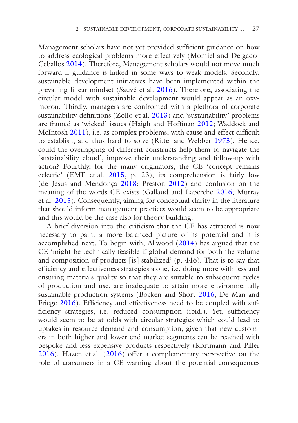Management scholars have not yet provided sufficient guidance on how to address ecological problems more effectively (Montiel and Delgado-Ceballos [2014\)](#page-55-4). Therefore, Management scholars would not move much forward if guidance is linked in some ways to weak models. Secondly, sustainable development initiatives have been implemented within the prevailing linear mindset (Sauvé et al. [2016](#page-56-3)). Therefore, associating the circular model with sustainable development would appear as an oxymoron. Thirdly, managers are confronted with a plethora of corporate sustainability defnitions (Zollo et al. [2013](#page-57-4)) and 'sustainability' problems are framed as 'wicked' issues (Haigh and Hoffman [2012](#page-53-1); Waddock and McIntosh [2011\)](#page-57-5), i.e. as complex problems, with cause and effect difficult to establish, and thus hard to solve (Rittel and Webber [1973](#page-56-4)). Hence, could the overlapping of different constructs help them to navigate the 'sustainability cloud', improve their understanding and follow-up with action? Fourthly, for the many originators, the CE 'concept remains eclectic' (EMF et al.  $2015$ , p. 23), its comprehension is fairly low (de Jesus and Mendonça [2018](#page-50-2); Preston [2012](#page-55-2)) and confusion on the meaning of the words CE exists (Gallaud and Laperche [2016](#page-52-5); Murray et al. [2015](#page-55-0)). Consequently, aiming for conceptual clarity in the literature that should inform management practices would seem to be appropriate and this would be the case also for theory building.

A brief diversion into the criticism that the CE has attracted is now necessary to paint a more balanced picture of its potential and it is accomplished next. To begin with, Allwood ([2014\)](#page-49-5) has argued that the CE 'might be technically feasible if global demand for both the volume and composition of products [is] stabilized' (p. 446). That is to say that effciency and effectiveness strategies alone, i.e. doing more with less and ensuring materials quality so that they are suitable to subsequent cycles of production and use, are inadequate to attain more environmentally sustainable production systems (Bocken and Short [2016](#page-49-6); De Man and Friege  $2016$ ). Efficiency and effectiveness need to be coupled with sufficiency strategies, i.e. reduced consumption (ibid.). Yet, sufficiency would seem to be at odds with circular strategies which could lead to uptakes in resource demand and consumption, given that new customers in both higher and lower end market segments can be reached with bespoke and less expensive products respectively (Kortmann and Piller 2016). Hazen et al. [\(2016\)](#page-53-2) offer a complementary perspective on the role of consumers in a CE warning about the potential consequences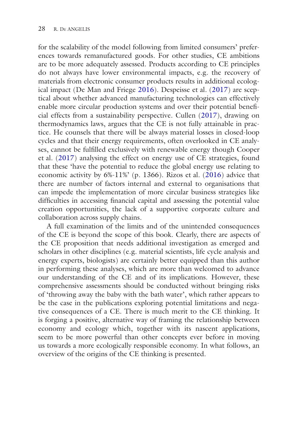for the scalability of the model following from limited consumers' preferences towards remanufactured goods. For other studies, CE ambitions are to be more adequately assessed. Products according to CE principles do not always have lower environmental impacts, e.g. the recovery of materials from electronic consumer products results in additional ecological impact (De Man and Friege [2016\)](#page-50-3). Despeisse et al. ([2017\)](#page-50-4) are sceptical about whether advanced manufacturing technologies can effectively enable more circular production systems and over their potential benefcial effects from a sustainability perspective. Cullen  $(2017)$ , drawing on thermodynamics laws, argues that the CE is not fully attainable in practice. He counsels that there will be always material losses in closed-loop cycles and that their energy requirements, often overlooked in CE analyses, cannot be fulflled exclusively with renewable energy though Cooper et al. [\(2017](#page-50-6)) analysing the effect on energy use of CE strategies, found that these 'have the potential to reduce the global energy use relating to economic activity by 6%-11%' (p. 1366). Rizos et al. [\(2016\)](#page-56-5) advice that there are number of factors internal and external to organisations that can impede the implementation of more circular business strategies like diffculties in accessing fnancial capital and assessing the potential value creation opportunities, the lack of a supportive corporate culture and collaboration across supply chains.

A full examination of the limits and of the unintended consequences of the CE is beyond the scope of this book. Clearly, there are aspects of the CE proposition that needs additional investigation as emerged and scholars in other disciplines (e.g. material scientists, life cycle analysis and energy experts, biologists) are certainly better equipped than this author in performing these analyses, which are more than welcomed to advance our understanding of the CE and of its implications. However, these comprehensive assessments should be conducted without bringing risks of 'throwing away the baby with the bath water', which rather appears to be the case in the publications exploring potential limitations and negative consequences of a CE. There is much merit to the CE thinking. It is forging a positive, alternative way of framing the relationship between economy and ecology which, together with its nascent applications, seem to be more powerful than other concepts ever before in moving us towards a more ecologically responsible economy. In what follows, an overview of the origins of the CE thinking is presented.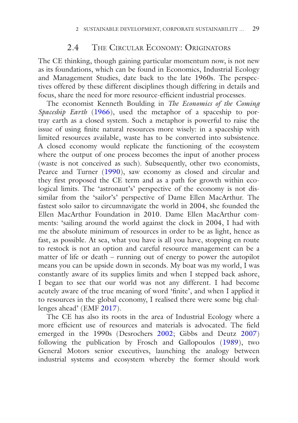# 2.4 THE CIRCULAR ECONOMY: ORIGINATORS

The CE thinking, though gaining particular momentum now, is not new as its foundations, which can be found in Economics, Industrial Ecology and Management Studies, date back to the late 1960s. The perspectives offered by these different disciplines though differing in details and focus, share the need for more resource-effcient industrial processes.

The economist Kenneth Boulding in *The Economics of the Coming Spaceship Earth* [\(1966\)](#page-49-7), used the metaphor of a spaceship to portray earth as a closed system. Such a metaphor is powerful to raise the issue of using fnite natural resources more wisely: in a spaceship with limited resources available, waste has to be converted into subsistence. A closed economy would replicate the functioning of the ecosystem where the output of one process becomes the input of another process (waste is not conceived as such). Subsequently, other two economists, Pearce and Turner [\(1990](#page-55-5)), saw economy as closed and circular and they frst proposed the CE term and as a path for growth within ecological limits. The 'astronaut's' perspective of the economy is not dissimilar from the 'sailor's' perspective of Dame Ellen MacArthur. The fastest solo sailor to circumnavigate the world in 2004, she founded the Ellen MacArthur Foundation in 2010. Dame Ellen MacArthur comments: 'sailing around the world against the clock in 2004, I had with me the absolute minimum of resources in order to be as light, hence as fast, as possible. At sea, what you have is all you have, stopping en route to restock is not an option and careful resource management can be a matter of life or death – running out of energy to power the autopilot means you can be upside down in seconds. My boat was my world, I was constantly aware of its supplies limits and when I stepped back ashore, I began to see that our world was not any different. I had become acutely aware of the true meaning of word 'fnite', and when I applied it to resources in the global economy, I realised there were some big challenges ahead' (EMF [2017](#page-51-9)).

The CE has also its roots in the area of Industrial Ecology where a more effcient use of resources and materials is advocated. The feld emerged in the 1990s (Desrochers [2002;](#page-50-7) Gibbs and Deutz [2007\)](#page-52-6) following the publication by Frosch and Gallopoulos ([1989\)](#page-52-7), two General Motors senior executives, launching the analogy between industrial systems and ecosystem whereby the former should work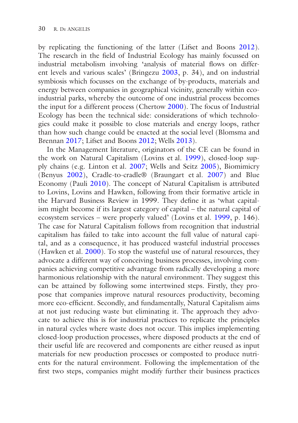by replicating the functioning of the latter (Lifset and Boons 2012). The research in the feld of Industrial Ecology has mainly focussed on industrial metabolism involving 'analysis of material flows on different levels and various scales' (Bringezu [2003,](#page-49-8) p. 34), and on industrial symbiosis which focusses on the exchange of by-products, materials and energy between companies in geographical vicinity, generally within ecoindustrial parks, whereby the outcome of one industrial process becomes the input for a different process (Chertow [2000\)](#page-49-9). The focus of Industrial Ecology has been the technical side: considerations of which technologies could make it possible to close materials and energy loops, rather than how such change could be enacted at the social level (Blomsma and Brennan [2017](#page-49-10); Lifset and Boons 2012; Wells [2013\)](#page-57-6).

In the Management literature, originators of the CE can be found in the work on Natural Capitalism (Lovins et al. 1999), closed-loop supply chains (e.g. Linton et al. 2007; Wells and Seitz [2005](#page-57-7)), Biomimicry (Benyus [2002\)](#page-49-11), Cradle-to-cradle® (Braungart et al. [2007\)](#page-49-12) and Blue Economy (Pauli [2010](#page-55-6)). The concept of Natural Capitalism is attributed to Lovins, Lovins and Hawken, following from their formative article in the Harvard Business Review in 1999. They defne it as 'what capitalism might become if its largest category of capital – the natural capital of ecosystem services – were properly valued' (Lovins et al. 1999, p. 146). The case for Natural Capitalism follows from recognition that industrial capitalism has failed to take into account the full value of natural capital, and as a consequence, it has produced wasteful industrial processes (Hawken et al. [2000](#page-53-3)). To stop the wasteful use of natural resources, they advocate a different way of conceiving business processes, involving companies achieving competitive advantage from radically developing a more harmonious relationship with the natural environment. They suggest this can be attained by following some intertwined steps. Firstly, they propose that companies improve natural resources productivity, becoming more eco-effcient. Secondly, and fundamentally, Natural Capitalism aims at not just reducing waste but eliminating it. The approach they advocate to achieve this is for industrial practices to replicate the principles in natural cycles where waste does not occur. This implies implementing closed-loop production processes, where disposed products at the end of their useful life are recovered and components are either reused as input materials for new production processes or composted to produce nutrients for the natural environment. Following the implementation of the frst two steps, companies might modify further their business practices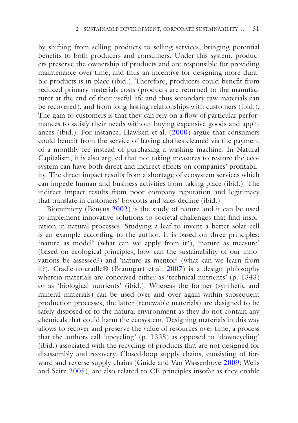by shifting from selling products to selling services, bringing potential benefts to both producers and consumers. Under this system, producers preserve the ownership of products and are responsible for providing maintenance over time, and thus an incentive for designing more durable products is in place (ibid.). Therefore, producers could beneft from reduced primary materials costs (products are returned to the manufacturer at the end of their useful life and thus secondary raw materials can be recovered), and from long-lasting relationships with customers (ibid.). The gain to customers is that they can rely on a flow of particular performances to satisfy their needs without buying expensive goods and appliances (ibid.). For instance, Hawken et al. [\(2000\)](#page-53-3) argue that consumers could beneft from the service of having clothes cleaned via the payment of a monthly fee instead of purchasing a washing machine. In Natural Capitalism, it is also argued that not taking measures to restore the ecosystem can have both direct and indirect effects on companies' proftability. The direct impact results from a shortage of ecosystem services which can impede human and business activities from taking place (ibid.). The indirect impact results from poor company reputation and legitimacy that translate in customers' boycotts and sales decline (ibid.).

Biomimicry (Benyus [2002](#page-49-11)) is the study of nature and it can be used to implement innovative solutions to societal challenges that fnd inspiration in natural processes. Studying a leaf to invent a better solar cell is an example according to the author. It is based on three principles: 'nature as model' (what can we apply from it?), 'nature as measure' (based on ecological principles, how can the sustainability of our innovations be assessed?) and 'nature as mentor' (what can we learn from it?). Cradle-to-cradle® (Braungart et al. [2007](#page-49-12)) is a design philosophy wherein materials are conceived either as 'technical nutrients' (p. 1343) or as 'biological nutrients' (ibid.). Whereas the former (synthetic and mineral materials) can be used over and over again within subsequent production processes, the latter (renewable materials) are designed to be safely disposed of to the natural environment as they do not contain any chemicals that could harm the ecosystem. Designing materials in this way allows to recover and preserve the value of resources over time, a process that the authors call 'upcycling' (p. 1338) as opposed to 'downcycling' (ibid.) associated with the recycling of products that are not designed for disassembly and recovery. Closed-loop supply chains, consisting of forward and reverse supply chains (Guide and Van Wassenhove [2009](#page-53-4); Wells and Seitz [2005\)](#page-57-7), are also related to CE principles insofar as they enable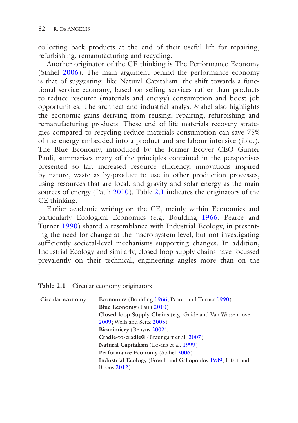collecting back products at the end of their useful life for repairing, refurbishing, remanufacturing and recycling.

Another originator of the CE thinking is The Performance Economy (Stahel [2006\)](#page-56-6). The main argument behind the performance economy is that of suggesting, like Natural Capitalism, the shift towards a functional service economy, based on selling services rather than products to reduce resource (materials and energy) consumption and boost job opportunities. The architect and industrial analyst Stahel also highlights the economic gains deriving from reusing, repairing, refurbishing and remanufacturing products. These end of life materials recovery strategies compared to recycling reduce materials consumption can save 75% of the energy embedded into a product and are labour intensive (ibid.). The Blue Economy, introduced by the former Ecover CEO Gunter Pauli, summarises many of the principles contained in the perspectives presented so far: increased resource effciency, innovations inspired by nature, waste as by-product to use in other production processes, using resources that are local, and gravity and solar energy as the main sources of energy (Pauli [2010\)](#page-55-6). Table 2.1 indicates the originators of the CE thinking.

Earlier academic writing on the CE, mainly within Economics and particularly Ecological Economics (e.g. Boulding [1966](#page-49-7); Pearce and Turner [1990](#page-55-5)) shared a resemblance with Industrial Ecology, in presenting the need for change at the macro system level, but not investigating sufficiently societal-level mechanisms supporting changes. In addition, Industrial Ecology and similarly, closed-loop supply chains have focussed prevalently on their technical, engineering angles more than on the

| <b>Table 2.1</b> Circular economy originators |
|-----------------------------------------------|
|                                               |

| Circular economy | <b>Economics</b> (Boulding 1966; Pearce and Turner 1990)           |
|------------------|--------------------------------------------------------------------|
|                  | <b>Blue Economy</b> (Pauli 2010)                                   |
|                  | Closed-loop Supply Chains (e.g. Guide and Van Wassenhove           |
|                  | 2009; Wells and Seitz 2005)                                        |
|                  | <b>Biomimicry</b> (Benyus 2002).                                   |
|                  | Cradle-to-cradle® (Braungart et al. 2007)                          |
|                  | Natural Capitalism (Lovins et al. 1999)                            |
|                  | Performance Economy (Stahel 2006)                                  |
|                  | <b>Industrial Ecology</b> (Frosch and Gallopoulos 1989; Lifset and |
|                  | Boons $2012$ )                                                     |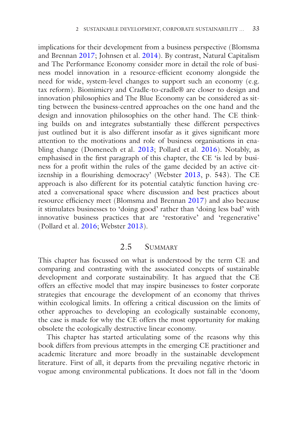implications for their development from a business perspective (Blomsma and Brennan [2017;](#page-49-10) Johnsen et al. 2014). By contrast, Natural Capitalism and The Performance Economy consider more in detail the role of business model innovation in a resource-effcient economy alongside the need for wide, system-level changes to support such an economy (e.g. tax reform). Biomimicry and Cradle-to-cradle® are closer to design and innovation philosophies and The Blue Economy can be considered as sitting between the business-centred approaches on the one hand and the design and innovation philosophies on the other hand. The CE thinking builds on and integrates substantially these different perspectives just outlined but it is also different insofar as it gives significant more attention to the motivations and role of business organisations in enabling change (Domenech et al. [2013;](#page-50-8) Pollard et al. [2016](#page-55-7)). Notably, as emphasised in the frst paragraph of this chapter, the CE 'is led by business for a proft within the rules of the game decided by an active citizenship in a fourishing democracy' (Webster [2013,](#page-57-8) p. 543). The CE approach is also different for its potential catalytic function having created a conversational space where discussion and best practices about resource efficiency meet (Blomsma and Brennan [2017](#page-49-10)) and also because it stimulates businesses to 'doing good' rather than 'doing less bad' with innovative business practices that are 'restorative' and 'regenerative' (Pollard et al. [2016;](#page-55-7) Webster [2013\)](#page-57-8).

# 2.5 SUMMARY

This chapter has focussed on what is understood by the term CE and comparing and contrasting with the associated concepts of sustainable development and corporate sustainability. It has argued that the CE offers an effective model that may inspire businesses to foster corporate strategies that encourage the development of an economy that thrives within ecological limits. In offering a critical discussion on the limits of other approaches to developing an ecologically sustainable economy, the case is made for why the CE offers the most opportunity for making obsolete the ecologically destructive linear economy.

This chapter has started articulating some of the reasons why this book differs from previous attempts in the emerging CE practitioner and academic literature and more broadly in the sustainable development literature. First of all, it departs from the prevailing negative rhetoric in vogue among environmental publications. It does not fall in the 'doom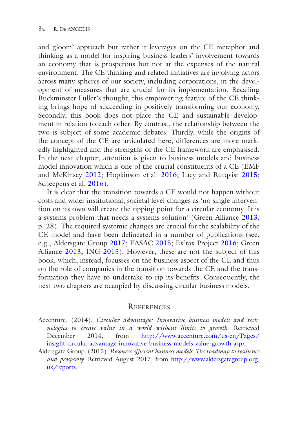and gloom' approach but rather it leverages on the CE metaphor and thinking as a model for inspiring business leaders' involvement towards an economy that is prosperous but not at the expenses of the natural environment. The CE thinking and related initiatives are involving actors across many spheres of our society, including corporations, in the development of measures that are crucial for its implementation. Recalling Buckminster Fuller's thought, this empowering feature of the CE thinking brings hope of succeeding in positively transforming our economy. Secondly, this book does not place the CE and sustainable development in relation to each other. By contrast, the relationship between the two is subject of some academic debates. Thirdly, while the origins of the concept of the CE are articulated here, differences are more markedly highlighted and the strengths of the CE framework are emphasised. In the next chapter, attention is given to business models and business model innovation which is one of the crucial constituents of a CE (EMF and McKinsey [2012;](#page-51-1) Hopkinson et al. 2016; Lacy and Rutqvist 2015; Scheepens et al. [2016](#page-56-7)).

It is clear that the transition towards a CE would not happen without costs and wider institutional, societal level changes as 'no single intervention on its own will create the tipping point for a circular economy. It is a systems problem that needs a systems solution' (Green Alliance [2013,](#page-53-0) p. 28). The required systemic changes are crucial for the scalability of the CE model and have been delineated in a number of publications (see, e.g., Aldersgate Group [2017;](#page-49-2) EASAC [2015](#page-50-9); Ex'tax Project [2016](#page-51-10); Green Alliance [2013](#page-53-0); ING 2015). However, these are not the subject of this book, which, instead, focusses on the business aspect of the CE and thus on the role of companies in the transition towards the CE and the transformation they have to undertake to rip its benefts. Consequently, the next two chapters are occupied by discussing circular business models.

#### **REFERENCES**

- <span id="page-48-0"></span>Accenture. (2014). *Circular advantage: Innovative business models and technologies to create value in a world without limits to growth*. Retrieved December 2014, from [http://www.accenture.com/us-en/Pages/](http://www.accenture.com/us-en/Pages/insight-circular-advantage-innovative-business-models-value-growth-aspx) [insight-circular-advantage-innovative-business-models-value-growth-aspx](http://www.accenture.com/us-en/Pages/insight-circular-advantage-innovative-business-models-value-growth-aspx).
- <span id="page-48-1"></span>Aldersgate Group. (2015). *Resource effcient business models. The roadmap to resilience and prosperity.* Retrieved August 2017, from [http://www.aldersgategroup.org.](http://www.aldersgategroup.org.uk/reports) [uk/reports](http://www.aldersgategroup.org.uk/reports).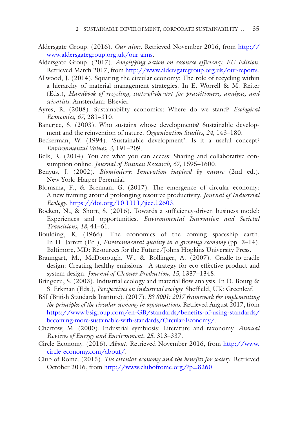- <span id="page-49-1"></span>Aldersgate Group. (2016). *Our aims*. Retrieved November 2016, from [http://](http://www.aldersgategroup.org.uk/our-aims) [www.aldersgategroup.org.uk/our-aims.](http://www.aldersgategroup.org.uk/our-aims)
- <span id="page-49-2"></span>Aldersgate Group. (2017). *Amplifying action on resource effciency. EU Edition*. Retrieved March 2017, from [http://www.aldersgategroup.org.uk/our-reports.](http://www.aldersgategroup.org.uk/our-reports)
- <span id="page-49-5"></span>Allwood, J. (2014). Squaring the circular economy: The role of recycling within a hierarchy of material management strategies. In E. Worrell & M. Reiter (Eds.), *Handbook of recycling, state-of-the-art for practitioners, analysts, and scientists*. Amsterdam: Elsevier.
- Ayres, R. (2008). Sustainability economics: Where do we stand? *Ecological Economics, 67,* 281–310.
- Banerjee, S. (2003). Who sustains whose developments? Sustainable development and the reinvention of nature. *Organization Studies, 24,* 143–180.
- Beckerman, W. (1994). 'Sustainable development': Is it a useful concept? *Environmental Values, 3,* 191–209.
- Belk, R. (2014). You are what you can access: Sharing and collaborative consumption online. *Journal of Business Research, 67,* 1595–1600.
- <span id="page-49-11"></span>Benyus, J. (2002). *Biomimicry: Innovation inspired by nature* (2nd ed.). New York: Harper Perennial.
- <span id="page-49-10"></span>Blomsma, F., & Brennan, G. (2017). The emergence of circular economy: A new framing around prolonging resource productivity. *Journal of Industrial Ecology*. [https://doi.org/10.1111/jiec.12603.](http://dx.doi.org/10.1111/jiec.12603)
- <span id="page-49-6"></span>Bocken, N., & Short, S. (2016). Towards a sufficiency-driven business model: Experiences and opportunities. *Environmental Innovation and Societal Transitions, 18,* 41–61.
- <span id="page-49-7"></span>Boulding, K. (1966). The economics of the coming spaceship earth. In H. Jarrett (Ed.), *Environmental quality in a growing economy* (pp. 3–14). Baltimore, MD: Resources for the Future/Johns Hopkins University Press.
- <span id="page-49-12"></span>Braungart, M., McDonough, W., & Bollinger, A. (2007). Cradle-to-cradle design: Creating healthy emissions—A strategy for eco-effective product and system design. *Journal of Cleaner Production, 15,* 1337–1348.
- <span id="page-49-8"></span>Bringezu, S. (2003). Industrial ecology and material fow analysis. In D. Bourg & S. Erkman (Eds.), *Perspectives on industrial ecology.* Sheffeld, UK: Greenleaf.
- <span id="page-49-3"></span>BSI (British Standards Institute). (2017)*. BS 8001: 2017 framework for implementing the principles of the circular economy in organisations.* Retrieved August 2017, from [https://www.bsigroup.com/en-GB/standards/benefits-of-using-standards/](https://www.bsigroup.com/en-GB/standards/benefits-of-using-standards/becoming-more-sustainable-with-standards/Circular-Economy/) [becoming-more-sustainable-with-standards/Circular-Economy/](https://www.bsigroup.com/en-GB/standards/benefits-of-using-standards/becoming-more-sustainable-with-standards/Circular-Economy/).
- <span id="page-49-9"></span>Chertow, M. (2000). Industrial symbiosis: Literature and taxonomy. *Annual Reviews of Energy and Environment, 25,* 313–337.
- <span id="page-49-4"></span>Circle Economy. (2016). *About.* Retrieved November 2016, from [http://www.](http://www.circle-economy.com/about/) [circle-economy.com/about/.](http://www.circle-economy.com/about/)
- <span id="page-49-0"></span>Club of Rome. (2015). *The circular economy and the benefts for society*. Retrieved October 2016, from [http://www.clubofrome.org/?p](http://www.clubofrome.org/?p=8260)=8260.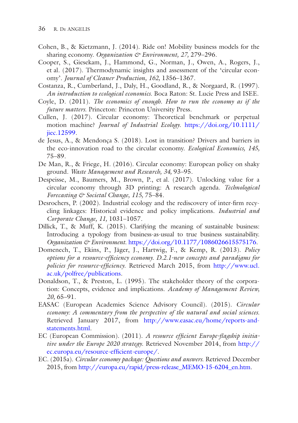- Cohen, B., & Kietzmann, J. (2014). Ride on! Mobility business models for the sharing economy. *Organization & Environment, 27,* 279–296.
- <span id="page-50-6"></span>Cooper, S., Giesekam, J., Hammond, G., Norman, J., Owen, A., Rogers, J., et al. (2017). Thermodynamic insights and assessment of the 'circular economy'. *Journal of Cleaner Production, 162,* 1356–1367.
- Costanza, R., Cumberland, J., Daly, H., Goodland, R., & Norgaard, R. (1997). *An introduction to ecological economics*. Boca Raton: St. Lucie Press and ISEE.
- Coyle, D. (2011). *The economics of enough. How to run the economy as if the future matters*. Princeton: Princeton University Press.
- <span id="page-50-5"></span>Cullen, J. (2017). Circular economy: Theoretical benchmark or perpetual motion machine? *Journal of Industrial Ecology*. [https://doi.org/10.1111/](http://dx.doi.org/10.1111/jiec.12599) [jiec.12599](http://dx.doi.org/10.1111/jiec.12599).
- <span id="page-50-2"></span>de Jesus, A., & Mendonça S. (2018). Lost in transition? Drivers and barriers in the eco-innovation road to the circular economy. *Ecological Economics, 145,* 75–89.
- <span id="page-50-3"></span>De Man, R., & Friege, H. (2016). Circular economy: European policy on shaky ground. *Waste Management and Research, 34,* 93–95.
- <span id="page-50-4"></span>Despeisse, M., Baumers, M., Brown, P., et al. (2017). Unlocking value for a circular economy through 3D printing: A research agenda. *Technological Forecasting & Societal Change, 115,* 75–84.
- <span id="page-50-7"></span>Desrochers, P. (2002). Industrial ecology and the rediscovery of inter-frm recycling linkages: Historical evidence and policy implications. *Industrial and Corporate Change, 11,* 1031–1057.
- Dillick, T., & Muff, K. (2015). Clarifying the meaning of sustainable business: Introducing a typology from business-as-usual to true business sustainability. *Organization & Environment*. [https://doi.org/10.1177/1086026615575176](http://dx.doi.org/10.1177/1086026615575176).
- <span id="page-50-8"></span>Domenech, T., Ekins, P., Jäger, J., Hartwig, F., & Kemp, R. (2013). *Policy options for a resource-effciency economy. D.2.1-new concepts and paradigms for policies for resource-effciency*. Retrieved March 2015, from [http://www.ucl.](http://www.ucl.ac.uk/polfree/publications) [ac.uk/polfree/publications](http://www.ucl.ac.uk/polfree/publications).
- Donaldson, T., & Preston, L. (1995). The stakeholder theory of the corporation: Concepts, evidence and implications. *Academy of Management Review, 20,* 65–91.
- <span id="page-50-9"></span>EASAC (European Academies Science Advisory Council). (2015). *Circular economy: A commentary from the perspective of the natural and social sciences.* Retrieved January 2017, from [http://www.easac.eu/home/reports-and](http://www.easac.eu/home/reports-and-statements.html)[statements.html.](http://www.easac.eu/home/reports-and-statements.html)
- <span id="page-50-0"></span>EC (European Commission). (2011). *A resource effcient Europe-fagship initiative under the Europe 2020 strategy*. Retrieved November 2014, from [http://](http://ec.europa.eu/resource-efficient-europe/) ec.europa.eu/resource-efficient-europe/.
- <span id="page-50-1"></span>EC. (2015a). *Circular economy package: Questions and answers*. Retrieved December 2015, from [http://europa.eu/rapid/press-release\\_MEMO-15-6204\\_en.htm.](http://europa.eu/rapid/press-release_MEMO-15-6204_en.htm)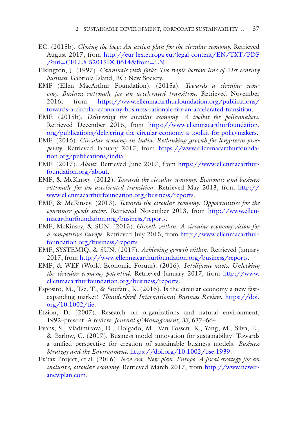- <span id="page-51-5"></span>EC. (2015b). *Closing the loop: An action plan for the circular economy*. Retrieved August 2017, from [http://eur-lex.europa.eu/legal-content/EN/TXT/PDF](http://eur-lex.europa.eu/legal-content/EN/TXT/PDF/%3furi%3dCELEX:52015DC0614%26from%3dEN) /?uri=[CELEX:52015DC0614&from](http://eur-lex.europa.eu/legal-content/EN/TXT/PDF/%3furi%3dCELEX:52015DC0614%26from%3dEN)=EN.
- Elkington, J. (1997). *Cannibals with forks: The triple bottom line of 21st century business*. Gabriola Island, BC: New Society.
- <span id="page-51-3"></span>EMF (Ellen MacArthur Foundation). (2015a). *Towards a circular economy. Business rationale for an accelerated transition.* Retrieved November 2016, from [https://www.ellenmacarthurfoundation.org/publications/](https://www.ellenmacarthurfoundation.org/publications/towards-a-circular-economy-business-rationale-for-an-accelerated-transition) [towards-a-circular-economy-business-rationale-for-an-accelerated-transition](https://www.ellenmacarthurfoundation.org/publications/towards-a-circular-economy-business-rationale-for-an-accelerated-transition).
- <span id="page-51-6"></span>EMF. (2015b). *Delivering the circular economy—A toolkit for policymakers*. Retrieved December 2016, from [https://www.ellenmacarthurfoundation.](https://www.ellenmacarthurfoundation.org/publications/delivering-the-circular-economy-a-toolkit-for-policymakers) [org/publications/delivering-the-circular-economy-a-toolkit-for-policymakers](https://www.ellenmacarthurfoundation.org/publications/delivering-the-circular-economy-a-toolkit-for-policymakers).
- <span id="page-51-7"></span>EMF. (2016). *Circular economy in India: Rethinking growth for long-term prosperity*. Retrieved January 2017, from [https://www.ellenmacarthurfounda](https://www.ellenmacarthurfoundation.org/publications/india)[tion.org/publications/india](https://www.ellenmacarthurfoundation.org/publications/india).
- <span id="page-51-9"></span>EMF. (2017). *About*. Retrieved June 2017, from [https://www.ellenmacarthur](https://www.ellenmacarthurfoundation.org/about)[foundation.org/about.](https://www.ellenmacarthurfoundation.org/about)
- <span id="page-51-1"></span>EMF, & McKinsey. (2012). *Towards the circular economy: Economic and business rationale for an accelerated transition*. Retrieved May 2013, from [http://](http://www.ellenmacarthurfoundation.org/business/reports) [www.ellenmacarthurfoundation.org/business/reports.](http://www.ellenmacarthurfoundation.org/business/reports)
- <span id="page-51-2"></span>EMF, & McKinsey. (2013). *Towards the circular economy: Opportunities for the consumer goods sector*. Retrieved November 2013, from [http://www.ellen](http://www.ellenmacarthurfoundation.org/business/reports)[macarthurfoundation.org/business/reports](http://www.ellenmacarthurfoundation.org/business/reports).
- <span id="page-51-0"></span>EMF, McKinsey, & SUN. (2015)*. Growth within: A circular economy vision for a competitive Europe.* Retrieved July 2015, from [http://www.ellenmacarthur](http://www.ellenmacarthurfoundation.org/business/reports)[foundation.org/business/reports.](http://www.ellenmacarthurfoundation.org/business/reports)
- <span id="page-51-8"></span>EMF, SYSTEMIQ, & SUN. (2017). *Achieving growth within*. Retrieved January 2017, from [http://www.ellenmacarthurfoundation.org/business/reports.](http://www.ellenmacarthurfoundation.org/business/reports)
- EMF, & WEF (World Economic Forum). (2016). *Intelligent assets: Unlocking the circular economy potential*. Retrieved January 2017, from [http://www.](http://www.ellenmacarthurfoundation.org/business/reports) [ellenmacarthurfoundation.org/business/reports](http://www.ellenmacarthurfoundation.org/business/reports).
- <span id="page-51-4"></span>Esposito, M., Tse, T., & Soufani, K. (2016). Is the circular economy a new fastexpanding market? *Thunderbird International Business Review*. [https://doi.](http://dx.doi.org/10.1002/tie) [org/10.1002/tie.](http://dx.doi.org/10.1002/tie)
- Etzion, D. (2007). Research on organizations and natural environment, 1992–present: A review. *Journal of Management, 33,* 637–664.
- Evans, S., Vladimirova, D., Holgado, M., Van Fossen, K., Yang, M., Silva, E., & Barlow, C. (2017). Business model innovation for sustainability: Towards a unifed perspective for creation of sustainable business models. *Business Strategy and the Environment*. [https://doi.org/10.1002/bse.1939](http://dx.doi.org/10.1002/bse.1939).
- <span id="page-51-10"></span>Ex'tax Project, et al. (2016). *New era. New plan. Europe. A fscal strategy for an inclusive, circular economy.* Retrieved March 2017, from [http://www.newer](http://www.neweranewplan.com)[anewplan.com.](http://www.neweranewplan.com)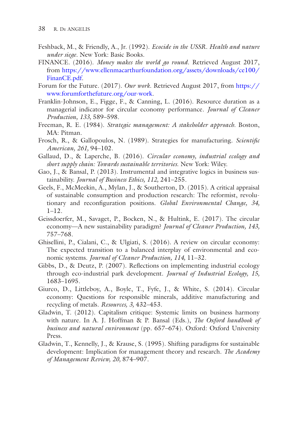- Feshback, M., & Friendly, A., Jr. (1992). *Ecocide in the USSR. Health and nature under siege*. New York: Basic Books.
- <span id="page-52-0"></span>FINANCE. (2016). *Money makes the world go round*. Retrieved August 2017, from [https://www.ellenmacarthurfoundation.org/assets/downloads/ce100/](https://www.ellenmacarthurfoundation.org/assets/downloads/ce100/FinanCE.pdf) [FinanCE.pdf](https://www.ellenmacarthurfoundation.org/assets/downloads/ce100/FinanCE.pdf).
- <span id="page-52-2"></span>Forum for the Future. (2017). *Our work*. Retrieved August 2017, from [https://](https://www.forumforthefuture.org/our-work) [www.forumforthefuture.org/our-work.](https://www.forumforthefuture.org/our-work)
- Franklin-Johnson, E., Figge, F., & Canning, L. (2016). Resource duration as a managerial indicator for circular economy performance. *Journal of Cleaner Production, 133,* 589–598.
- Freeman, R. E. (1984). *Strategic management: A stakeholder approach*. Boston, MA: Pitman.
- <span id="page-52-7"></span>Frosch, R., & Gallopoulos, N. (1989). Strategies for manufacturing. *Scientifc American, 261,* 94–102.
- <span id="page-52-5"></span>Gallaud, D., & Laperche, B. (2016). *Circular economy, industrial ecology and short supply chain: Towards sustainable territories*. New York: Wiley.
- Gao, J., & Bansal, P. (2013). Instrumental and integrative logics in business sustainability. *Journal of Business Ethics, 112,* 241–255.
- Geels, F., McMeekin, A., Mylan, J., & Southerton, D. (2015). A critical appraisal of sustainable consumption and production research: The reformist, revolutionary and reconfguration positions. *Global Environmental Change, 34,*  $1-12$ .
- <span id="page-52-4"></span>Geissdoerfer, M., Savaget, P., Bocken, N., & Hultink, E. (2017). The circular economy—A new sustainability paradigm? *Journal of Cleaner Production, 143,* 757–768.
- <span id="page-52-1"></span>Ghisellini, P., Cialani, C., & Ulgiati, S. (2016). A review on circular economy: The expected transition to a balanced interplay of environmental and economic systems. *Journal of Cleaner Production, 114,* 11–32.
- <span id="page-52-6"></span>Gibbs, D., & Deutz, P. (2007). Refections on implementing industrial ecology through eco-industrial park development. *Journal of Industrial Ecology, 15,* 1683–1695.
- <span id="page-52-3"></span>Giurco, D., Littleboy, A., Boyle, T., Fyfe, J., & White, S. (2014). Circular economy: Questions for responsible minerals, additive manufacturing and recycling of metals. *Resources, 3,* 432–453.
- Gladwin, T. (2012). Capitalism critique: Systemic limits on business harmony with nature. In A. J. Hoffman & P. Bansal (Eds.), *The Oxford handbook of business and natural environment* (pp. 657–674). Oxford: Oxford University Press.
- Gladwin, T., Kennelly, J., & Krause, S. (1995). Shifting paradigms for sustainable development: Implication for management theory and research. *The Academy of Management Review, 20,* 874–907.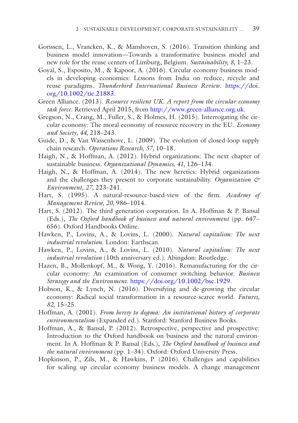- Gorissen, L., Vrancken, K., & Manshoven, S. (2016). Transition thinking and business model innovation—Towards a transformative business model and new role for the reuse centers of Limburg, Belgium. *Sustainability, 8,* 1–23.
- Goyal, S., Esposito, M., & Kapoor, A. (2016). Circular economy business models in developing economies: Lessons from India on reduce, recycle and reuse paradigms. *Thunderbird International Business Review*. [https://doi.](http://dx.doi.org/10.1002/tie.21883) [org/10.1002/tie.21883](http://dx.doi.org/10.1002/tie.21883).
- <span id="page-53-0"></span>Green Alliance. (2013). *Resource resilient UK. A report from the circular economy task force.* Retrieved April 2015, from <http://www.green-alliance.org.uk>.
- Gregson, N., Crang, M., Fuller, S., & Holmes, H. (2015). Interrogating the circular economy: The moral economy of resource recovery in the EU. *Economy and Society, 44,* 218–243.
- <span id="page-53-4"></span>Guide, D., & Van Wassenhove, L. (2009). The evolution of closed-loop supply chain research. *Operations Research, 57,* 10–18.
- <span id="page-53-1"></span>Haigh, N., & Hoffman, A. (2012). Hybrid organizations: The next chapter of sustainable business. *Organizational Dynamics, 41,* 126–134.
- Haigh, N., & Hoffman, A. (2014). The new heretics: Hybrid organizations and the challenges they present to corporate sustainability. *Organization & Environment, 27,* 223–241.
- Hart, S. (1995). A natural-resource-based-view of the frm. *Academy of Management Review, 20,* 986–1014.
- Hart, S. (2012). The third generation corporation. In A. Hoffman & P. Bansal (Eds.), *The Oxford handbook of business and natural environment* (pp. 647– 656). Oxford Handbooks Online.
- <span id="page-53-3"></span>Hawken, P., Lovins, A., & Lovins, L. (2000). *Natural capitalism: The next industrial revolution*. London: Earthscan.
- Hawken, P., Lovins, A., & Lovins, L. (2010). *Natural capitalism: The next industrial revolution* (10th anniversary ed.). Abingdon: Routledge.
- <span id="page-53-2"></span>Hazen, B., Mollenkopf, M., & Wong, Y. (2016). Remanufacturing for the circular economy: An examination of consumer switching behavior. *Business Strategy and the Environment*. [https://doi.org/10.1002/bse.1929](http://dx.doi.org/10.1002/bse.1929).
- Hobson, K., & Lynch, N. (2016). Diversifying and de-growing the circular economy: Radical social transformation in a resource-scarce world. *Futures, 82,* 15–25.
- Hoffman, A. (2001). *From heresy to dogma: An institutional history of corporate environmentalism* (Expanded ed.). Stanford: Stanford Business Books.
- Hoffman, A., & Bansal, P. (2012). Retrospective, perspective and prospective: Introduction to the Oxford handbook on business and the natural environment. In A. Hoffman & P. Bansal (Eds.), *The Oxford handbook of business and the natural environment* (pp. 1–34). Oxford: Oxford University Press.
- Hopkinson, P., Zils, M., & Hawkins, P. (2016). Challenges and capabilities for scaling up circular economy business models. A change management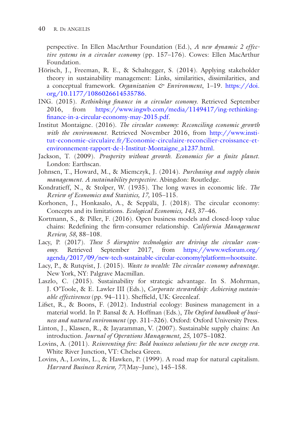perspective. In Ellen MacArthur Foundation (Ed.), *A new dynamic 2 effective systems in a circular economy* (pp. 157–176). Cowes: Ellen MacArthur Foundation.

- Hörisch, J., Freeman, R. E., & Schaltegger, S. (2014). Applying stakeholder theory in sustainability management: Links, similarities, dissimilarities, and a conceptual framework. *Organization & Environment*, 1–19. [https://doi.](http://dx.doi.org/10.1177/1086026614535786) [org/10.1177/1086026614535786.](http://dx.doi.org/10.1177/1086026614535786)
- ING. (2015). *Rethinking fnance in a circular economy*. Retrieved September 2016, from [https://www.ingwb.com/media/1149417/ing-rethinking](https://www.ingwb.com/media/1149417/ing-rethinking-finance-in-a-circular-economy-may-2015.pdf)[fnance-in-a-circular-economy-may-2015.pdf](https://www.ingwb.com/media/1149417/ing-rethinking-finance-in-a-circular-economy-may-2015.pdf).
- Institut Montaigne. (2016). *The circular economy: Reconciling economic growth with the environment.* Retrieved November 2016, from [http://www.insti](http://www.institut-economie-circulaire.fr/Economie-circulaire-reconcilier-croissance-et-environnement-rapport-de-l-Institut-Montaigne_a1237.html)[tut-economie-circulaire.fr/Economie-circulaire-reconcilier-croissance-et](http://www.institut-economie-circulaire.fr/Economie-circulaire-reconcilier-croissance-et-environnement-rapport-de-l-Institut-Montaigne_a1237.html)[environnement-rapport-de-l-Institut-Montaigne\\_a1237.html.](http://www.institut-economie-circulaire.fr/Economie-circulaire-reconcilier-croissance-et-environnement-rapport-de-l-Institut-Montaigne_a1237.html)
- Jackson, T. (2009). *Prosperity without growth. Economics for a fnite planet*. London: Earthscan.
- Johnsen, T., Howard, M., & Miemczyk, J. (2014). *Purchasing and supply chain management. A sustainability perspective*. Abingdon: Routledge.
- Kondratieff, N., & Stolper, W. (1935). The long waves in economic life. *The Review of Economics and Statistics, 17,* 105–115.
- Korhonen, J., Honkasalo, A., & Seppälä, J. (2018). The circular economy: Concepts and its limitations. *Ecological Economics, 143,* 37–46.
- Kortmann, S., & Piller, F. (2016). Open business models and closed-loop value chains: Redefning the frm-consumer relationship. *California Management Review, 58,* 88–108.
- Lacy, P. (2017). *These 5 disruptive technologies are driving the circular economy*. Retrieved September 2017, from [https://www.weforum.org/](https://www.weforum.org/agenda/2017/09/new-tech-sustainable-circular-economy%3fplatform%3dhootsuite) [agenda/2017/09/new-tech-sustainable-circular-economy?platform](https://www.weforum.org/agenda/2017/09/new-tech-sustainable-circular-economy%3fplatform%3dhootsuite)=hootsuite.
- Lacy, P., & Rutqvist, J. (2015). *Waste to wealth: The circular economy advantage*. New York, NY: Palgrave Macmillan.
- Laszlo, C. (2015). Sustainability for strategic advantage. In S. Mohrman, J. O'Toole, & E. Lawler III (Eds.), *Corporate stewardship: Achieving sustainable effectiveness* (pp. 94–111). Sheffeld, UK: Greenleaf.
- Lifset, R., & Boons, F. (2012). Industrial ecology: Business management in a material world. In P. Bansal & A. Hoffman (Eds.), *The Oxford handbook of business and natural environment* (pp. 311–326). Oxford: Oxford University Press.
- Linton, J., Klassen, R., & Jayaramman, V. (2007). Sustainable supply chains: An introduction. *Journal of Operations Management, 25,* 1075–1082.
- Lovins, A. (2011). *Reinventing fre: Bold business solutions for the new energy era*. White River Junction, VT: Chelsea Green.
- Lovins, A., Lovins, L., & Hawken, P. (1999). A road map for natural capitalism. *Harvard Business Review, 77*(May–June), 145–158.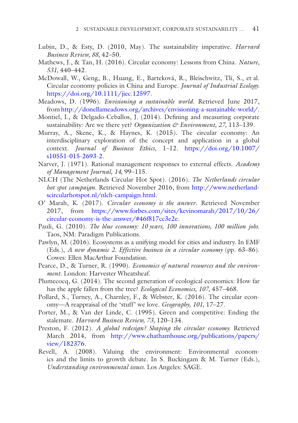- Lubin, D., & Esty, D. (2010, May). The sustainability imperative. *Harvard Business Review, 88,* 42–50.
- Mathews, J., & Tan, H. (2016). Circular economy: Lessons from China. *Nature, 531,* 440–442.
- McDowall, W., Geng, B., Huang, E., Barteková, R., Bleischwitz, Tli, S., et al. Circular economy policies in China and Europe. *Journal of Industrial Ecology.* [https://doi.org/10.1111/jiec.12597.](http://dx.doi.org/10.1111/jiec.12597)
- Meadows, D. (1996). *Envisioning a sustainable world*. Retrieved June 2017, from<http://donellameadows.org/archives/envisioning-a-sustainable-world/>.
- <span id="page-55-4"></span>Montiel, I., & Delgado-Ceballos, J. (2014). Defning and measuring corporate sustainability: Are we there yet? *Organization & Environment, 27,* 113–139.
- <span id="page-55-0"></span>Murray, A., Skene, K., & Haynes, K. (2015). The circular economy: An interdisciplinary exploration of the concept and application in a global context. *Journal of Business Ethics*, 1–12. [https://doi.org/10.1007/](http://dx.doi.org/10.1007/s10551-015-2693-2) [s10551-015-2693-2](http://dx.doi.org/10.1007/s10551-015-2693-2).
- Narver, J. (1971). Rational management responses to external effects. *Academy of Management Journal, 14,* 99–115.
- <span id="page-55-3"></span>NLCH (The Netherlands Circular Hot Spot). (2016). *The Netherlands circular hot spot campaign.* Retrieved November 2016, from [http://www.netherland](http://www.netherlandscircularhotspot.nl/nlch-campaign.html)[scircularhotspot.nl/nlch-campaign.html.](http://www.netherlandscircularhotspot.nl/nlch-campaign.html)
- <span id="page-55-1"></span>O' Marah, K. (2017). *Circular economy is the answer*. Retrieved November 2017, from [https://www.forbes.com/sites/kevinomarah/2017/10/26/](https://www.forbes.com/sites/kevinomarah/2017/10/26/circular-economy-is-the-answer/#46f817cc3e2e) [circular-economy-is-the-answer/#46f817cc3e2e.](https://www.forbes.com/sites/kevinomarah/2017/10/26/circular-economy-is-the-answer/#46f817cc3e2e)
- <span id="page-55-6"></span>Pauli, G. (2010). *The blue economy: 10 years, 100 innovations, 100 million jobs*. Taos, NM: Paradigm Publications.
- Pawlyn, M. (2016). Ecosystems as a unifying model for cities and industry. In EMF (Eds.), *A new dynamic 2. Effective business in a circular economy* (pp. 63–86). Cowes: Ellen MacArthur Foundation.
- <span id="page-55-5"></span>Pearce, D., & Turner, R. (1990). *Economics of natural resources and the environment.* London: Harvester Wheatsheaf.
- Plumecocq, G. (2014). The second generation of ecological economics: How far has the apple fallen from the tree? *Ecological Economics, 107,* 457–468.
- <span id="page-55-7"></span>Pollard, S., Turney, A., Charnley, F., & Webster, K. (2016). The circular economy—A reappraisal of the 'stuff' we love. *Geography, 101,* 17–27.
- Porter, M., & Van der Linde, C. (1995). Green and competitive: Ending the stalemate. *Harvard Business Review, 73,* 120–134.
- <span id="page-55-2"></span>Preston, F. (2012). *A global redesign? Shaping the circular economy.* Retrieved March 2014, from [http://www.chathamhouse.org/publications/papers/](http://www.chathamhouse.org/publications/papers/view/182376) [view/182376.](http://www.chathamhouse.org/publications/papers/view/182376)
- Revell, A. (2008). Valuing the environment: Environmental economics and the limits to growth debate. In S. Buckingam & M. Turner (Eds.), *Understanding environmental issues.* Los Angeles: SAGE.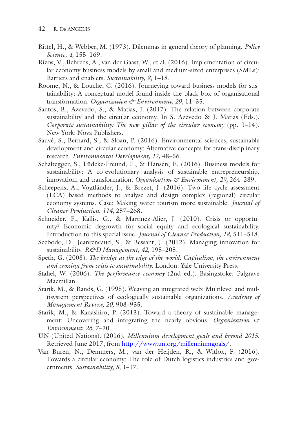- <span id="page-56-4"></span>Rittel, H., & Webber, M. (1973). Dilemmas in general theory of planning. *Policy Science, 4,* 155–169.
- <span id="page-56-5"></span>Rizos, V., Behrens, A., van der Gaast, W., et al. (2016). Implementation of circular economy business models by small and medium-sized enterprises (SMEs): Barriers and enablers. *Sustainability, 8,* 1–18.
- Roome, N., & Louche, C. (2016). Journeying toward business models for sustainability: A conceptual model found inside the black box of organisational transformation. *Organization & Environment, 29,* 11–35.
- <span id="page-56-2"></span>Santos, B., Azevedo, S., & Matias, J. (2017). The relation between corporate sustainability and the circular economy. In S. Azevedo & J. Matias (Eds.), *Corporate sustainability: The new pillar of the circular economy* (pp. 1–14). New York: Nova Publishers.
- <span id="page-56-3"></span>Sauvé, S., Bernard, S., & Sloan, P. (2016). Environmental sciences, sustainable development and circular economy: Alternative concepts for trans-disciplinary research. *Environmental Development, 17,* 48–56.
- Schaltegger, S., Lüdeke-Freund, F., & Hansen, E. (2016). Business models for sustainability: A co-evolutionary analysis of sustainable entrepreneurship, innovation, and transformation. *Organization & Environment, 29,* 264–289.
- <span id="page-56-7"></span>Scheepens, A., Vogtländer, J., & Brezet, J. (2016). Two life cycle assessment (LCA) based methods to analyse and design complex (regional) circular economy systems. Case: Making water tourism more sustainable. *Journal of Cleaner Production, 114,* 257–268.
- Schneider, F., Kallis, G., & Martinez-Alier, J. (2010). Crisis or opportunity? Economic degrowth for social equity and ecological sustainability. Introduction to this special issue. *Journal of Cleaner Production, 18,* 511–518.
- Seebode, D., Jeanreneaud, S., & Bessant, J. (2012). Managing innovation for sustainability. *R&D Management, 42,* 195–205.
- Speth, G. (2008). *The bridge at the edge of the world: Capitalism, the environment and crossing from crisis to sustainability*. London: Yale University Press.
- <span id="page-56-6"></span>Stahel, W. (2006). *The performance economy* (2nd ed.). Basingstoke: Palgrave Macmillan.
- Starik, M., & Rands, G. (1995). Weaving an integrated web: Multilevel and multisystem perspectives of ecologically sustainable organizations. *Academy of Management Review, 20,* 908–935.
- Starik, M., & Kanashiro, P. (2013). Toward a theory of sustainable management: Uncovering and integrating the nearly obvious. *Organization & Environment, 26,* 7–30.
- <span id="page-56-1"></span>UN (United Nations). (2016). *Millennium development goals and beyond 2015*. Retrieved June 2017, from <http://www.un.org/millenniumgoals/>.
- <span id="page-56-0"></span>Van Buren, N., Demmers, M., van der Heijden, R., & Witlox, F. (2016). Towards a circular economy: The role of Dutch logistics industries and governments. *Sustainability, 8,* 1–17.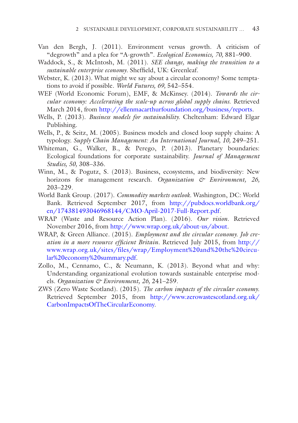- Van den Bergh, J. (2011). Environment versus growth. A criticism of "degrowth" and a plea for "A-growth". *Ecological Economics, 70,* 881–900.
- <span id="page-57-5"></span>Waddock, S., & McIntosh, M. (2011). *SEE change, making the transition to a sustainable enterprise economy*. Sheffeld, UK: Greenleaf.
- <span id="page-57-8"></span>Webster, K. (2013). What might we say about a circular economy? Some temptations to avoid if possible. *World Futures, 69,* 542–554.
- <span id="page-57-3"></span>WEF (World Economic Forum), EMF, & McKinsey. (2014). *Towards the circular economy: Accelerating the scale-up across global supply chains.* Retrieved March 2014, from <http://ellenmacarthurfoundation.org/business/reports>.
- <span id="page-57-6"></span>Wells, P. (2013). *Business models for sustainability.* Cheltenham: Edward Elgar Publishing.
- <span id="page-57-7"></span>Wells, P., & Seitz, M. (2005). Business models and closed loop supply chains: A typology. *Supply Chain Management: An International Journal, 10,* 249–251.
- Whiteman, G., Walker, B., & Perego, P. (2013). Planetary boundaries: Ecological foundations for corporate sustainability. *Journal of Management Studies, 50,* 308–336.
- Winn, M., & Pogutz, S. (2013). Business, ecosystems, and biodiversity: New horizons for management research. *Organization & Environment, 26,* 203–229.
- World Bank Group. (2017). *Commodity markets outlook*. Washington, DC: World Bank. Retrieved September 2017, from [http://pubdocs.worldbank.org/](http://pubdocs.worldbank.org/en/174381493046968144/CMO-April-2017-Full-Report.pdf) [en/174381493046968144/CMO-April-2017-Full-Report.pdf](http://pubdocs.worldbank.org/en/174381493046968144/CMO-April-2017-Full-Report.pdf).
- <span id="page-57-2"></span>WRAP (Waste and Resource Action Plan). (2016). *Our vision.* Retrieved November 2016, from<http://www.wrap.org.uk/about-us/about>.
- <span id="page-57-0"></span>WRAP, & Green Alliance. (2015). *Employment and the circular economy. Job creation in a more resource effcient Britain.* Retrieved July 2015, from [http://](http://www.wrap.org.uk/sites/files/wrap/Employment%20and%20the%20circular%20economy%20summary.pdf) [www.wrap.org.uk/sites/files/wrap/Employment%20and%20the%20circu](http://www.wrap.org.uk/sites/files/wrap/Employment%20and%20the%20circular%20economy%20summary.pdf)[lar%20economy%20summary.pdf](http://www.wrap.org.uk/sites/files/wrap/Employment%20and%20the%20circular%20economy%20summary.pdf).
- <span id="page-57-4"></span>Zollo, M., Cennamo, C., & Neumann, K. (2013). Beyond what and why: Understanding organizational evolution towards sustainable enterprise models. *Organization & Environment, 26,* 241–259.
- <span id="page-57-1"></span>ZWS (Zero Waste Scotland). (2015). *The carbon impacts of the circular economy*. Retrieved September 2015, from [http://www.zerowastescotland.org.uk/](http://www.zerowastescotland.org.uk/CarbonImpactsOfTheCircularEconomy) [CarbonImpactsOfTheCircularEconomy](http://www.zerowastescotland.org.uk/CarbonImpactsOfTheCircularEconomy).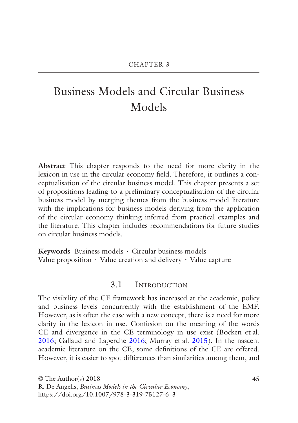# Business Models and Circular Business Models

**Abstract** This chapter responds to the need for more clarity in the lexicon in use in the circular economy feld. Therefore, it outlines a conceptualisation of the circular business model. This chapter presents a set of propositions leading to a preliminary conceptualisation of the circular business model by merging themes from the business model literature with the implications for business models deriving from the application of the circular economy thinking inferred from practical examples and the literature. This chapter includes recommendations for future studies on circular business models.

**Keywords** Business models · Circular business models Value proposition  $\cdot$  Value creation and delivery  $\cdot$  Value capture

# 3.1 Introduction

The visibility of the CE framework has increased at the academic, policy and business levels concurrently with the establishment of the EMF. However, as is often the case with a new concept, there is a need for more clarity in the lexicon in use. Confusion on the meaning of the words CE and divergence in the CE terminology in use exist (Bocken et al. 2016; Gallaud and Laperche 2016; Murray et al. 2015). In the nascent academic literature on the CE, some defnitions of the CE are offered. However, it is easier to spot differences than similarities among them, and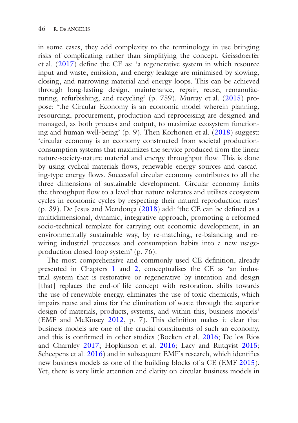in some cases, they add complexity to the terminology in use bringing risks of complicating rather than simplifying the concept. Geissdoerfer et al. (2017) defne the CE as: 'a regenerative system in which resource input and waste, emission, and energy leakage are minimised by slowing, closing, and narrowing material and energy loops. This can be achieved through long-lasting design, maintenance, repair, reuse, remanufacturing, refurbishing, and recycling' (p. 759). Murray et al. (2015) propose: 'the Circular Economy is an economic model wherein planning, resourcing, procurement, production and reprocessing are designed and managed, as both process and output, to maximize ecosystem functioning and human well-being' (p. 9). Then Korhonen et al. (2018) suggest: 'circular economy is an economy constructed from societal productionconsumption systems that maximizes the service produced from the linear nature-society-nature material and energy throughput flow. This is done by using cyclical materials fows, renewable energy sources and cascading-type energy fows. Successful circular economy contributes to all the three dimensions of sustainable development. Circular economy limits the throughput fow to a level that nature tolerates and utilises ecosystem cycles in economic cycles by respecting their natural reproduction rates' (p. 39). De Jesus and Mendonça (2018) add: 'the CE can be defned as a multidimensional, dynamic, integrative approach, promoting a reformed socio-technical template for carrying out economic development, in an environmentally sustainable way, by re-matching, re-balancing and rewiring industrial processes and consumption habits into a new usageproduction closed-loop system' (p. 76).

The most comprehensive and commonly used CE defnition, already presented in Chapters [1](http://dx.doi.org/10.1007/978-3-319-75127-6_1) and [2,](http://dx.doi.org/10.1007/978-3-319-75127-6_2) conceptualises the CE as 'an industrial system that is restorative or regenerative by intention and design [that] replaces the end-of life concept with restoration, shifts towards the use of renewable energy, eliminates the use of toxic chemicals, which impairs reuse and aims for the elimination of waste through the superior design of materials, products, systems, and within this, business models' (EMF and McKinsey 2012, p. 7). This defnition makes it clear that business models are one of the crucial constituents of such an economy, and this is confrmed in other studies (Bocken et al. 2016; De los Rios and Charnley 2017; Hopkinson et al. 2016; Lacy and Rutqvist 2015; Scheepens et al. 2016) and in subsequent EMF's research, which identifes new business models as one of the building blocks of a CE (EMF 2015). Yet, there is very little attention and clarity on circular business models in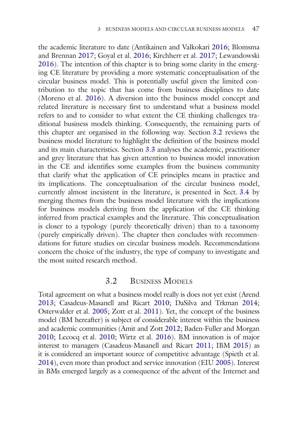the academic literature to date (Antikainen and Valkokari 2016; Blomsma and Brennan 2017; Goyal et al. 2016; Kirchherr et al. 2017; Lewandowski 2016). The intention of this chapter is to bring some clarity in the emerging CE literature by providing a more systematic conceptualisation of the circular business model. This is potentially useful given the limited contribution to the topic that has come from business disciplines to date (Moreno et al.  $2016$ ). A diversion into the business model concept and related literature is necessary frst to understand what a business model refers to and to consider to what extent the CE thinking challenges traditional business models thinking. Consequently, the remaining parts of this chapter are organised in the following way. Section 3.2 reviews the business model literature to highlight the defnition of the business model and its main characteristics. Section 3.3 analyses the academic, practitioner and grey literature that has given attention to business model innovation in the CE and identifes some examples from the business community that clarify what the application of CE principles means in practice and its implications. The conceptualisation of the circular business model, currently almost inexistent in the literature, is presented in Sect. 3.4 by merging themes from the business model literature with the implications for business models deriving from the application of the CE thinking inferred from practical examples and the literature. This conceptualisation is closer to a typology (purely theoretically driven) than to a taxonomy (purely empirically driven). The chapter then concludes with recommendations for future studies on circular business models. Recommendations concern the choice of the industry, the type of company to investigate and the most suited research method.

# 3.2 Business Models

Total agreement on what a business model really is does not yet exist (Arend 2013; Casadeus-Masanell and Ricart 2010; DaSilva and Trkman 2014; Osterwalder et al. 2005; Zott et al. 2011). Yet, the concept of the business model (BM hereafter) is subject of considerable interest within the business and academic communities (Amit and Zott 2012; Baden-Fuller and Morgan 2010; Lecocq et al. 2010; Wirtz et al. 2016). BM innovation is of major interest to managers (Casadeus-Masanell and Ricart 2011; IBM 2015) as it is considered an important source of competitive advantage (Spieth et al. 2014), even more than product and service innovation (EIU 2005). Interest in BMs emerged largely as a consequence of the advent of the Internet and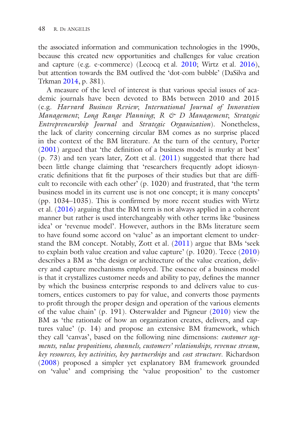the associated information and communication technologies in the 1990s, because this created new opportunities and challenges for value creation and capture (e.g. e-commerce) (Lecocq et al. 2010; Wirtz et al. 2016), but attention towards the BM outlived the 'dot-com bubble' (DaSilva and Trkman 2014, p. 381).

A measure of the level of interest is that various special issues of academic journals have been devoted to BMs between 2010 and 2015 (e.g. *Harvard Business Review*; *International Journal of Innovation Management*; *Long Range Planning*; *R & D Management*; *Strategic Entrepreneurship Journal* and *Strategic Organization*). Nonetheless, the lack of clarity concerning circular BM comes as no surprise placed in the context of the BM literature. At the turn of the century, Porter (2001) argued that 'the defnition of a business model is murky at best' (p. 73) and ten years later, Zott et al. (2011) suggested that there had been little change claiming that 'researchers frequently adopt idiosyncratic defnitions that ft the purposes of their studies but that are diffcult to reconcile with each other' (p. 1020) and frustrated, that 'the term business model in its current use is not one concept; it is many concepts' (pp. 1034–1035). This is confrmed by more recent studies with Wirtz et al. (2016) arguing that the BM term is not always applied in a coherent manner but rather is used interchangeably with other terms like 'business idea' or 'revenue model'. However, authors in the BMs literature seem to have found some accord on 'value' as an important element to understand the BM concept. Notably, Zott et al.  $(2011)$  argue that BMs 'seek to explain both value creation and value capture' (p. 1020). Teece (2010) describes a BM as 'the design or architecture of the value creation, delivery and capture mechanisms employed. The essence of a business model is that it crystallizes customer needs and ability to pay, defnes the manner by which the business enterprise responds to and delivers value to customers, entices customers to pay for value, and converts those payments to proft through the proper design and operation of the various elements of the value chain' (p. 191). Osterwalder and Pigneur (2010) view the BM as 'the rationale of how an organization creates, delivers, and captures value' (p. 14) and propose an extensive BM framework, which they call 'canvas', based on the following nine dimensions: *customer segments, value propositions, channels, customers' relationships, revenue stream, key resources, key activities, key partnerships* and *cost structure*. Richardson (2008) proposed a simpler yet explanatory BM framework grounded on 'value' and comprising the 'value proposition' to the customer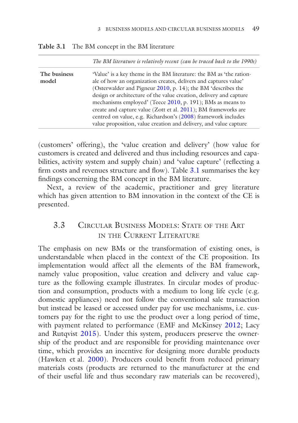|                       | The BM literature is relatively recent (can be traced back to the 1990s)                                                                                                                                                                                                                                                                                                                                                                                                                                                                            |
|-----------------------|-----------------------------------------------------------------------------------------------------------------------------------------------------------------------------------------------------------------------------------------------------------------------------------------------------------------------------------------------------------------------------------------------------------------------------------------------------------------------------------------------------------------------------------------------------|
| The business<br>model | 'Value' is a key theme in the BM literature: the BM as 'the ration-<br>ale of how an organization creates, delivers and captures value'<br>(Osterwalder and Pigneur 2010, p. 14); the BM 'describes the<br>design or architecture of the value creation, delivery and capture<br>mechanisms employed' (Teece 2010, p. 191); BMs as means to<br>create and capture value (Zott et al. 2011); BM frameworks are<br>centred on value, e.g. Richardson's (2008) framework includes<br>value proposition, value creation and delivery, and value capture |
|                       |                                                                                                                                                                                                                                                                                                                                                                                                                                                                                                                                                     |

(customers' offering), the 'value creation and delivery' (how value for customers is created and delivered and thus including resources and capabilities, activity system and supply chain) and 'value capture' (refecting a firm costs and revenues structure and flow). Table 3.1 summarises the key fndings concerning the BM concept in the BM literature.

Next, a review of the academic, practitioner and grey literature which has given attention to BM innovation in the context of the CE is presented.

# 3.3 Circular Business Models: State of the Art in the Current Literature

The emphasis on new BMs or the transformation of existing ones, is understandable when placed in the context of the CE proposition. Its implementation would affect all the elements of the BM framework, namely value proposition, value creation and delivery and value capture as the following example illustrates. In circular modes of production and consumption, products with a medium to long life cycle (e.g. domestic appliances) need not follow the conventional sale transaction but instead be leased or accessed under pay for use mechanisms, i.e. customers pay for the right to use the product over a long period of time, with payment related to performance (EMF and McKinsey 2012; Lacy and Rutqvist 2015). Under this system, producers preserve the ownership of the product and are responsible for providing maintenance over time, which provides an incentive for designing more durable products (Hawken et al. 2000). Producers could beneft from reduced primary materials costs (products are returned to the manufacturer at the end of their useful life and thus secondary raw materials can be recovered),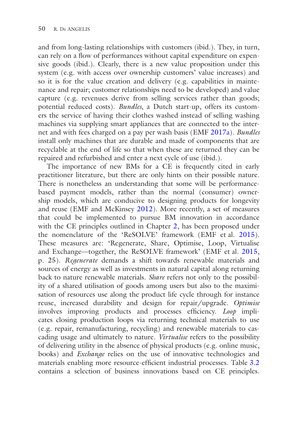and from long-lasting relationships with customers (ibid.). They, in turn, can rely on a flow of performances without capital expenditure on expensive goods (ibid.). Clearly, there is a new value proposition under this system (e.g. with access over ownership customers' value increases) and so it is for the value creation and delivery (e.g. capabilities in maintenance and repair; customer relationships need to be developed) and value capture (e.g. revenues derive from selling services rather than goods; potential reduced costs). *Bundles*, a Dutch start-up, offers its customers the service of having their clothes washed instead of selling washing machines via supplying smart appliances that are connected to the internet and with fees charged on a pay per wash basis (EMF 2017a). *Bundles* install only machines that are durable and made of components that are recyclable at the end of life so that when these are returned they can be repaired and refurbished and enter a next cycle of use (ibid.).

The importance of new BMs for a CE is frequently cited in early practitioner literature, but there are only hints on their possible nature. There is nonetheless an understanding that some will be performancebased payment models, rather than the normal (consumer) ownership models, which are conducive to designing products for longevity and reuse (EMF and McKinsey 2012). More recently, a set of measures that could be implemented to pursue BM innovation in accordance with the CE principles outlined in Chapter [2,](http://dx.doi.org/10.1007/978-3-319-75127-6_2) has been proposed under the nomenclature of the 'ReSOLVE' framework (EMF et al. 2015). These measures are: 'Regenerate, Share, Optimise, Loop, Virtualise and Exchange—together, the ReSOLVE framework' (EMF et al. 2015, p. 25). *Regenerate* demands a shift towards renewable materials and sources of energy as well as investments in natural capital along returning back to nature renewable materials. *Share* refers not only to the possibility of a shared utilisation of goods among users but also to the maximisation of resources use along the product life cycle through for instance reuse, increased durability and design for repair/upgrade. *Optimise* involves improving products and processes efficiency. *Loop* implicates closing production loops via returning technical materials to use (e.g. repair, remanufacturing, recycling) and renewable materials to cascading usage and ultimately to nature. *Virtualise* refers to the possibility of delivering utility in the absence of physical products (e.g. online music, books) and *Exchange* relies on the use of innovative technologies and materials enabling more resource-effcient industrial processes. Table 3.2 contains a selection of business innovations based on CE principles.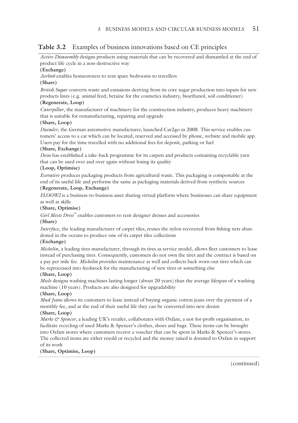### **Table 3.2** Examples of business innovations based on CE principles

*Active Disassembly* designs products using materials that can be recovered and dismantled at the end of product life cycle in a non-destructive way

#### **(Exchange)**

*Airbnb* enables homeowners to rent spare bedrooms to travellers

#### **(Share)**

*British Sugar* converts waste and emissions deriving from its core sugar production into inputs for new products lines (e.g. animal feed, betaine for the cosmetics industry, bioethanol, soil conditioner)

#### **(Regenerate, Loop)**

*Caterpillar*, the manufacturer of machinery for the construction industry, produces heavy machinery that is suitable for remanufacturing, repairing and upgrade

#### **(Share, Loop)**

*Daimler*, the German automotive manufacturer, launched Car2go in 2008. This service enables customers' access to a car which can be located, reserved and accessed by phone, website and mobile app. Users pay for the time travelled with no additional fees for deposit, parking or fuel

#### **(Share, Exchange)**

*Desso* has established a take-back programme for its carpets and products containing recyclable yarn that can be used over and over again without losing its quality

#### **(Loop, Optimise)**

*Ecovative* produces packaging products from agricultural waste. This packaging is compostable at the end of its useful life and performs the same as packaging materials derived from synthetic sources

#### **(Regenerate, Loop, Exchange)**

*FLOOW2* is a business-to-business asset sharing virtual platform where businesses can share equipment as well as skills

#### **(Share, Optimise)**

*Girl Meets Dress™* enables customers to rent designer dresses and accessories **(Share)**

*Interface*, the leading manufacturer of carpet tiles, reuses the nylon recovered from fishing nets abandoned in the oceans to produce one of its carpet tiles collections

#### **(Exchange)**

*Michelin*, a leading tires manufacturer, through its tires as service model, allows fleet customers to lease instead of purchasing tires. Consequently, customers do not own the tires and the contract is based on a pay per mile fee. *Michelin* provides maintenance as well and collects back worn-out tires which can be reprocessed into feedstock for the manufacturing of new tires or something else

#### **(Share, Loop)**

*Miele* designs washing machines lasting longer (about 20 years) than the average lifespan of a washing machine (10 years). Products are also designed for upgradability

#### **(Share, Loop)**

*Mud Jeans* allows its customers to lease instead of buying organic cotton jeans over the payment of a monthly fee, and at the end of their useful life they can be converted into new denim

#### **(Share, Loop)**

*Marks & Spencer*, a leading UK's retailer, collaborates with Oxfam, a not-for-proft organisation, to facilitate recycling of used Marks & Spencer's clothes, shoes and bags. These items can be brought into Oxfam stores where customers receive a voucher that can be spent in Marks & Spencer's stores. The collected items are either resold or recycled and the money raised is donated to Oxfam in support of its work

**(Share, Optimise, Loop)**

(continued)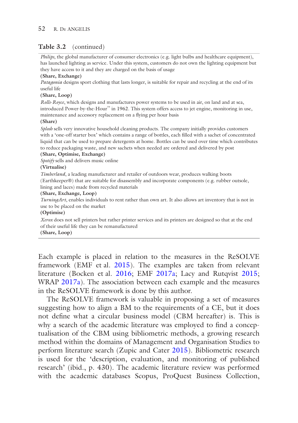#### **Table 3.2** (continued)

*Philips*, the global manufacturer of consumer electronics (e.g. light bulbs and healthcare equipment), has launched lighting as service. Under this system, customers do not own the lighting equipment but they have access to it and they are charged on the basis of usage

#### **(Share, Exchange)**

*Patagonia* designs sport clothing that lasts longer, is suitable for repair and recycling at the end of its useful life

#### **(Share, Loop)**

*Rolls*-*Royce*, which designs and manufactures power systems to be used in air, on land and at sea, introduced Power-by-the-Hour™ in 1962. This system offers access to jet engine, monitoring in use, maintenance and accessory replacement on a fying per hour basis

#### **(Share)**

*Splosh* sells very innovative household cleaning products. The company initially provides customers with a 'one-off starter box' which contains a range of bottles, each flled with a sachet of concentrated liquid that can be used to prepare detergents at home. Bottles can be used over time which contributes to reduce packaging waste, and new sachets when needed are ordered and delivered by post

#### **(Share, Optimise, Exchange)**

*Spotify* sells and delivers music online

#### **(Virtualise)**

*Timberland*, a leading manufacturer and retailer of outdoors wear, produces walking boots (Earthkeeper®) that are suitable for disassembly and incorporate components (e.g. rubber outsole, lining and laces) made from recycled materials

#### **(Share, Exchange, Loop)**

*TurningArt*, enables individuals to rent rather than own art. It also allows art inventory that is not in use to be placed on the market

#### **(Optimise)**

*Xerox* does not sell printers but rather printer services and its printers are designed so that at the end of their useful life they can be remanufactured

**(Share, Loop)**

Each example is placed in relation to the measures in the ReSOLVE framework (EMF et al. 2015). The examples are taken from relevant literature (Bocken et al. 2016; EMF 2017a; Lacy and Rutqvist 2015; WRAP 2017a). The association between each example and the measures in the ReSOLVE framework is done by this author.

The ReSOLVE framework is valuable in proposing a set of measures suggesting how to align a BM to the requirements of a CE, but it does not defne what a circular business model (CBM hereafter) is. This is why a search of the academic literature was employed to fnd a conceptualisation of the CBM using bibliometric methods, a growing research method within the domains of Management and Organisation Studies to perform literature search (Zupic and Cater 2015). Bibliometric research is used for the 'description, evaluation, and monitoring of published research' (ibid., p. 430). The academic literature review was performed with the academic databases Scopus, ProQuest Business Collection,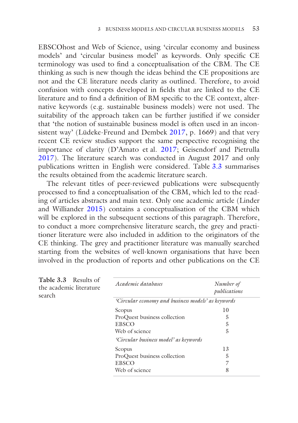EBSCOhost and Web of Science, using 'circular economy and business models' and 'circular business model' as keywords. Only specifc CE terminology was used to fnd a conceptualisation of the CBM. The CE thinking as such is new though the ideas behind the CE propositions are not and the CE literature needs clarity as outlined. Therefore, to avoid confusion with concepts developed in felds that are linked to the CE literature and to fnd a defnition of BM specifc to the CE context, alternative keywords (e.g. sustainable business models) were not used. The suitability of the approach taken can be further justifed if we consider that 'the notion of sustainable business model is often used in an inconsistent way' (Lüdeke-Freund and Dembek 2017, p. 1669) and that very recent CE review studies support the same perspective recognising the importance of clarity (D'Amato et al. 2017; Geisendorf and Pietrulla 2017). The literature search was conducted in August 2017 and only publications written in English were considered. Table 3.3 summarises the results obtained from the academic literature search.

The relevant titles of peer-reviewed publications were subsequently processed to fnd a conceptualisation of the CBM, which led to the reading of articles abstracts and main text. Only one academic article (Linder and Williander 2015) contains a conceptualisation of the CBM which will be explored in the subsequent sections of this paragraph. Therefore, to conduct a more comprehensive literature search, the grey and practitioner literature were also included in addition to the originators of the CE thinking. The grey and practitioner literature was manually searched starting from the websites of well-known organisations that have been involved in the production of reports and other publications on the CE

| <b>Table 3.3</b> Results of<br>the academic literature<br>search | Academic databases                                 | Number of<br>publications |  |
|------------------------------------------------------------------|----------------------------------------------------|---------------------------|--|
|                                                                  | 'Circular economy and business models' as keywords |                           |  |
|                                                                  | Scopus                                             | 10                        |  |
|                                                                  | ProQuest business collection                       | 5                         |  |
|                                                                  | <b>EBSCO</b>                                       | 5                         |  |
|                                                                  | Web of science                                     | 5                         |  |
|                                                                  | 'Circular business model' as keywords              |                           |  |
|                                                                  | Scopus                                             | 13                        |  |
|                                                                  | ProQuest business collection                       | 5                         |  |
|                                                                  | <b>EBSCO</b>                                       | 7                         |  |
|                                                                  | Web of science                                     | 8                         |  |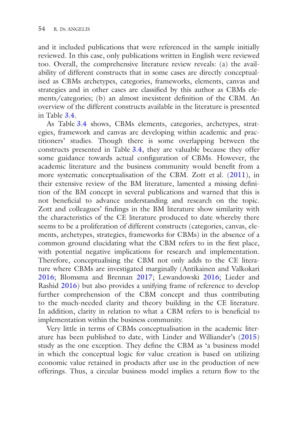and it included publications that were referenced in the sample initially reviewed. In this case, only publications written in English were reviewed too. Overall, the comprehensive literature review reveals: (a) the availability of different constructs that in some cases are directly conceptualised as CBMs archetypes, categories, frameworks, elements, canvas and strategies and in other cases are classifed by this author as CBMs elements/categories; (b) an almost inexistent defnition of the CBM. An overview of the different constructs available in the literature is presented in Table 3.4.

As Table 3.4 shows, CBMs elements, categories, archetypes, strategies, framework and canvas are developing within academic and practitioners' studies. Though there is some overlapping between the constructs presented in Table 3.4, they are valuable because they offer some guidance towards actual confguration of CBMs. However, the academic literature and the business community would beneft from a more systematic conceptualisation of the CBM. Zott et al. (2011), in their extensive review of the BM literature, lamented a missing defnition of the BM concept in several publications and warned that this is not benefcial to advance understanding and research on the topic. Zott and colleagues' fndings in the BM literature show similarity with the characteristics of the CE literature produced to date whereby there seems to be a proliferation of different constructs (categories, canvas, elements, archetypes, strategies, frameworks for CBMs) in the absence of a common ground elucidating what the CBM refers to in the frst place, with potential negative implications for research and implementation. Therefore, conceptualising the CBM not only adds to the CE literature where CBMs are investigated marginally (Antikainen and Valkokari 2016; Blomsma and Brennan 2017; Lewandowski 2016; Lieder and Rashid 2016) but also provides a unifying frame of reference to develop further comprehension of the CBM concept and thus contributing to the much-needed clarity and theory building in the CE literature. In addition, clarity in relation to what a CBM refers to is beneficial to implementation within the business community.

Very little in terms of CBMs conceptualisation in the academic literature has been published to date, with Linder and Williander's (2015) study as the one exception. They defne the CBM as 'a business model in which the conceptual logic for value creation is based on utilizing economic value retained in products after use in the production of new offerings. Thus, a circular business model implies a return fow to the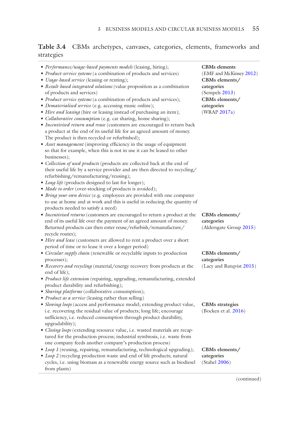## **Table 3.4** CBMs archetypes, canvases, categories, elements, frameworks and strategies

| • Performance/usage-based payments models (leasing, hiring);<br>• Product-service systems (a combination of products and services)<br>• Usage-based service (leasing or renting);<br>• Result-based integrated solutions (value proposition as a combination<br>of products and services)<br>• Product-service systems (a combination of products and services);<br>· Dematerialised service (e.g. accessing music online);<br>· Hire and leasing (hire or leasing instead of purchasing an item);<br>· Collaborative consumption (e.g. car sharing, home sharing);<br>• Incentivised return and reuse (customers are encouraged to return back<br>a product at the end of its useful life for an agreed amount of money.<br>The product is then recycled or refurbished);<br>• Asset management (improving efficiency in the usage of equipment<br>so that for example, when this is not in use it can be leased to other<br>businesses);<br>• Collection of used products (products are collected back at the end of<br>their useful life by a service provider and are then directed to recycling/<br>refurbishing/remanufacturing/reusing);<br>• Long life (products designed to last for longer);<br>· Made to order (over-stocking of products is avoided);<br>• Bring your own device (e.g. employees are provided with one computer<br>to use at home and at work and this is useful in reducing the quantity of | <b>CBMs</b> elements<br>(EMF and McKinsey 2012)<br>CBMs elements/<br>categories<br>(Sempels 2013)<br>CBMs elements/<br>categories<br>(WRAP 2017a) |
|--------------------------------------------------------------------------------------------------------------------------------------------------------------------------------------------------------------------------------------------------------------------------------------------------------------------------------------------------------------------------------------------------------------------------------------------------------------------------------------------------------------------------------------------------------------------------------------------------------------------------------------------------------------------------------------------------------------------------------------------------------------------------------------------------------------------------------------------------------------------------------------------------------------------------------------------------------------------------------------------------------------------------------------------------------------------------------------------------------------------------------------------------------------------------------------------------------------------------------------------------------------------------------------------------------------------------------------------------------------------------------------------------------------------------|---------------------------------------------------------------------------------------------------------------------------------------------------|
| products needed to satisfy a need)<br>· Incentivised returns (customers are encouraged to return a product at the<br>end of its useful life over the payment of an agreed amount of money.<br>Returned products can then enter reuse/refurbish/remanufacture/<br>recycle routes);<br>• Hire and lease (customers are allowed to rent a product over a short                                                                                                                                                                                                                                                                                                                                                                                                                                                                                                                                                                                                                                                                                                                                                                                                                                                                                                                                                                                                                                                              | CBMs elements/<br>categories<br>(Aldersgate Group 2015)                                                                                           |
| period of time or to lease it over a longer period)<br>• Circular supply chain (renewable or recyclable inputs to production<br>processes);<br>• Recovery and recycling (material/energy recovery from products at the<br>end of life);<br>· Product life extension (repairing, upgrading, remanufacturing, extended<br>product durability and refurbishing);<br>· Sharing platforms (collaborative consumption);<br>• Product as a service (leasing rather than selling)                                                                                                                                                                                                                                                                                                                                                                                                                                                                                                                                                                                                                                                                                                                                                                                                                                                                                                                                                | CBMs elements/<br>categories<br>(Lacy and Rutqvist 2015)                                                                                          |
| · Slowing loops (access and performance model; extending product value,<br>i.e. recovering the residual value of products; long life; encourage<br>sufficiency, i.e. reduced consumption through product durability,<br>upgradability);<br>• Closing loops (extending resource value, i.e. wasted materials are recap-<br>tured for the production process; industrial symbiosis, i.e. waste from<br>one company feeds another company's production process)<br>• Loop 1 (reusing, repairing, remanufacturing, technological upgrading);<br>• Loop 2 (recycling production waste and end of life products; natural<br>cycles, i.e. using biomass as a renewable energy source such as biodiesel<br>from plants)                                                                                                                                                                                                                                                                                                                                                                                                                                                                                                                                                                                                                                                                                                          | <b>CBMs</b> strategies<br>(Bocken et al. 2016)<br>CBMs elements/<br>categories<br>(Stahel 2006)                                                   |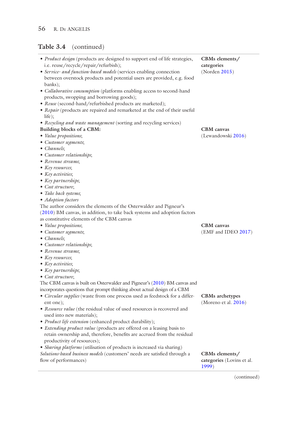j.

# **Table 3.4** (continued)

| · Product design (products are designed to support end of life strategies,<br>i.e. reuse/recycle/repair/refurbish);<br>• Service- and function-based models (services enabling connection<br>between overstock products and potential users are provided, e.g. food<br>banks); | CBMs elements/<br>categories<br>(Noten 2015) |
|--------------------------------------------------------------------------------------------------------------------------------------------------------------------------------------------------------------------------------------------------------------------------------|----------------------------------------------|
| • <i>Collaborative consumption</i> (platforms enabling access to second-hand                                                                                                                                                                                                   |                                              |
| products, swopping and borrowing goods);                                                                                                                                                                                                                                       |                                              |
| · Reuse (second-hand/refurbished products are marketed);                                                                                                                                                                                                                       |                                              |
| · Repair (products are repaired and remarketed at the end of their useful<br>life);                                                                                                                                                                                            |                                              |
| • Recycling and waste management (sorting and recycling services)                                                                                                                                                                                                              |                                              |
| Building blocks of a CBM:                                                                                                                                                                                                                                                      | <b>CBM</b> canvas                            |
| • Value propositions;                                                                                                                                                                                                                                                          | (Lewandowski 2016)                           |
| • Customer segments,                                                                                                                                                                                                                                                           |                                              |
| • Channels;                                                                                                                                                                                                                                                                    |                                              |
| • Customer relationships;                                                                                                                                                                                                                                                      |                                              |
| • Revenue streams;                                                                                                                                                                                                                                                             |                                              |
| • Key resources;                                                                                                                                                                                                                                                               |                                              |
| • Key activities,                                                                                                                                                                                                                                                              |                                              |
| • Key partnerships;                                                                                                                                                                                                                                                            |                                              |
| • Cost structure;                                                                                                                                                                                                                                                              |                                              |
| • Take back systems;                                                                                                                                                                                                                                                           |                                              |
| • Adoption factors                                                                                                                                                                                                                                                             |                                              |
| The author considers the elements of the Osterwalder and Pigneur's                                                                                                                                                                                                             |                                              |
| (2010) BM canvas, in addition, to take back systems and adoption factors                                                                                                                                                                                                       |                                              |
| as constitutive elements of the CBM canvas                                                                                                                                                                                                                                     |                                              |
| • Value propositions;                                                                                                                                                                                                                                                          | <b>CBM</b> canvas                            |
| • Customer segments,                                                                                                                                                                                                                                                           | (EMF and IDEO 2017)                          |
| • Channels;                                                                                                                                                                                                                                                                    |                                              |
| • Customer relationships;                                                                                                                                                                                                                                                      |                                              |
| • Revenue streams;                                                                                                                                                                                                                                                             |                                              |
| • Key resources;                                                                                                                                                                                                                                                               |                                              |
| • Key activities,                                                                                                                                                                                                                                                              |                                              |
| • Key partnerships;<br>• Cost structure;                                                                                                                                                                                                                                       |                                              |
| The CBM canvas is built on Osterwalder and Pigneur's (2010) BM canvas and                                                                                                                                                                                                      |                                              |
| incorporates questions that prompt thinking about actual design of a CBM                                                                                                                                                                                                       |                                              |
| • Circular supplies (waste from one process used as feedstock for a differ-                                                                                                                                                                                                    | <b>CBMs</b> archetypes                       |
| ent one);                                                                                                                                                                                                                                                                      | (Moreno et al. $2016$ )                      |
| • Resource value (the residual value of used resources is recovered and                                                                                                                                                                                                        |                                              |
| used into new materials);                                                                                                                                                                                                                                                      |                                              |
| • <i>Product life extension</i> (enhanced product durability);                                                                                                                                                                                                                 |                                              |
| • <i>Extending product value</i> (products are offered on a leasing basis to                                                                                                                                                                                                   |                                              |
| retain ownership and, therefore, benefits are accrued from the residual                                                                                                                                                                                                        |                                              |
| productivity of resources);                                                                                                                                                                                                                                                    |                                              |
| • Sharing platforms (utilisation of products is increased via sharing)                                                                                                                                                                                                         |                                              |
| Solutions-based business models (customers' needs are satisfied through a                                                                                                                                                                                                      | CBMs elements/                               |
| flow of performances)                                                                                                                                                                                                                                                          | categories (Lovins et al.<br>1999)           |

(continued)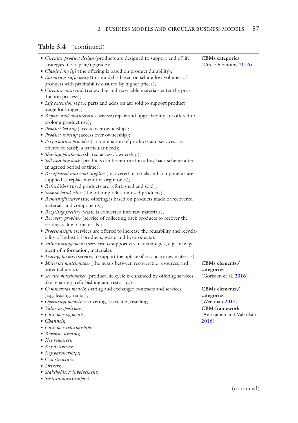# **Table 3.4** (continued)

| • Circular product design (products are designed to support end of life               | <b>CBMs</b> categories    |
|---------------------------------------------------------------------------------------|---------------------------|
| strategies, i.e. repair/upgrade);                                                     | (Circle Economy 2016)     |
| · Classic long life (the offering is based on product durability);                    |                           |
| • Encourage sufficiency (this model is based on selling low volumes of                |                           |
| products with profitability ensured by higher prices);                                |                           |
| · Circular materials (renewable and recyclable materials enter the pro-               |                           |
| duction process);                                                                     |                           |
| • Life extension (spare parts and adds on are sold to support product                 |                           |
| usage for longer);                                                                    |                           |
| • Repair and maintenance service (repair and upgradability are offered to             |                           |
| prolong product use);                                                                 |                           |
| • <i>Product leasing</i> (access over ownership);                                     |                           |
| • <i>Product renting</i> (access over ownership);                                     |                           |
| • Performance provider (a combination of products and services are                    |                           |
| offered to satisfy a particular need);                                                |                           |
| • <i>Sharing platforms</i> (shared access/ownership);                                 |                           |
| • Sell and buy back (products can be returned in a buy back scheme after              |                           |
| an agreed period of time);                                                            |                           |
| • Recaptured material supplier (recovered materials and components are                |                           |
| supplied as replacement for virgin ones);                                             |                           |
| • Refurbisher (used products are refurbished and sold);                               |                           |
| • <i>Second-hand seller</i> (the offering relies on used products);                   |                           |
| • Remanufacturer (the offering is based on products made of recovered                 |                           |
|                                                                                       |                           |
| materials and components);                                                            |                           |
| • <i>Recycling facility</i> (waste is converted into raw materials);                  |                           |
| • Recovery provider (service of collecting back products to recover the               |                           |
| residual value of materials);                                                         |                           |
| • Process design (services are offered to increase the reusability and recycla-       |                           |
| bility of industrial products, waste and by-products);                                |                           |
| · Value management (services to support circular strategies, e.g. manage-             |                           |
| ment of information, materials);                                                      |                           |
| • <i>Tracing facility</i> (services to support the uptake of secondary raw materials) |                           |
| · Material matchmaker (the nexus between recoverable resources and                    | CBMs elements/            |
| potential users);                                                                     | categories                |
| • Service matchmaker (product life cycle is enhanced by offering services             | (Gorissen et al. 2016)    |
| like repairing, refurbishing and restoring)                                           |                           |
| • Commercial models: sharing and exchange; contracts and services                     | CBMs elements/            |
| (e.g. leasing; rental);                                                               | categories                |
| • Operating models: recovering, recycling, reselling                                  | (Weetman 2017)            |
| • Value propositions;                                                                 | <b>CBM</b> framework      |
| • Customer segments,                                                                  | (Antikainen and Valkokari |
| • Channels;                                                                           | 2016)                     |
| • Customer relationships;                                                             |                           |
| • Revenue streams;                                                                    |                           |
| • Key resources;                                                                      |                           |
| • Key activities,                                                                     |                           |
| • Key partnerships;                                                                   |                           |
| • Cost structure;                                                                     |                           |

- *Stakeholders' involvement*;
- *Sustainability impact*

(continued)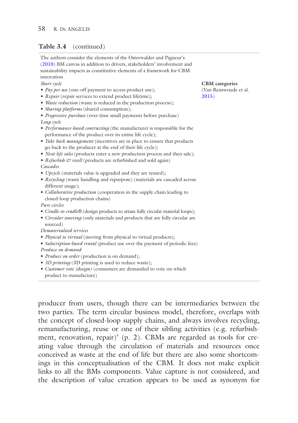### **Table 3.4** (continued)

The authors consider the elements of the Osterwalder and Pigneur's (2010) BM canvas in addition to drivers, stakeholders' involvement and sustainability impacts as constitutive elements of a framework for CBM innovation *Short cycle* • *Pay per use* (one-off payment to access product use); • *Repair* (repair services to extend product lifetime); • *Waste reduction* (waste is reduced in the production process); • *Sharing platforms* (shared consumption); • *Progressive purchase* (over time small payments before purchase) *Long cycle* • *Performance-based contracting* (the manufacturer is responsible for the performance of the product over its entire life cycle); • *Take back management* (incentives are in place to ensure that products go back to the producer at the end of their life cycle); • *Next life sales* (products enter a new production process and then sale); • *Refurbish*  $\circ$  *resell* (products are refurbished and sold again) *Cascades* • *Upcycle* (materials value is upgraded and they are reused); • *Recycling* (waste handling and repurpose) (materials are cascaded across different usage); • *Collaborative production* (cooperation in the supply chain leading to closed-loop production chains) *Pure circles* • *Cradle*-*to*-*cradle®* (design products to attain fully circular material loops); • *Circular sourcing* (only materials and products that are fully circular are sourced) *Dematerialised services* • *Physical to virtual* (moving from physical to virtual products); • *Subscription-based rental* (product use over the payment of periodic fees) *Produce on demand* • *Produce on order* (production is on demand); • *3D printing* (3D printing is used to reduce waste); • *Customer vote (design)* (consumers are demanded to vote on which product to manufacture)

producer from users, though there can be intermediaries between the two parties. The term circular business model, therefore, overlaps with the concept of closed-loop supply chains, and always involves recycling, remanufacturing, reuse or one of their sibling activities (e.g. refurbishment, renovation, repair)' (p. 2). CBMs are regarded as tools for creating value through the circulation of materials and resources once conceived as waste at the end of life but there are also some shortcomings in this conceptualisation of the CBM. It does not make explicit links to all the BMs components. Value capture is not considered, and the description of value creation appears to be used as synonym for

#### **CBM categories**

(Van Renswoude et al. 2015)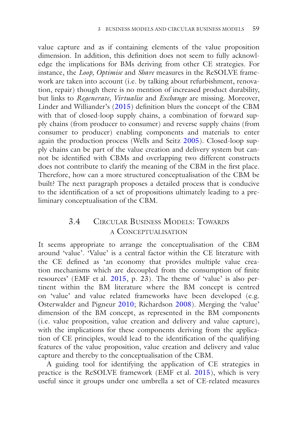value capture and as if containing elements of the value proposition dimension. In addition, this defnition does not seem to fully acknowledge the implications for BMs deriving from other CE strategies. For instance, the *Loop, Optimise* and *Share* measures in the ReSOLVE framework are taken into account (i.e. by talking about refurbishment, renovation, repair) though there is no mention of increased product durability, but links to *Regenerate, Virtualise* and *Exchange* are missing. Moreover, Linder and Williander's (2015) defnition blurs the concept of the CBM with that of closed-loop supply chains, a combination of forward supply chains (from producer to consumer) and reverse supply chains (from consumer to producer) enabling components and materials to enter again the production process (Wells and Seitz 2005). Closed-loop supply chains can be part of the value creation and delivery system but cannot be identifed with CBMs and overlapping two different constructs does not contribute to clarify the meaning of the CBM in the frst place. Therefore, how can a more structured conceptualisation of the CBM be built? The next paragraph proposes a detailed process that is conducive to the identifcation of a set of propositions ultimately leading to a preliminary conceptualisation of the CBM.

# 3.4 Circular Business Models: Towards <sup>a</sup> Conceptualisation

It seems appropriate to arrange the conceptualisation of the CBM around 'value'. 'Value' is a central factor within the CE literature with the CE defned as 'an economy that provides multiple value creation mechanisms which are decoupled from the consumption of fnite resources' (EMF et al. 2015, p. 23). The theme of 'value' is also pertinent within the BM literature where the BM concept is centred on 'value' and value related frameworks have been developed (e.g. Osterwalder and Pigneur 2010; Richardson 2008). Merging the 'value' dimension of the BM concept, as represented in the BM components (i.e. value proposition, value creation and delivery and value capture), with the implications for these components deriving from the application of CE principles, would lead to the identifcation of the qualifying features of the value proposition, value creation and delivery and value capture and thereby to the conceptualisation of the CBM.

A guiding tool for identifying the application of CE strategies in practice is the ReSOLVE framework (EMF et al. 2015), which is very useful since it groups under one umbrella a set of CE-related measures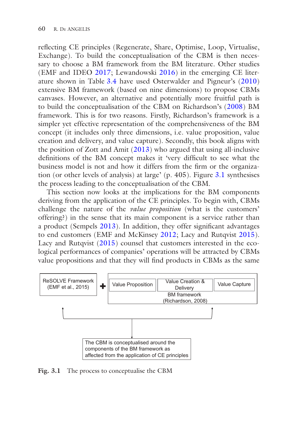refecting CE principles (Regenerate, Share, Optimise, Loop, Virtualise, Exchange). To build the conceptualisation of the CBM is then necessary to choose a BM framework from the BM literature. Other studies (EMF and IDEO 2017; Lewandowski 2016) in the emerging CE literature shown in Table 3.4 have used Osterwalder and Pigneur's (2010) extensive BM framework (based on nine dimensions) to propose CBMs canvases. However, an alternative and potentially more fruitful path is to build the conceptualisation of the CBM on Richardson's (2008) BM framework. This is for two reasons. Firstly, Richardson's framework is a simpler yet effective representation of the comprehensiveness of the BM concept (it includes only three dimensions, i.e. value proposition, value creation and delivery, and value capture). Secondly, this book aligns with the position of Zott and Amit (2013) who argued that using all-inclusive defnitions of the BM concept makes it 'very diffcult to see what the business model is not and how it differs from the frm or the organization (or other levels of analysis) at large' (p. 405). Figure 3.1 synthesises the process leading to the conceptualisation of the CBM.

This section now looks at the implications for the BM components deriving from the application of the CE principles. To begin with, CBMs challenge the nature of the *value proposition* (what is the customers' offering?) in the sense that its main component is a service rather than a product (Sempels 2013). In addition, they offer signifcant advantages to end customers (EMF and McKinsey 2012; Lacy and Rutqvist 2015). Lacy and Rutqvist (2015) counsel that customers interested in the ecological performances of companies' operations will be attracted by CBMs value propositions and that they will fnd products in CBMs as the same



**Fig. 3.1** The process to conceptualise the CBM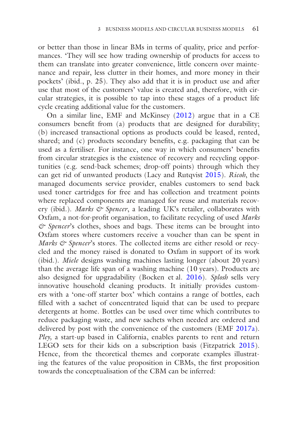or better than those in linear BMs in terms of quality, price and performances. 'They will see how trading ownership of products for access to them can translate into greater convenience, little concern over maintenance and repair, less clutter in their homes, and more money in their pockets' (ibid., p. 25). They also add that it is in product use and after use that most of the customers' value is created and, therefore, with circular strategies, it is possible to tap into these stages of a product life cycle creating additional value for the customers.

On a similar line, EMF and McKinsey (2012) argue that in a CE consumers beneft from (a) products that are designed for durability; (b) increased transactional options as products could be leased, rented, shared; and (c) products secondary benefts, e.g. packaging that can be used as a fertiliser. For instance, one way in which consumers' benefts from circular strategies is the existence of recovery and recycling opportunities (e.g. send-back schemes; drop-off points) through which they can get rid of unwanted products (Lacy and Rutqvist 2015). *Ricoh*, the managed documents service provider, enables customers to send back used toner cartridges for free and has collection and treatment points where replaced components are managed for reuse and materials recovery (ibid.). *Marks & Spencer*, a leading UK's retailer, collaborates with Oxfam, a not-for-proft organisation, to facilitate recycling of used *Marks & Spencer*'s clothes, shoes and bags. These items can be brought into Oxfam stores where customers receive a voucher than can be spent in *Marks & Spencer's* stores. The collected items are either resold or recycled and the money raised is donated to Oxfam in support of its work (ibid.). *Miele* designs washing machines lasting longer (about 20 years) than the average life span of a washing machine (10 years). Products are also designed for upgradability (Bocken et al. 2016). *Splosh* sells very innovative household cleaning products. It initially provides customers with a 'one-off starter box' which contains a range of bottles, each flled with a sachet of concentrated liquid that can be used to prepare detergents at home. Bottles can be used over time which contributes to reduce packaging waste, and new sachets when needed are ordered and delivered by post with the convenience of the customers (EMF 2017a). *Pley,* a start-up based in California, enables parents to rent and return LEGO sets for their kids on a subscription basis (Fitzpatrick 2015). Hence, from the theoretical themes and corporate examples illustrating the features of the value proposition in CBMs, the frst proposition towards the conceptualisation of the CBM can be inferred: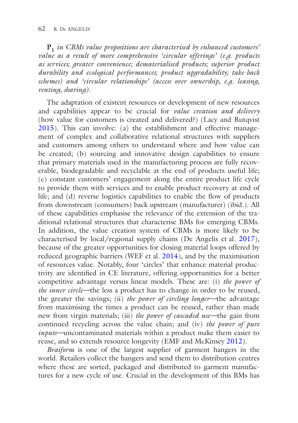**P1** *in CBMs value propositions are characterised by enhanced customers' value as a result of more comprehensive 'circular offerings' (e.g. products as services; greater convenience; dematerialised products; superior product durability and ecological performances; product upgradability; take*-*back schemes) and 'circular relationships' (access over ownership, e.g. leasing, renting, sharing).*

The adaptation of existent resources or development of new resources and capabilities appear to be crucial for *value creation and delivery* (how value for customers is created and delivered?) (Lacy and Rutqvist 2015). This can involve: (a) the establishment and effective management of complex and collaborative relational structures with suppliers and customers among others to understand where and how value can be created; (b) sourcing and innovative design capabilities to ensure that primary materials used in the manufacturing process are fully recoverable, biodegradable and recyclable at the end of products useful life; (c) constant customers' engagement along the entire product life cycle to provide them with services and to enable product recovery at end of life; and (d) reverse logistics capabilities to enable the fow of products from downstream (consumers) back upstream (manufacturer) (ibid.). All of these capabilities emphasise the relevance of the extension of the traditional relational structures that characterise BMs for emerging CBMs. In addition, the value creation system of CBMs is more likely to be characterised by local/regional supply chains (De Angelis et al. 2017), because of the greater opportunities for closing material loops offered by reduced geographic barriers (WEF et al. 2014), and by the maximisation of resources value. Notably, four 'circles' that enhance material productivity are identifed in CE literature, offering opportunities for a better competitive advantage versus linear models. These are: (i) *the power of the inner circle—*the less a product has to change in order to be reused, the greater the savings; (ii) *the power of circling longer—*the advantage from maximising the times a product can be reused, rather than made new from virgin materials; (iii) *the power of cascaded use—*the gain from continued recycling across the value chain; and (iv) *the power of pure inputs—*uncontaminated materials within a product make them easier to reuse, and so extends resource longevity (EMF and McKinsey 2012).

*Braiform* is one of the largest supplier of garment hangers in the world. Retailers collect the hangers and send them to distribution centres where these are sorted, packaged and distributed to garment manufactures for a new cycle of use. Crucial in the development of this BMs has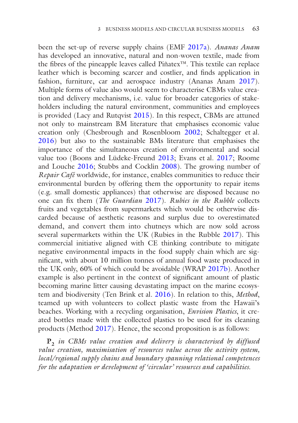been the set-up of reverse supply chains (EMF 2017a). *Ananas Anam* has developed an innovative, natural and non-woven textile, made from the fbres of the pineapple leaves called Piñatex™. This textile can replace leather which is becoming scarcer and costlier, and fnds application in fashion, furniture, car and aerospace industry (Ananas Anam 2017). Multiple forms of value also would seem to characterise CBMs value creation and delivery mechanisms, i.e. value for broader categories of stakeholders including the natural environment, communities and employees is provided (Lacy and Rutqvist 2015). In this respect, CBMs are attuned not only to mainstream BM literature that emphasises economic value creation only (Chesbrough and Rosenbloom 2002; Schaltegger et al. 2016) but also to the sustainable BMs literature that emphasises the importance of the simultaneous creation of environmental and social value too (Boons and Lüdeke-Freund 2013; Evans et al. 2017; Roome and Louche 2016; Stubbs and Cocklin 2008). The growing number of *Repair Café* worldwide, for instance, enables communities to reduce their environmental burden by offering them the opportunity to repair items (e.g. small domestic appliances) that otherwise are disposed because no one can fx them (*The Guardian* 2017). *Rubies in the Rubble* collects fruits and vegetables from supermarkets which would be otherwise discarded because of aesthetic reasons and surplus due to overestimated demand, and convert them into chutneys which are now sold across several supermarkets within the UK (Rubies in the Rubble 2017). This commercial initiative aligned with CE thinking contribute to mitigate negative environmental impacts in the food supply chain which are signifcant, with about 10 million tonnes of annual food waste produced in the UK only, 60% of which could be avoidable (WRAP 2017b). Another example is also pertinent in the context of signifcant amount of plastic becoming marine litter causing devastating impact on the marine ecosystem and biodiversity (Ten Brink et al. 2016). In relation to this, *Method*, teamed up with volunteers to collect plastic waste from the Hawaii's beaches. Working with a recycling organisation, *Envision Plastics*, it created bottles made with the collected plastics to be used for its cleaning products (Method 2017). Hence, the second proposition is as follows:

**P2** *in CBMs value creation and delivery is characterised by diffused value creation, maximisation of resources value across the activity system, local/regional supply chains and boundary spanning relational competences for the adaptation or development of 'circular' resources and capabilities.*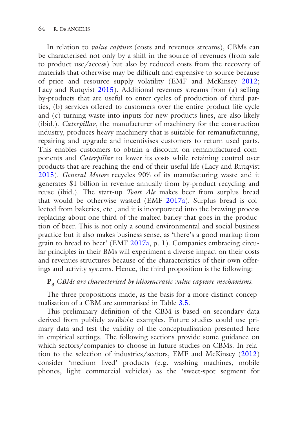In relation to *value capture* (costs and revenues streams), CBMs can be characterised not only by a shift in the source of revenues (from sale to product use/access) but also by reduced costs from the recovery of materials that otherwise may be diffcult and expensive to source because of price and resource supply volatility (EMF and McKinsey 2012; Lacy and Rutqvist 2015). Additional revenues streams from (a) selling by-products that are useful to enter cycles of production of third parties, (b) services offered to customers over the entire product life cycle and (c) turning waste into inputs for new products lines, are also likely (ibid.). *Caterpillar*, the manufacturer of machinery for the construction industry, produces heavy machinery that is suitable for remanufacturing, repairing and upgrade and incentivises customers to return used parts. This enables customers to obtain a discount on remanufactured components and *Caterpillar* to lower its costs while retaining control over products that are reaching the end of their useful life (Lacy and Rutqvist 2015). *General Motors* recycles 90% of its manufacturing waste and it generates \$1 billion in revenue annually from by-product recycling and reuse (ibid.). The start-up *Toast Ale* makes beer from surplus bread that would be otherwise wasted (EMF 2017a). Surplus bread is collected from bakeries, etc., and it is incorporated into the brewing process replacing about one-third of the malted barley that goes in the production of beer. This is not only a sound environmental and social business practice but it also makes business sense, as 'there's a good markup from grain to bread to beer' (EMF 2017a, p. 1). Companies embracing circular principles in their BMs will experiment a diverse impact on their costs and revenues structures because of the characteristics of their own offerings and activity systems. Hence, the third proposition is the following:

## **P3** *CBMs are characterised by idiosyncratic value capture mechanisms.*

The three propositions made, as the basis for a more distinct conceptualisation of a CBM are summarised in Table 3.5.

This preliminary defnition of the CBM is based on secondary data derived from publicly available examples. Future studies could use primary data and test the validity of the conceptualisation presented here in empirical settings. The following sections provide some guidance on which sectors/companies to choose in future studies on CBMs. In relation to the selection of industries/sectors, EMF and McKinsey (2012) consider 'medium lived' products (e.g. washing machines, mobile phones, light commercial vehicles) as the 'sweet-spot segment for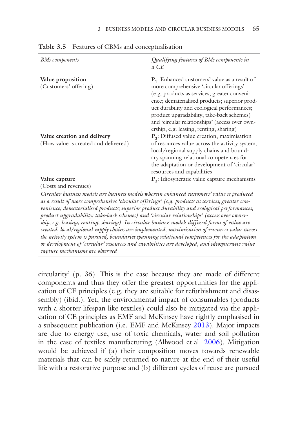| <b>BMs</b> components                                               | Qualifying features of BMs components in<br>a CE                                                                                                                                                                                                                                                                                                                                      |
|---------------------------------------------------------------------|---------------------------------------------------------------------------------------------------------------------------------------------------------------------------------------------------------------------------------------------------------------------------------------------------------------------------------------------------------------------------------------|
| Value proposition<br>(Customers' offering)                          | $P_1$ : Enhanced customers' value as a result of<br>more comprehensive 'circular offerings'<br>(e.g. products as services; greater conveni-<br>ence; dematerialised products; superior prod-<br>uct durability and ecological performances;<br>product upgradability; take-back schemes)<br>and 'circular relationships' (access over own-<br>ership, e.g. leasing, renting, sharing) |
| Value creation and delivery<br>(How value is created and delivered) | $P_2$ : Diffused value creation, maximisation<br>of resources value across the activity system,<br>local/regional supply chains and bound-<br>ary spanning relational competences for<br>the adaptation or development of 'circular'<br>resources and capabilities                                                                                                                    |
| Value capture<br>(Costs and revenues)                               | $P_3$ : Idiosyncratic value capture mechanisms                                                                                                                                                                                                                                                                                                                                        |

**Table 3.5** Features of CBMs and conceptualisation

*Circular business models are business models wherein enhanced customers' value is produced as a result of more comprehensive 'circular offerings' (e.g. products as services; greater convenience; dematerialised products; superior product durability and ecological performances; product upgradability; take-back schemes) and 'circular relationships' (access over ownership, e.g. leasing, renting, sharing). In circular business models diffused forms of value are created, local/regional supply chains are implemented, maximisation of resources value across the activity system is pursued, boundaries spanning relational competences for the adaptation or development of 'circular' resources and capabilities are developed, and idiosyncratic value capture mechanisms are observed*

circularity' (p. 36). This is the case because they are made of different components and thus they offer the greatest opportunities for the application of CE principles (e.g. they are suitable for refurbishment and disassembly) (ibid.). Yet, the environmental impact of consumables (products with a shorter lifespan like textiles) could also be mitigated via the application of CE principles as EMF and McKinsey have rightly emphasised in a subsequent publication (i.e. EMF and McKinsey 2013). Major impacts are due to energy use, use of toxic chemicals, water and soil pollution in the case of textiles manufacturing (Allwood et al. 2006). Mitigation would be achieved if (a) their composition moves towards renewable materials that can be safely returned to nature at the end of their useful life with a restorative purpose and (b) different cycles of reuse are pursued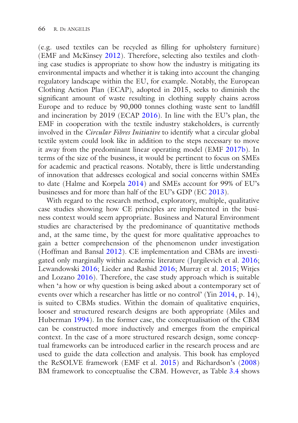(e.g. used textiles can be recycled as flling for upholstery furniture) (EMF and McKinsey 2012). Therefore, selecting also textiles and clothing case studies is appropriate to show how the industry is mitigating its environmental impacts and whether it is taking into account the changing regulatory landscape within the EU, for example. Notably, the European Clothing Action Plan (ECAP), adopted in 2015, seeks to diminish the signifcant amount of waste resulting in clothing supply chains across Europe and to reduce by 90,000 tonnes clothing waste sent to landfll and incineration by 2019 (ECAP 2016). In line with the EU's plan, the EMF in cooperation with the textile industry stakeholders, is currently involved in the *Circular Fibres Initiative* to identify what a circular global textile system could look like in addition to the steps necessary to move it away from the predominant linear operating model (EMF 2017b). In terms of the size of the business, it would be pertinent to focus on SMEs for academic and practical reasons. Notably, there is little understanding of innovation that addresses ecological and social concerns within SMEs to date (Halme and Korpela 2014) and SMEs account for 99% of EU's businesses and for more than half of the EU's GDP (EC 2013).

With regard to the research method, exploratory, multiple, qualitative case studies showing how CE principles are implemented in the business context would seem appropriate. Business and Natural Environment studies are characterised by the predominance of quantitative methods and, at the same time, by the quest for more qualitative approaches to gain a better comprehension of the phenomenon under investigation (Hoffman and Bansal 2012). CE implementation and CBMs are investigated only marginally within academic literature (Jurgilevich et al. 2016; Lewandowski 2016; Lieder and Rashid 2016; Murray et al. 2015; Witjes and Lozano 2016). Therefore, the case study approach which is suitable when 'a how or why question is being asked about a contemporary set of events over which a researcher has little or no control' (Yin 2014, p. 14), is suited to CBMs studies. Within the domain of qualitative enquiries, looser and structured research designs are both appropriate (Miles and Huberman 1994). In the former case, the conceptualisation of the CBM can be constructed more inductively and emerges from the empirical context. In the case of a more structured research design, some conceptual frameworks can be introduced earlier in the research process and are used to guide the data collection and analysis. This book has employed the ReSOLVE framework (EMF et al. 2015) and Richardson's (2008) BM framework to conceptualise the CBM. However, as Table 3.4 shows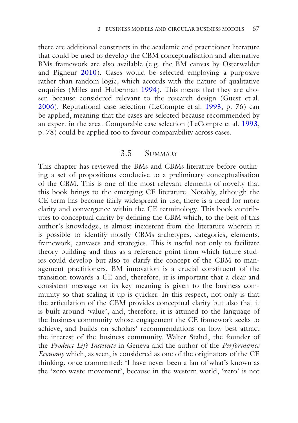there are additional constructs in the academic and practitioner literature that could be used to develop the CBM conceptualisation and alternative BMs framework are also available (e.g. the BM canvas by Osterwalder and Pigneur 2010). Cases would be selected employing a purposive rather than random logic, which accords with the nature of qualitative enquiries (Miles and Huberman 1994). This means that they are chosen because considered relevant to the research design (Guest et al. 2006). Reputational case selection (LeCompte et al. 1993, p. 76) can be applied, meaning that the cases are selected because recommended by an expert in the area. Comparable case selection (LeCompte et al. 1993, p. 78) could be applied too to favour comparability across cases.

## 3.5 Summary

This chapter has reviewed the BMs and CBMs literature before outlining a set of propositions conducive to a preliminary conceptualisation of the CBM. This is one of the most relevant elements of novelty that this book brings to the emerging CE literature. Notably, although the CE term has become fairly widespread in use, there is a need for more clarity and convergence within the CE terminology. This book contributes to conceptual clarity by defning the CBM which, to the best of this author's knowledge, is almost inexistent from the literature wherein it is possible to identify mostly CBMs archetypes, categories, elements, framework, canvases and strategies. This is useful not only to facilitate theory building and thus as a reference point from which future studies could develop but also to clarify the concept of the CBM to management practitioners. BM innovation is a crucial constituent of the transition towards a CE and, therefore, it is important that a clear and consistent message on its key meaning is given to the business community so that scaling it up is quicker. In this respect, not only is that the articulation of the CBM provides conceptual clarity but also that it is built around 'value', and, therefore, it is attuned to the language of the business community whose engagement the CE framework seeks to achieve, and builds on scholars' recommendations on how best attract the interest of the business community. Walter Stahel, the founder of the *Product*-*Life Institute* in Geneva and the author of the *Performance Economy* which, as seen, is considered as one of the originators of the CE thinking, once commented: 'I have never been a fan of what's known as the 'zero waste movement', because in the western world, 'zero' is not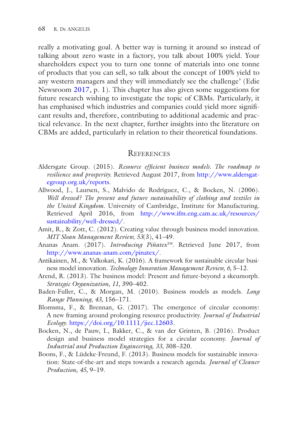really a motivating goal. A better way is turning it around so instead of talking about zero waste in a factory, you talk about 100% yield. Your shareholders expect you to turn one tonne of materials into one tonne of products that you can sell, so talk about the concept of 100% yield to any western managers and they will immediately see the challenge' (Edie Newsroom 2017, p. 1). This chapter has also given some suggestions for future research wishing to investigate the topic of CBMs. Particularly, it has emphasised which industries and companies could yield more signifcant results and, therefore, contributing to additional academic and practical relevance. In the next chapter, further insights into the literature on CBMs are added, particularly in relation to their theoretical foundations.

#### **REFERENCES**

- Aldersgate Group. (2015). *Resource effcient business models. The roadmap to resilience and prosperity.* Retrieved August 2017, from [http://www.aldersgat](http://www.aldersgategroup.org.uk/reports)[egroup.org.uk/reports.](http://www.aldersgategroup.org.uk/reports)
- Allwood, J., Laursen, S., Malvido de Rodríguez, C., & Bocken, N. (2006). *Well dressed? The present and future sustainability of clothing and textiles in the United Kingdom*. University of Cambridge, Institute for Manufacturing. Retrieved April 2016, from [http://www.ifm.eng.cam.ac.uk/resources/](http://www.ifm.eng.cam.ac.uk/resources/sustainability/well-dressed/) [sustainability/well-dressed/](http://www.ifm.eng.cam.ac.uk/resources/sustainability/well-dressed/).
- Amit, R., & Zott, C. (2012). Creating value through business model innovation. *MIT Sloan Management Review, 53*(3), 41–49.
- Ananas Anam. (2017). *Introducing Piñatex™.* Retrieved June 2017, from <http://www.ananas-anam.com/pinatex/>.
- Antikainen, M., & Valkokari, K. (2016). A framework for sustainable circular business model innovation. *Technology Innovation Management Review, 6,* 5–12.
- Arend, R. (2013). The business model: Present and future-beyond a skeumorph. *Strategic Organization, 11,* 390–402.
- Baden-Fuller, C., & Morgan, M. (2010). Business models as models. *Long Range Planning, 43,* 156–171.
- Blomsma, F., & Brennan, G. (2017). The emergence of circular economy: A new framing around prolonging resource productivity. *Journal of Industrial Ecology*. [https://doi.org/10.1111/jiec.12603.](http://dx.doi.org/10.1111/jiec.12603)
- Bocken, N., de Pauw, I., Bakker, C., & van der Grinten, B. (2016). Product design and business model strategies for a circular economy. *Journal of Industrial and Production Engineering, 33,* 308–320.
- Boons, F., & Lüdeke-Freund, F. (2013). Business models for sustainable innovation: State-of-the-art and steps towards a research agenda. *Journal of Cleaner Production, 45,* 9–19.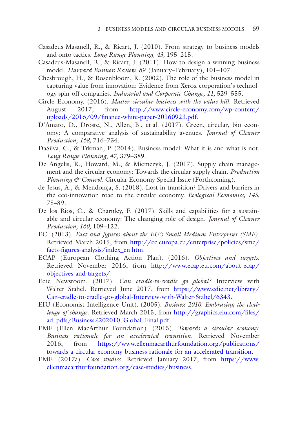- Casadeus-Masanell, R., & Ricart, J. (2010). From strategy to business models and onto tactics. *Long Range Planning, 43,* 195–215.
- Casadeus-Masanell, R., & Ricart, J. (2011). How to design a winning business model. *Harvard Business Review, 89* (January–February), 101–107.
- Chesbrough, H., & Rosenbloom, R. (2002). The role of the business model in capturing value from innovation: Evidence from Xerox corporation's technology spin-off companies. *Industrial and Corporate Change, 11,* 529–555.
- Circle Economy. (2016). *Master circular business with the value hill*. Retrieved August 2017, from [http://www.circle-economy.com/wp-content/](http://www.circle-economy.com/wp-content/uploads/2016/09/finance-white-paper-20160923.pdf) [uploads/2016/09/fnance-white-paper-20160923.pdf.](http://www.circle-economy.com/wp-content/uploads/2016/09/finance-white-paper-20160923.pdf)
- D'Amato, D., Droste, N., Allen, B., et al. (2017). Green, circular, bio economy: A comparative analysis of sustainability avenues. *Journal of Cleaner Production, 168,* 716–734.
- DaSilva, C., & Trkman, P. (2014). Business model: What it is and what is not. *Long Range Planning, 47,* 379–389.
- De Angelis, R., Howard, M., & Miemczyk, J. (2017). Supply chain management and the circular economy: Towards the circular supply chain. *Production Planning & Control.* Circular Economy Special Issue (Forthcoming).
- de Jesus, A., & Mendonça, S. (2018). Lost in transition? Drivers and barriers in the eco-innovation road to the circular economy. *Ecological Economics, 145,* 75–89.
- De los Rios, C., & Charnley, F. (2017). Skills and capabilities for a sustainable and circular economy: The changing role of design. *Journal of Cleaner Production, 160,* 109–122.
- EC. (2013). *Fact and fgures about the EU's Small Medium Enterprises (SME)*. Retrieved March 2015, from [http://ec.europa.eu/enterprise/policies/sme/](http://ec.europa.eu/enterprise/policies/sme/facts-figures-analysis/index_en.htm) [facts-fgures-analysis/index\\_en.htm](http://ec.europa.eu/enterprise/policies/sme/facts-figures-analysis/index_en.htm).
- ECAP (European Clothing Action Plan). (2016). *Objectives and targets*. Retrieved November 2016, from [http://www.ecap.eu.com/about-ecap/](http://www.ecap.eu.com/about-ecap/objectives-and-targets/) [objectives-and-targets/](http://www.ecap.eu.com/about-ecap/objectives-and-targets/).
- Edie Newsroom. (2017). *Can cradle-to-cradle go global?* Interview with Walter Stahel. Retrieved June 2017, from [https://www.edie.net/library/](https://www.edie.net/library/Can-cradle-to-cradle-go-global-Interview-with-Walter-Stahel/6343) [Can-cradle-to-cradle-go-global-Interview-with-Walter-Stahel/6343.](https://www.edie.net/library/Can-cradle-to-cradle-go-global-Interview-with-Walter-Stahel/6343)
- EIU (Economist Intelligence Unit). (2005). *Business 2010. Embracing the challenge of change*. Retrieved March 2015, from [http://graphics.eiu.com/fles/](http://graphics.eiu.com/files/ad_pdfs/Business%202010_Global_Final.pdf) [ad\\_pdfs/Business%202010\\_Global\\_Final.pdf.](http://graphics.eiu.com/files/ad_pdfs/Business%202010_Global_Final.pdf)
- EMF (Ellen MacArthur Foundation). (2015). *Towards a circular economy. Business rationale for an accelerated transition.* Retrieved November 2016, from [https://www.ellenmacarthurfoundation.org/publications/](https://www.ellenmacarthurfoundation.org/publications/towards-a-circular-economy-business-rationale-for-an-accelerated-transition) [towards-a-circular-economy-business-rationale-for-an-accelerated-transition](https://www.ellenmacarthurfoundation.org/publications/towards-a-circular-economy-business-rationale-for-an-accelerated-transition).
- EMF. (2017a). *Case studies*. Retrieved January 2017, from [https://www.](https://www.ellenmacarthurfoundation.org/case-studies/business) [ellenmacarthurfoundation.org/case-studies/business.](https://www.ellenmacarthurfoundation.org/case-studies/business)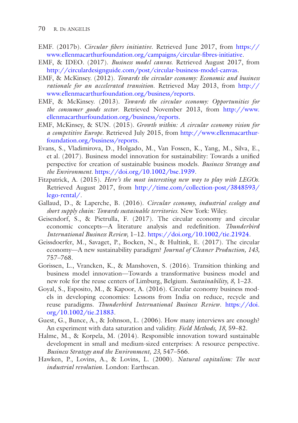- EMF. (2017b). *Circular fbers initiative*. Retrieved June 2017, from [https://](https://www.ellenmacarthurfoundation.org/campaigns/circular-fibres-initiative) [www.ellenmacarthurfoundation.org/campaigns/circular-fbres-initiative.](https://www.ellenmacarthurfoundation.org/campaigns/circular-fibres-initiative)
- EMF, & IDEO. (2017). *Business model canvas*. Retrieved August 2017, from <http://circulardesignguide.com/post/circular-business-model-canvas>.
- EMF, & McKinsey. (2012). *Towards the circular economy: Economic and business rationale for an accelerated transition*. Retrieved May 2013, from [http://](http://www.ellenmacarthurfoundation.org/business/reports) [www.ellenmacarthurfoundation.org/business/reports.](http://www.ellenmacarthurfoundation.org/business/reports)
- EMF, & McKinsey. (2013). *Towards the circular economy: Opportunities for the consumer goods sector*. Retrieved November 2013, from [http://www.](http://www.ellenmacarthurfoundation.org/business/reports) [ellenmacarthurfoundation.org/business/reports](http://www.ellenmacarthurfoundation.org/business/reports).
- EMF, McKinsey, & SUN. (2015)*. Growth within: A circular economy vision for a competitive Europe.* Retrieved July 2015, from [http://www.ellenmacarthur](http://www.ellenmacarthurfoundation.org/business/reports)[foundation.org/business/reports.](http://www.ellenmacarthurfoundation.org/business/reports)
- Evans, S., Vladimirova, D., Holgado, M., Van Fossen, K., Yang, M., Silva, E., et al. (2017). Business model innovation for sustainability: Towards a unifed perspective for creation of sustainable business models. *Business Strategy and the Environment*. [https://doi.org/10.1002/bse.1939](http://dx.doi.org/10.1002/bse.1939).
- Fitzpatrick, A. (2015). *Here's the most interesting new way to play with LEGOs*. Retrieved August 2017, from [http://time.com/collection-post/3848593/](http://time.com/collection-post/3848593/lego-rental/) [lego-rental/](http://time.com/collection-post/3848593/lego-rental/).
- Gallaud, D., & Laperche, B. (2016). *Circular economy, industrial ecology and short supply chain: Towards sustainable territories*. New York: Wiley.
- Geisendorf, S., & Pietrulla, F. (2017). The circular economy and circular economic concepts—A literature analysis and redefnition. *Thunderbird International Business Review,* 1–12. [https://doi.org/10.1002/tie.21924.](https://doi.org/10.1002/tie.21924)
- Geissdoerfer, M., Savaget, P., Bocken, N., & Hultink, E. (2017). The circular economy—A new sustainability paradigm? *Journal of Cleaner Production, 143,* 757–768.
- Gorissen, L., Vrancken, K., & Manshoven, S. (2016). Transition thinking and business model innovation—Towards a transformative business model and new role for the reuse centers of Limburg, Belgium. *Sustainability, 8,* 1–23.
- Goyal, S., Esposito, M., & Kapoor, A. (2016). Circular economy business models in developing economies: Lessons from India on reduce, recycle and reuse paradigms. *Thunderbird International Business Review*. [https://doi.](http://dx.doi.org/10.1002/tie.21883) [org/10.1002/tie.21883](http://dx.doi.org/10.1002/tie.21883).
- Guest, G., Bunce, A., & Johnson, L. (2006). How many interviews are enough? An experiment with data saturation and validity. *Field Methods, 18,* 59–82.
- Halme, M., & Korpela, M. (2014). Responsible innovation toward sustainable development in small and medium-sized enterprises: A resource perspective. *Business Strategy and the Environment, 23,* 547–566.
- Hawken, P., Lovins, A., & Lovins, L. (2000). *Natural capitalism: The next industrial revolution*. London: Earthscan.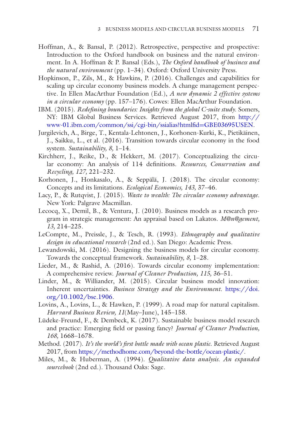- Hoffman, A., & Bansal, P. (2012). Retrospective, perspective and prospective: Introduction to the Oxford handbook on business and the natural environment. In A. Hoffman & P. Bansal (Eds.), *The Oxford handbook of business and the natural environment* (pp. 1–34). Oxford: Oxford University Press.
- Hopkinson, P., Zils, M., & Hawkins, P. (2016). Challenges and capabilities for scaling up circular economy business models. A change management perspective. In Ellen MacArthur Foundation (Ed.), *A new dynamic 2 effective systems in a circular economy* (pp. 157–176). Cowes: Ellen MacArthur Foundation.
- IBM. (2015). *Redefning boundaries: Insights from the global C-suite study*. Somers, NY: IBM Global Business Services. Retrieved August 2017, from [http://](http://www-01.ibm.com/common/ssi/cgi-bin/ssialias%3fhtmlfid%3dGBE03695USEN) [www-01.ibm.com/common/ssi/cgi-bin/ssialias?htmlfd](http://www-01.ibm.com/common/ssi/cgi-bin/ssialias%3fhtmlfid%3dGBE03695USEN)=GBE03695USEN.
- Jurgilevich, A., Birge, T., Kentala-Lehtonen, J., Korhonen-Kurki, K., Pietikäinen, J., Saikku, L., et al. (2016). Transition towards circular economy in the food system. *Sustainability, 8,* 1–14.
- Kirchherr, J., Reike, D., & Hekkert, M. (2017). Conceptualizing the circular economy: An analysis of 114 defnitions. *Resources, Conservation and Recycling, 127,* 221–232.
- Korhonen, J., Honkasalo, A., & Seppälä, J. (2018). The circular economy: Concepts and its limitations. *Ecological Economics, 143,* 37–46.
- Lacy, P., & Rutqvist, J. (2015). *Waste to wealth: The circular economy advantage*. New York: Palgrave Macmillan.
- Lecocq, X., Demil, B., & Ventura, J. (2010). Business models as a research program in strategic management: An appraisal based on Lakatos. *M@n@gement, 13,* 214–225.
- LeCompte, M., Preissle, J., & Tesch, R. (1993). *Ethnography and qualitative design in educational research* (2nd ed.). San Diego: Academic Press.
- Lewandowski, M. (2016). Designing the business models for circular economy. Towards the conceptual framework. *Sustainability, 8,* 1–28.
- Lieder, M., & Rashid, A. (2016). Towards circular economy implementation: A comprehensive review. *Journal of Cleaner Production, 115,* 36–51.
- Linder, M., & Williander, M. (2015). Circular business model innovation: Inherent uncertainties. *Business Strategy and the Environment*. [https://doi.](http://dx.doi.org/10.1002/bse.1906) [org/10.1002/bse.1906](http://dx.doi.org/10.1002/bse.1906).
- Lovins, A., Lovins, L., & Hawken, P. (1999). A road map for natural capitalism. *Harvard Business Review, 11*(May–June), 145–158.
- Lüdeke-Freund, F., & Dembeck, K. (2017). Sustainable business model research and practice: Emerging feld or passing fancy? *Journal of Cleaner Production, 168,* 1668–1678.
- Method. (2017). *It's the world's frst bottle made with ocean plastic*. Retrieved August 2017, from [https://methodhome.com/beyond-the-bottle/ocean-plastic/.](https://methodhome.com/beyond-the-bottle/ocean-plastic/)
- Miles, M., & Huberman, A. (1994). *Qualitative data analysis. An expanded sourcebook* (2nd ed.). Thousand Oaks: Sage.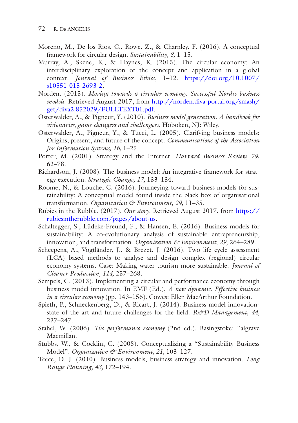- Moreno, M., De los Rios, C., Rowe, Z., & Charnley, F. (2016). A conceptual framework for circular design. *Sustainability, 8,* 1–15.
- Murray, A., Skene, K., & Haynes, K. (2015). The circular economy: An interdisciplinary exploration of the concept and application in a global context. *Journal of Business Ethics*, 1–12. [https://doi.org/10.1007/](http://dx.doi.org/10.1007/s10551-015-2693-2) [s10551-015-2693-2](http://dx.doi.org/10.1007/s10551-015-2693-2).
- Norden. (2015). *Moving towards a circular economy. Successful Nordic business models*. Retrieved August 2017, from [http://norden.diva-portal.org/smash/](http://norden.diva-portal.org/smash/get/diva2:852029/FULLTEXT01.pdf) [get/diva2:852029/FULLTEXT01.pdf](http://norden.diva-portal.org/smash/get/diva2:852029/FULLTEXT01.pdf).
- Osterwalder, A., & Pigneur, Y. (2010). *Business model generation. A handbook for visionaries, game changers and challengers.* Hoboken, NJ: Wiley.
- Osterwalder, A., Pigneur, Y., & Tucci, L. (2005). Clarifying business models: Origins, present, and future of the concept. *Communications of the Association for Information Systems, 16,* 1–25.
- Porter, M. (2001). Strategy and the Internet. *Harvard Business Review, 79,* 62–78.
- Richardson, J. (2008). The business model: An integrative framework for strategy execution. *Strategic Change, 17,* 133–134.
- Roome, N., & Louche, C. (2016). Journeying toward business models for sustainability: A conceptual model found inside the black box of organisational transformation. *Organization & Environment, 29,* 11–35.
- Rubies in the Rubble. (2017). *Our story*. Retrieved August 2017, from [https://](https://rubiesintherubble.com/pages/about-us) [rubiesintherubble.com/pages/about-us](https://rubiesintherubble.com/pages/about-us).
- Schaltegger, S., Lüdeke-Freund, F., & Hansen, E. (2016). Business models for sustainability: A co-evolutionary analysis of sustainable entrepreneurship, innovation, and transformation. *Organization* & Environment, 29, 264–289.
- Scheepens, A., Vogtländer, J., & Brezet, J. (2016). Two life cycle assessment (LCA) based methods to analyse and design complex (regional) circular economy systems. Case: Making water tourism more sustainable. *Journal of Cleaner Production, 114,* 257–268.
- Sempels, C. (2013). Implementing a circular and performance economy through business model innovation. In EMF (Ed.), *A new dynamic. Effective business in a circular economy* (pp. 143–156). Cowes: Ellen MacArthur Foundation.
- Spieth, P., Schneckenberg, D., & Ricart, J. (2014). Business model innovationstate of the art and future challenges for the feld. *R&D Management, 44,* 237–247.
- Stahel, W. (2006). *The performance economy* (2nd ed.). Basingstoke: Palgrave Macmillan.
- Stubbs, W., & Cocklin, C. (2008). Conceptualizing a "Sustainability Business Model". *Organization & Environment, 21,* 103–127.
- Teece, D. J. (2010). Business models, business strategy and innovation. *Long Range Planning, 43,* 172–194.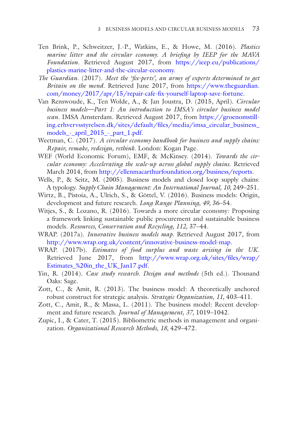- Ten Brink, P., Schweitzer, J.-P., Watkins, E., & Howe, M. (2016). *Plastics marine litter and the circular economy. A briefng by IEEP for the MAVA Foundation*. Retrieved August 2017, from [https://ieep.eu/publications/](https://ieep.eu/publications/plastics-marine-litter-and-the-circular-economy) [plastics-marine-litter-and-the-circular-economy.](https://ieep.eu/publications/plastics-marine-litter-and-the-circular-economy)
- *The Guardian*. (2017). *Meet the 'fx-perts', an army of experts determined to get Britain on the mend*. Retrieved June 2017, from [https://www.theguardian.](https://www.theguardian.com/money/2017/apr/15/repair-cafe-fix-yourself-laptop-save-fortune) [com/money/2017/apr/15/repair-cafe-fx-yourself-laptop-save-fortune](https://www.theguardian.com/money/2017/apr/15/repair-cafe-fix-yourself-laptop-save-fortune).
- Van Renswoude, K., Ten Wolde, A., & Jan Joustra, D. (2015, April). *Circular business models—Part 1: An introduction to IMSA's circular business model scan.* IMSA Amsterdam. Retrieved August 2017, from [https://groenomstill](https://groenomstilling.erhvervsstyrelsen.dk/sites/default/files/media/imsa_circular_business_models_-_april_2015_-_part_1.pdf)[ing.erhvervsstyrelsen.dk/sites/default/fles/media/imsa\\_circular\\_business\\_](https://groenomstilling.erhvervsstyrelsen.dk/sites/default/files/media/imsa_circular_business_models_-_april_2015_-_part_1.pdf) [models\\_-\\_april\\_2015\\_-\\_part\\_1.pdf](https://groenomstilling.erhvervsstyrelsen.dk/sites/default/files/media/imsa_circular_business_models_-_april_2015_-_part_1.pdf).
- Weetman, C. (2017). *A circular economy handbook for business and supply chains: Repair, remake, redesign, rethink*. London: Kogan Page.
- WEF (World Economic Forum), EMF, & McKinsey. (2014). *Towards the circular economy: Accelerating the scale-up across global supply chains.* Retrieved March 2014, from <http://ellenmacarthurfoundation.org/business/reports>.
- Wells, P., & Seitz, M. (2005). Business models and closed loop supply chains: A typology. *Supply Chain Management: An International Journal, 10,* 249–251.
- Wirtz, B., Pistoia, A., Ulrich, S., & Göttel, V. (2016). Business models: Origin, development and future research. *Long Range Planning, 49,* 36–54.
- Witjes, S., & Lozano, R. (2016). Towards a more circular economy: Proposing a framework linking sustainable public procurement and sustainable business models. *Resources, Conservation and Recycling, 112,* 37–44.
- WRAP. (2017a). *Innovative business models map.* Retrieved August 2017, from [http://www.wrap.org.uk/content/innovative-business-model-map.](http://www.wrap.org.uk/content/innovative-business-model-map)
- WRAP. (2017b). *Estimates of food surplus and waste arising in the UK*. Retrieved June 2017, from [http://www.wrap.org.uk/sites/fles/wrap/](http://www.wrap.org.uk/sites/files/wrap/Estimates_%20in_the_UK_Jan17.pdf) [Estimates\\_%20in\\_the\\_UK\\_Jan17.pdf.](http://www.wrap.org.uk/sites/files/wrap/Estimates_%20in_the_UK_Jan17.pdf)
- Yin, R. (2014). *Case study research. Design and methods* (5th ed.). Thousand Oaks: Sage.
- Zott, C., & Amit, R. (2013). The business model: A theoretically anchored robust construct for strategic analysis. *Strategic Organization, 11,* 403–411.
- Zott, C., Amit, R., & Massa, L. (2011). The business model: Recent development and future research. *Journal of Management, 37,* 1019–1042.
- Zupic, I., & Cater, T. (2015). Bibliometric methods in management and organization. *Organizational Research Methods, 18,* 429–472.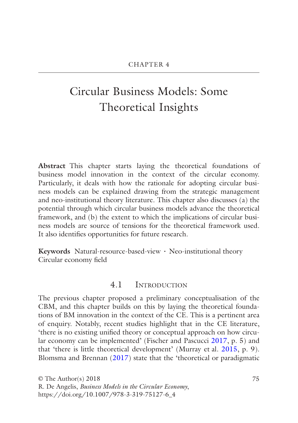# Circular Business Models: Some Theoretical Insights

**Abstract** This chapter starts laying the theoretical foundations of business model innovation in the context of the circular economy. Particularly, it deals with how the rationale for adopting circular business models can be explained drawing from the strategic management and neo-institutional theory literature. This chapter also discusses (a) the potential through which circular business models advance the theoretical framework, and (b) the extent to which the implications of circular business models are source of tensions for the theoretical framework used. It also identifes opportunities for future research.

**Keywords** Natural-resource-based-view · Neo-institutional theory Circular economy feld

# 4.1 Introduction

The previous chapter proposed a preliminary conceptualisation of the CBM, and this chapter builds on this by laying the theoretical foundations of BM innovation in the context of the CE. This is a pertinent area of enquiry. Notably, recent studies highlight that in the CE literature, 'there is no existing unifed theory or conceptual approach on how circular economy can be implemented' (Fischer and Pascucci 2017, p. 5) and that 'there is little theoretical development' (Murray et al. 2015, p. 9). Blomsma and Brennan (2017) state that the 'theoretical or paradigmatic

© The Author(s) 2018 R. De Angelis, *Business Models in the Circular Economy*, https://doi.org/10.1007/978-3-319-75127-6\_4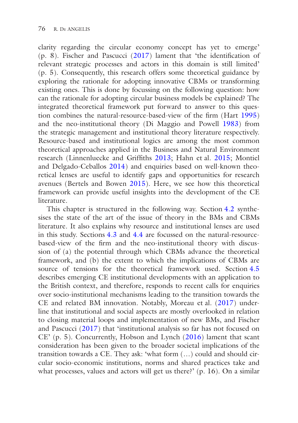clarity regarding the circular economy concept has yet to emerge' (p. 8). Fischer and Pascucci (2017) lament that 'the identifcation of relevant strategic processes and actors in this domain is still limited' (p. 5). Consequently, this research offers some theoretical guidance by exploring the rationale for adopting innovative CBMs or transforming existing ones. This is done by focussing on the following question: how can the rationale for adopting circular business models be explained? The integrated theoretical framework put forward to answer to this question combines the natural-resource-based-view of the frm (Hart 1995) and the neo-institutional theory (Di Maggio and Powell 1983) from the strategic management and institutional theory literature respectively. Resource-based and institutional logics are among the most common theoretical approaches applied in the Business and Natural Environment research (Linnenluecke and Griffths 2013; Hahn et al. 2015; Montiel and Delgado-Ceballos 2014) and enquiries based on well-known theoretical lenses are useful to identify gaps and opportunities for research avenues (Bertels and Bowen 2015). Here, we see how this theoretical framework can provide useful insights into the development of the CE literature.

This chapter is structured in the following way. Section 4.2 synthesises the state of the art of the issue of theory in the BMs and CBMs literature. It also explains why resource and institutional lenses are used in this study. Sections 4.3 and 4.4 are focussed on the natural-resourcebased-view of the frm and the neo-institutional theory with discussion of (a) the potential through which CBMs advance the theoretical framework, and (b) the extent to which the implications of CBMs are source of tensions for the theoretical framework used. Section 4.5 describes emerging CE institutional developments with an application to the British context, and therefore, responds to recent calls for enquiries over socio-institutional mechanisms leading to the transition towards the CE and related BM innovation. Notably, Moreau et al. (2017) underline that institutional and social aspects are mostly overlooked in relation to closing material loops and implementation of new BMs, and Fischer and Pascucci (2017) that 'institutional analysis so far has not focused on CE' (p. 5). Concurrently, Hobson and Lynch (2016) lament that scant consideration has been given to the broader societal implications of the transition towards a CE. They ask: 'what form (…) could and should circular socio-economic institutions, norms and shared practices take and what processes, values and actors will get us there?' (p. 16). On a similar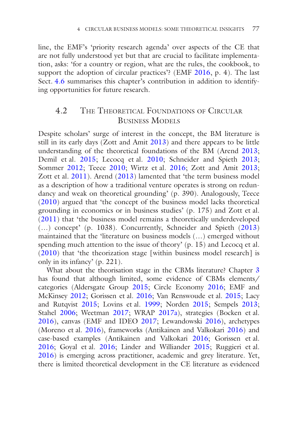line, the EMF's 'priority research agenda' over aspects of the CE that are not fully understood yet but that are crucial to facilitate implementation, asks: 'for a country or region, what are the rules, the cookbook, to support the adoption of circular practices'? (EMF 2016, p. 4). The last Sect. 4.6 summarises this chapter's contribution in addition to identifying opportunities for future research.

# 4.2 The Theoretical Foundations of Circular Business Models

Despite scholars' surge of interest in the concept, the BM literature is still in its early days (Zott and Amit 2013) and there appears to be little understanding of the theoretical foundations of the BM (Arend 2013; Demil et al. 2015; Lecocq et al. 2010; Schneider and Spieth 2013; Sommer 2012; Teece 2010; Wirtz et al. 2016; Zott and Amit 2013; Zott et al. 2011). Arend (2013) lamented that 'the term business model as a description of how a traditional venture operates is strong on redundancy and weak on theoretical grounding' (p. 390). Analogously, Teece (2010) argued that 'the concept of the business model lacks theoretical grounding in economics or in business studies' (p. 175) and Zott et al. (2011) that 'the business model remains a theoretically underdeveloped (…) concept' (p. 1038). Concurrently, Schneider and Spieth (2013) maintained that the 'literature on business models (…) emerged without spending much attention to the issue of theory' (p. 15) and Lecocq et al. (2010) that 'the theorization stage [within business model research] is only in its infancy' (p. 221).

What about the theorisation stage in the CBMs literature? Chapter [3](http://dx.doi.org/10.1007/978-3-319-75127-6_3) has found that although limited, some evidence of CBMs elements/ categories (Aldersgate Group 2015; Circle Economy 2016; EMF and McKinsey 2012; Gorissen et al. 2016; Van Renswoude et al. 2015; Lacy and Rutqvist 2015; Lovins et al. 1999; Norden 2015; Sempels 2013; Stahel 2006; Weetman 2017; WRAP 2017a), strategies (Bocken et al. 2016), canvas (EMF and IDEO 2017; Lewandowski 2016), archetypes (Moreno et al. 2016), frameworks (Antikainen and Valkokari 2016) and case-based examples (Antikainen and Valkokari 2016; Gorissen et al. 2016; Goyal et al. 2016; Linder and Williander 2015; Ruggieri et al. 2016) is emerging across practitioner, academic and grey literature. Yet, there is limited theoretical development in the CE literature as evidenced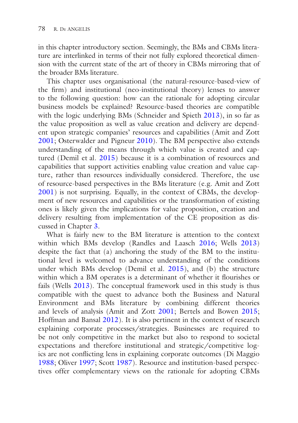in this chapter introductory section. Seemingly, the BMs and CBMs literature are interlinked in terms of their not fully explored theoretical dimension with the current state of the art of theory in CBMs mirroring that of the broader BMs literature.

This chapter uses organisational (the natural-resource-based-view of the frm) and institutional (neo-institutional theory) lenses to answer to the following question: how can the rationale for adopting circular business models be explained? Resource-based theories are compatible with the logic underlying BMs (Schneider and Spieth 2013), in so far as the value proposition as well as value creation and delivery are dependent upon strategic companies' resources and capabilities (Amit and Zott 2001; Osterwalder and Pigneur 2010). The BM perspective also extends understanding of the means through which value is created and captured (Demil et al. 2015) because it is a combination of resources and capabilities that support activities enabling value creation and value capture, rather than resources individually considered. Therefore, the use of resource-based perspectives in the BMs literature (e.g. Amit and Zott 2001) is not surprising. Equally, in the context of CBMs, the development of new resources and capabilities or the transformation of existing ones is likely given the implications for value proposition, creation and delivery resulting from implementation of the CE proposition as discussed in Chapter [3.](http://dx.doi.org/10.1007/978-3-319-75127-6_3)

What is fairly new to the BM literature is attention to the context within which BMs develop (Randles and Laasch 2016; Wells 2013) despite the fact that (a) anchoring the study of the BM to the institutional level is welcomed to advance understanding of the conditions under which BMs develop (Demil et al. 2015), and (b) the structure within which a BM operates is a determinant of whether it flourishes or fails (Wells 2013). The conceptual framework used in this study is thus compatible with the quest to advance both the Business and Natural Environment and BMs literature by combining different theories and levels of analysis (Amit and Zott 2001; Bertels and Bowen 2015; Hoffman and Bansal 2012). It is also pertinent in the context of research explaining corporate processes/strategies. Businesses are required to be not only competitive in the market but also to respond to societal expectations and therefore institutional and strategic/competitive logics are not conficting lens in explaining corporate outcomes (Di Maggio 1988; Oliver 1997; Scott 1987). Resource and institution-based perspectives offer complementary views on the rationale for adopting CBMs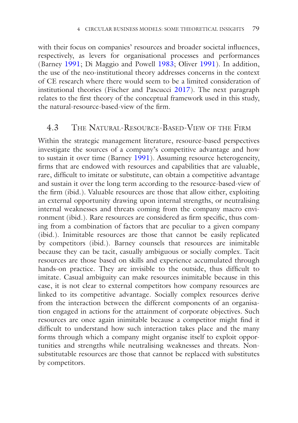with their focus on companies' resources and broader societal infuences, respectively, as levers for organisational processes and performances (Barney 1991; Di Maggio and Powell 1983; Oliver 1991). In addition, the use of the neo-institutional theory addresses concerns in the context of CE research where there would seem to be a limited consideration of institutional theories (Fischer and Pascucci 2017). The next paragraph relates to the frst theory of the conceptual framework used in this study, the natural-resource-based-view of the frm.

## 4.3 The Natural-Resource-Based-View of the Firm

Within the strategic management literature, resource-based perspectives investigate the sources of a company's competitive advantage and how to sustain it over time (Barney 1991). Assuming resource heterogeneity, frms that are endowed with resources and capabilities that are valuable, rare, diffcult to imitate or substitute, can obtain a competitive advantage and sustain it over the long term according to the resource-based-view of the frm (ibid.). Valuable resources are those that allow either, exploiting an external opportunity drawing upon internal strengths, or neutralising internal weaknesses and threats coming from the company macro environment (ibid.). Rare resources are considered as frm specifc, thus coming from a combination of factors that are peculiar to a given company (ibid.). Inimitable resources are those that cannot be easily replicated by competitors (ibid.). Barney counsels that resources are inimitable because they can be tacit, casually ambiguous or socially complex. Tacit resources are those based on skills and experience accumulated through hands-on practice. They are invisible to the outside, thus difficult to imitate. Casual ambiguity can make resources inimitable because in this case, it is not clear to external competitors how company resources are linked to its competitive advantage. Socially complex resources derive from the interaction between the different components of an organisation engaged in actions for the attainment of corporate objectives. Such resources are once again inimitable because a competitor might fnd it difficult to understand how such interaction takes place and the many forms through which a company might organise itself to exploit opportunities and strengths while neutralising weaknesses and threats. Nonsubstitutable resources are those that cannot be replaced with substitutes by competitors.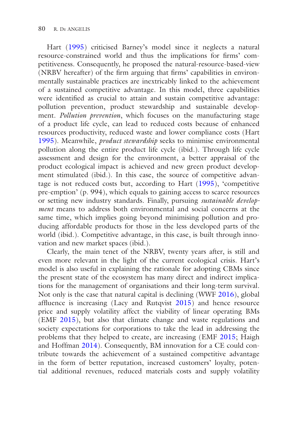Hart (1995) criticised Barney's model since it neglects a natural resource-constrained world and thus the implications for frms' competitiveness. Consequently, he proposed the natural-resource-based-view (NRBV hereafter) of the frm arguing that frms' capabilities in environmentally sustainable practices are inextricably linked to the achievement of a sustained competitive advantage. In this model, three capabilities were identifed as crucial to attain and sustain competitive advantage: pollution prevention, product stewardship and sustainable development. *Pollution prevention*, which focuses on the manufacturing stage of a product life cycle, can lead to reduced costs because of enhanced resources productivity, reduced waste and lower compliance costs (Hart 1995). Meanwhile, *product stewardship* seeks to minimise environmental pollution along the entire product life cycle (ibid.). Through life cycle assessment and design for the environment, a better appraisal of the product ecological impact is achieved and new green product development stimulated (ibid.). In this case, the source of competitive advantage is not reduced costs but, according to Hart (1995), 'competitive pre-emption' (p. 994), which equals to gaining access to scarce resources or setting new industry standards. Finally, pursuing *sustainable development* means to address both environmental and social concerns at the same time, which implies going beyond minimising pollution and producing affordable products for those in the less developed parts of the world (ibid.). Competitive advantage, in this case, is built through innovation and new market spaces (ibid.).

Clearly, the main tenet of the NRBV, twenty years after, is still and even more relevant in the light of the current ecological crisis. Hart's model is also useful in explaining the rationale for adopting CBMs since the present state of the ecosystem has many direct and indirect implications for the management of organisations and their long-term survival. Not only is the case that natural capital is declining (WWF 2016), global affuence is increasing (Lacy and Rutqvist 2015) and hence resource price and supply volatility affect the viability of linear operating BMs (EMF 2015), but also that climate change and waste regulations and society expectations for corporations to take the lead in addressing the problems that they helped to create, are increasing (EMF 2015; Haigh and Hoffman 2014). Consequently, BM innovation for a CE could contribute towards the achievement of a sustained competitive advantage in the form of better reputation, increased customers' loyalty, potential additional revenues, reduced materials costs and supply volatility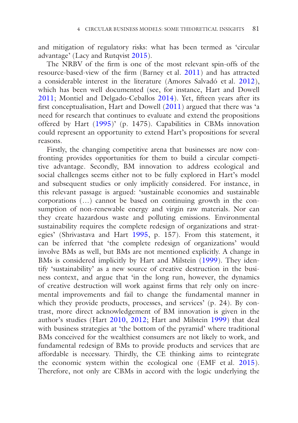and mitigation of regulatory risks: what has been termed as 'circular advantage' (Lacy and Rutqvist 2015).

The NRBV of the frm is one of the most relevant spin-offs of the resource-based-view of the frm (Barney et al. 2011) and has attracted a considerable interest in the literature (Amores Salvadó et al. 2012), which has been well documented (see, for instance, Hart and Dowell 2011; Montiel and Delgado-Ceballos 2014). Yet, ffteen years after its frst conceptualisation, Hart and Dowell (2011) argued that there was 'a need for research that continues to evaluate and extend the propositions offered by Hart (1995)' (p. 1475). Capabilities in CBMs innovation could represent an opportunity to extend Hart's propositions for several reasons.

Firstly, the changing competitive arena that businesses are now confronting provides opportunities for them to build a circular competitive advantage. Secondly, BM innovation to address ecological and social challenges seems either not to be fully explored in Hart's model and subsequent studies or only implicitly considered. For instance, in this relevant passage is argued: 'sustainable economies and sustainable corporations (…) cannot be based on continuing growth in the consumption of non-renewable energy and virgin raw materials. Nor can they create hazardous waste and polluting emissions. Environmental sustainability requires the complete redesign of organizations and strategies' (Shrivastava and Hart 1995, p. 157). From this statement, it can be inferred that 'the complete redesign of organizations' would involve BMs as well, but BMs are not mentioned explicitly. A change in BMs is considered implicitly by Hart and Milstein (1999). They identify 'sustainability' as a new source of creative destruction in the business context, and argue that 'in the long run, however, the dynamics of creative destruction will work against frms that rely only on incremental improvements and fail to change the fundamental manner in which they provide products, processes, and services' (p. 24). By contrast, more direct acknowledgement of BM innovation is given in the author's studies (Hart 2010, 2012; Hart and Milstein 1999) that deal with business strategies at 'the bottom of the pyramid' where traditional BMs conceived for the wealthiest consumers are not likely to work, and fundamental redesign of BMs to provide products and services that are affordable is necessary. Thirdly, the CE thinking aims to reintegrate the economic system within the ecological one (EMF et al. 2015). Therefore, not only are CBMs in accord with the logic underlying the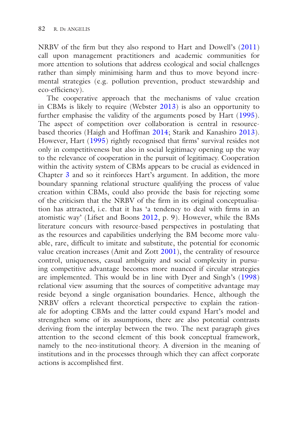NRBV of the frm but they also respond to Hart and Dowell's (2011) call upon management practitioners and academic communities for more attention to solutions that address ecological and social challenges rather than simply minimising harm and thus to move beyond incremental strategies (e.g. pollution prevention, product stewardship and eco-efficiency).

The cooperative approach that the mechanisms of value creation in CBMs is likely to require (Webster 2013) is also an opportunity to further emphasise the validity of the arguments posed by Hart (1995). The aspect of competition over collaboration is central in resourcebased theories (Haigh and Hoffman 2014; Starik and Kanashiro 2013). However, Hart (1995) rightly recognised that frms' survival resides not only in competitiveness but also in social legitimacy opening up the way to the relevance of cooperation in the pursuit of legitimacy. Cooperation within the activity system of CBMs appears to be crucial as evidenced in Chapter [3](http://dx.doi.org/10.1007/978-3-319-75127-6_3) and so it reinforces Hart's argument. In addition, the more boundary spanning relational structure qualifying the process of value creation within CBMs, could also provide the basis for rejecting some of the criticism that the NRBV of the frm in its original conceptualisation has attracted, i.e. that it has 'a tendency to deal with frms in an atomistic way' (Lifset and Boons 2012, p. 9). However, while the BMs literature concurs with resource-based perspectives in postulating that as the resources and capabilities underlying the BM become more valuable, rare, diffcult to imitate and substitute, the potential for economic value creation increases (Amit and Zott 2001), the centrality of resource control, uniqueness, casual ambiguity and social complexity in pursuing competitive advantage becomes more nuanced if circular strategies are implemented. This would be in line with Dyer and Singh's (1998) relational view assuming that the sources of competitive advantage may reside beyond a single organisation boundaries. Hence, although the NRBV offers a relevant theoretical perspective to explain the rationale for adopting CBMs and the latter could expand Hart's model and strengthen some of its assumptions, there are also potential contrasts deriving from the interplay between the two. The next paragraph gives attention to the second element of this book conceptual framework, namely to the neo-institutional theory. A diversion in the meaning of institutions and in the processes through which they can affect corporate actions is accomplished frst.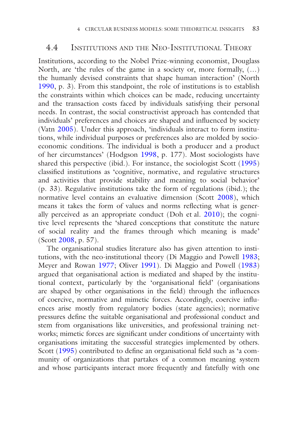# 4.4 Institutions and the Neo-Institutional Theory

Institutions, according to the Nobel Prize-winning economist, Douglass North, are 'the rules of the game in a society or, more formally, (…) the humanly devised constraints that shape human interaction' (North 1990, p. 3). From this standpoint, the role of institutions is to establish the constraints within which choices can be made, reducing uncertainty and the transaction costs faced by individuals satisfying their personal needs. In contrast, the social constructivist approach has contended that individuals' preferences and choices are shaped and infuenced by society (Vatn 2005). Under this approach, 'individuals interact to form institutions, while individual purposes or preferences also are molded by socioeconomic conditions. The individual is both a producer and a product of her circumstances' (Hodgson 1998, p. 177). Most sociologists have shared this perspective (ibid.). For instance, the sociologist Scott (1995) classifed institutions as 'cognitive, normative, and regulative structures and activities that provide stability and meaning to social behavior' (p. 33). Regulative institutions take the form of regulations (ibid.); the normative level contains an evaluative dimension (Scott 2008), which means it takes the form of values and norms refecting what is generally perceived as an appropriate conduct (Doh et al. 2010); the cognitive level represents the 'shared conceptions that constitute the nature of social reality and the frames through which meaning is made' (Scott 2008, p. 57).

The organisational studies literature also has given attention to institutions, with the neo-institutional theory (Di Maggio and Powell 1983; Meyer and Rowan 1977; Oliver 1991). Di Maggio and Powell (1983) argued that organisational action is mediated and shaped by the institutional context, particularly by the 'organisational feld' (organisations are shaped by other organisations in the feld) through the infuences of coercive, normative and mimetic forces. Accordingly, coercive infuences arise mostly from regulatory bodies (state agencies); normative pressures defne the suitable organisational and professional conduct and stem from organisations like universities, and professional training networks; mimetic forces are signifcant under conditions of uncertainty with organisations imitating the successful strategies implemented by others. Scott (1995) contributed to defne an organisational feld such as 'a community of organizations that partakes of a common meaning system and whose participants interact more frequently and fatefully with one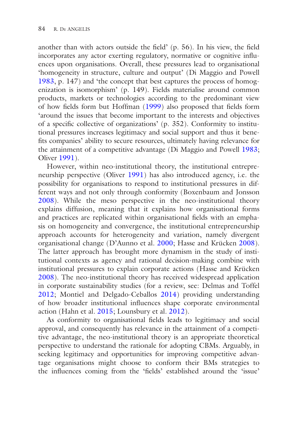another than with actors outside the feld' (p. 56). In his view, the feld incorporates any actor exerting regulatory, normative or cognitive infuences upon organisations. Overall, these pressures lead to organisational 'homogeneity in structure, culture and output' (Di Maggio and Powell 1983, p. 147) and 'the concept that best captures the process of homogenization is isomorphism' (p. 149). Fields materialise around common products, markets or technologies according to the predominant view of how felds form but Hoffman (1999) also proposed that felds form 'around the issues that become important to the interests and objectives of a specifc collective of organizations' (p. 352). Conformity to institutional pressures increases legitimacy and social support and thus it benefts companies' ability to secure resources, ultimately having relevance for the attainment of a competitive advantage (Di Maggio and Powell 1983; Oliver 1991).

However, within neo-institutional theory, the institutional entrepreneurship perspective (Oliver 1991) has also introduced agency, i.e. the possibility for organisations to respond to institutional pressures in different ways and not only through conformity (Boxenbaum and Jonsson 2008). While the meso perspective in the neo-institutional theory explains diffusion, meaning that it explains how organisational forms and practices are replicated within organisational felds with an emphasis on homogeneity and convergence, the institutional entrepreneurship approach accounts for heterogeneity and variation, namely divergent organisational change (D'Aunno et al. 2000; Hasse and Krücken 2008). The latter approach has brought more dynamism in the study of institutional contexts as agency and rational decision-making combine with institutional pressures to explain corporate actions (Hasse and Krücken 2008). The neo-institutional theory has received widespread application in corporate sustainability studies (for a review, see: Delmas and Toffel 2012; Montiel and Delgado-Ceballos 2014) providing understanding of how broader institutional infuences shape corporate environmental action (Hahn et al.  $2015$ ; Lounsbury et al.  $2012$ ).

As conformity to organisational felds leads to legitimacy and social approval, and consequently has relevance in the attainment of a competitive advantage, the neo-institutional theory is an appropriate theoretical perspective to understand the rationale for adopting CBMs. Arguably, in seeking legitimacy and opportunities for improving competitive advantage organisations might choose to conform their BMs strategies to the infuences coming from the 'felds' established around the 'issue'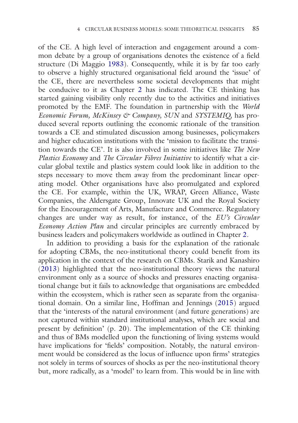of the CE. A high level of interaction and engagement around a common debate by a group of organisations denotes the existence of a feld structure (Di Maggio 1983). Consequently, while it is by far too early to observe a highly structured organisational feld around the 'issue' of the CE, there are nevertheless some societal developments that might be conducive to it as Chapter [2](http://dx.doi.org/10.1007/978-3-319-75127-6_2) has indicated. The CE thinking has started gaining visibility only recently due to the activities and initiatives promoted by the EMF. The foundation in partnership with the *World Economic Forum, McKinsey & Company, SUN* and *SYSTEMIQ,* has produced several reports outlining the economic rationale of the transition towards a CE and stimulated discussion among businesses, policymakers and higher education institutions with the 'mission to facilitate the transition towards the CE'. It is also involved in some initiatives like *The New Plastics Economy* and *The Circular Fibres Initiative* to identify what a circular global textile and plastics system could look like in addition to the steps necessary to move them away from the predominant linear operating model. Other organisations have also promulgated and explored the CE. For example, within the UK, WRAP, Green Alliance, Waste Companies, the Aldersgate Group, Innovate UK and the Royal Society for the Encouragement of Arts, Manufacture and Commerce. Regulatory changes are under way as result, for instance, of the *EU's Circular Economy Action Plan* and circular principles are currently embraced by business leaders and policymakers worldwide as outlined in Chapter [2.](http://dx.doi.org/10.1007/978-3-319-75127-6_2)

In addition to providing a basis for the explanation of the rationale for adopting CBMs, the neo-institutional theory could beneft from its application in the context of the research on CBMs. Starik and Kanashiro (2013) highlighted that the neo-institutional theory views the natural environment only as a source of shocks and pressures enacting organisational change but it fails to acknowledge that organisations are embedded within the ecosystem, which is rather seen as separate from the organisational domain. On a similar line, Hoffman and Jennings (2015) argued that the 'interests of the natural environment (and future generations) are not captured within standard institutional analyses, which are social and present by defnition' (p. 20). The implementation of the CE thinking and thus of BMs modelled upon the functioning of living systems would have implications for 'fields' composition. Notably, the natural environment would be considered as the locus of infuence upon frms' strategies not solely in terms of sources of shocks as per the neo-institutional theory but, more radically, as a 'model' to learn from. This would be in line with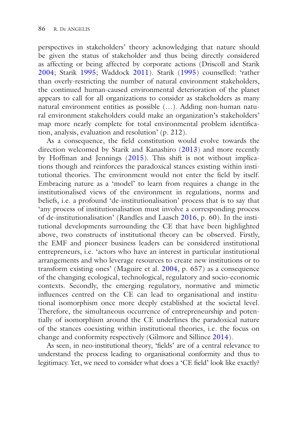perspectives in stakeholders' theory acknowledging that nature should be given the status of stakeholder and thus being directly considered as affecting or being affected by corporate actions (Driscoll and Starik 2004; Starik 1995; Waddock 2011). Starik (1995) counselled: 'rather than overly-restricting the number of natural environment stakeholders, the continued human-caused environmental deterioration of the planet appears to call for all organizations to consider as stakeholders as many natural environment entities as possible (…). Adding non-human natural environment stakeholders could make an organization's stakeholders' map more nearly complete for total environmental problem identifcation, analysis, evaluation and resolution' (p. 212).

As a consequence, the feld constitution would evolve towards the direction welcomed by Starik and Kanashiro (2013) and more recently by Hoffman and Jennings (2015). This shift is not without implications though and reinforces the paradoxical stances existing within institutional theories. The environment would not enter the feld by itself. Embracing nature as a 'model' to learn from requires a change in the institutionalised views of the environment in regulations, norms and beliefs, i.e. a profound 'de-institutionalisation' process that is to say that 'any process of institutionalisation must involve a corresponding process of de-institutionalisation' (Randles and Laasch 2016, p. 60). In the institutional developments surrounding the CE that have been highlighted above, two constructs of institutional theory can be observed. Firstly, the EMF and pioneer business leaders can be considered institutional entrepreneurs, i.e. 'actors who have an interest in particular institutional arrangements and who leverage resources to create new institutions or to transform existing ones' (Maguire et al. 2004, p. 657) as a consequence of the changing ecological, technological, regulatory and socio-economic contexts. Secondly, the emerging regulatory, normative and mimetic infuences centred on the CE can lead to organisational and institutional isomorphism once more deeply established at the societal level. Therefore, the simultaneous occurrence of entrepreneurship and potentially of isomorphism around the CE underlines the paradoxical nature of the stances coexisting within institutional theories, i.e. the focus on change and conformity respectively (Gilmore and Sillince 2014).

As seen, in neo-institutional theory, 'felds' are of a central relevance to understand the process leading to organisational conformity and thus to legitimacy. Yet, we need to consider what does a 'CE feld' look like exactly?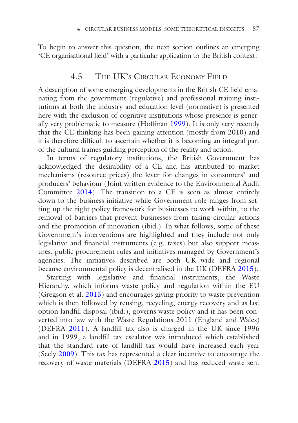To begin to answer this question, the next section outlines an emerging 'CE organisational feld' with a particular application to the British context.

# 4.5 The UK's Circular Economy Field

A description of some emerging developments in the British CE feld emanating from the government (regulative) and professional training institutions at both the industry and education level (normative) is presented here with the exclusion of cognitive institutions whose presence is generally very problematic to measure (Hoffman 1999). It is only very recently that the CE thinking has been gaining attention (mostly from 2010) and it is therefore diffcult to ascertain whether it is becoming an integral part of the cultural frames guiding perception of the reality and action.

In terms of regulatory institutions, the British Government has acknowledged the desirability of a CE and has attributed to market mechanisms (resource prices) the lever for changes in consumers' and producers' behaviour (Joint written evidence to the Environmental Audit Committee 2014). The transition to a CE is seen as almost entirely down to the business initiative while Government role ranges from setting up the right policy framework for businesses to work within, to the removal of barriers that prevent businesses from taking circular actions and the promotion of innovation (ibid.). In what follows, some of these Government's interventions are highlighted and they include not only legislative and fnancial instruments (e.g. taxes) but also support measures, public procurement rules and initiatives managed by Government's agencies. The initiatives described are both UK wide and regional because environmental policy is decentralised in the UK (DEFRA 2015).

Starting with legislative and fnancial instruments, the Waste Hierarchy, which informs waste policy and regulation within the EU (Gregson et al. 2015) and encourages giving priority to waste prevention which is then followed by reusing, recycling, energy recovery and as last option landfll disposal (ibid.), governs waste policy and it has been converted into law with the Waste Regulations 2011 (England and Wales) (DEFRA 2011). A landfll tax also is charged in the UK since 1996 and in 1999, a landfll tax escalator was introduced which established that the standard rate of landfll tax would have increased each year (Seely 2009). This tax has represented a clear incentive to encourage the recovery of waste materials (DEFRA 2015) and has reduced waste sent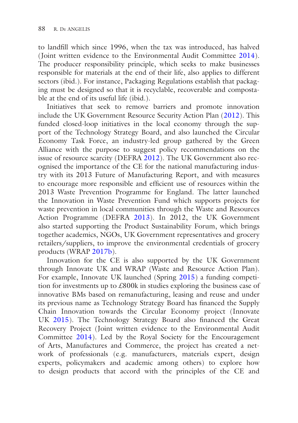to landfll which since 1996, when the tax was introduced, has halved (Joint written evidence to the Environmental Audit Committee 2014). The producer responsibility principle, which seeks to make businesses responsible for materials at the end of their life, also applies to different sectors (ibid.). For instance, Packaging Regulations establish that packaging must be designed so that it is recyclable, recoverable and compostable at the end of its useful life (ibid.).

Initiatives that seek to remove barriers and promote innovation include the UK Government Resource Security Action Plan (2012). This funded closed-loop initiatives in the local economy through the support of the Technology Strategy Board, and also launched the Circular Economy Task Force, an industry-led group gathered by the Green Alliance with the purpose to suggest policy recommendations on the issue of resource scarcity (DEFRA 2012). The UK Government also recognised the importance of the CE for the national manufacturing industry with its 2013 Future of Manufacturing Report, and with measures to encourage more responsible and effcient use of resources within the 2013 Waste Prevention Programme for England. The latter launched the Innovation in Waste Prevention Fund which supports projects for waste prevention in local communities through the Waste and Resources Action Programme (DEFRA 2013). In 2012, the UK Government also started supporting the Product Sustainability Forum, which brings together academics, NGOs, UK Government representatives and grocery retailers/suppliers, to improve the environmental credentials of grocery products (WRAP 2017b).

Innovation for the CE is also supported by the UK Government through Innovate UK and WRAP (Waste and Resource Action Plan). For example, Innovate UK launched (Spring 2015) a funding competition for investments up to £800k in studies exploring the business case of innovative BMs based on remanufacturing, leasing and reuse and under its previous name as Technology Strategy Board has fnanced the Supply Chain Innovation towards the Circular Economy project (Innovate UK 2015). The Technology Strategy Board also fnanced the Great Recovery Project (Joint written evidence to the Environmental Audit Committee 2014). Led by the Royal Society for the Encouragement of Arts, Manufactures and Commerce, the project has created a network of professionals (e.g. manufacturers, materials expert, design experts, policymakers and academic among others) to explore how to design products that accord with the principles of the CE and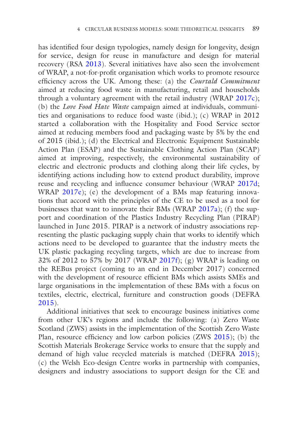has identifed four design typologies, namely design for longevity, design for service, design for reuse in manufacture and design for material recovery (RSA 2013). Several initiatives have also seen the involvement of WRAP, a not-for-proft organisation which works to promote resource effciency across the UK. Among these: (a) the *Courtald Commitment* aimed at reducing food waste in manufacturing, retail and households through a voluntary agreement with the retail industry (WRAP 2017c); (b) the *Love Food Hate Waste* campaign aimed at individuals, communities and organisations to reduce food waste (ibid.); (c) WRAP in 2012 started a collaboration with the Hospitality and Food Service sector aimed at reducing members food and packaging waste by 5% by the end of 2015 (ibid.); (d) the Electrical and Electronic Equipment Sustainable Action Plan (ESAP) and the Sustainable Clothing Action Plan (SCAP) aimed at improving, respectively, the environmental sustainability of electric and electronic products and clothing along their life cycles, by identifying actions including how to extend product durability, improve reuse and recycling and infuence consumer behaviour (WRAP 2017d; WRAP 2017e); (e) the development of a BMs map featuring innovations that accord with the principles of the CE to be used as a tool for businesses that want to innovate their BMs (WRAP 2017a); (f) the support and coordination of the Plastics Industry Recycling Plan (PIRAP) launched in June 2015. PIRAP is a network of industry associations representing the plastic packaging supply chain that works to identify which actions need to be developed to guarantee that the industry meets the UK plastic packaging recycling targets, which are due to increase from 32% of 2012 to 57% by 2017 (WRAP 2017f); (g) WRAP is leading on the REBus project (coming to an end in December 2017) concerned with the development of resource efficient BMs which assists SMEs and large organisations in the implementation of these BMs with a focus on textiles, electric, electrical, furniture and construction goods (DEFRA 2015).

Additional initiatives that seek to encourage business initiatives come from other UK's regions and include the following: (a) Zero Waste Scotland (ZWS) assists in the implementation of the Scottish Zero Waste Plan, resource efficiency and low carbon policies (ZWS 2015); (b) the Scottish Materials Brokerage Service works to ensure that the supply and demand of high value recycled materials is matched (DEFRA 2015); (c) the Welsh Eco-design Centre works in partnership with companies, designers and industry associations to support design for the CE and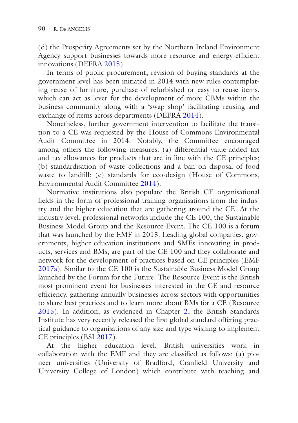(d) the Prosperity Agreements set by the Northern Ireland Environment Agency support businesses towards more resource and energy-efficient innovations (DEFRA 2015).

In terms of public procurement, revision of buying standards at the government level has been initiated in 2014 with new rules contemplating reuse of furniture, purchase of refurbished or easy to reuse items, which can act as lever for the development of more CBMs within the business community along with a 'swap shop' facilitating reusing and exchange of items across departments (DEFRA 2014).

Nonetheless, further government intervention to facilitate the transition to a CE was requested by the House of Commons Environmental Audit Committee in 2014. Notably, the Committee encouraged among others the following measures: (a) differential value-added tax and tax allowances for products that are in line with the CE principles; (b) standardisation of waste collections and a ban on disposal of food waste to landfill; (c) standards for eco-design (House of Commons, Environmental Audit Committee 2014).

Normative institutions also populate the British CE organisational felds in the form of professional training organisations from the industry and the higher education that are gathering around the CE. At the industry level, professional networks include the CE 100, the Sustainable Business Model Group and the Resource Event. The CE 100 is a forum that was launched by the EMF in 2013. Leading global companies, governments, higher education institutions and SMEs innovating in products, services and BMs, are part of the CE 100 and they collaborate and network for the development of practices based on CE principles (EMF 2017a). Similar to the CE 100 is the Sustainable Business Model Group launched by the Forum for the Future. The Resource Event is the British most prominent event for businesses interested in the CE and resource effciency, gathering annually businesses across sectors with opportunities to share best practices and to learn more about BMs for a CE (Resource 2015). In addition, as evidenced in Chapter [2,](http://dx.doi.org/10.1007/978-3-319-75127-6_2) the British Standards Institute has very recently released the frst global standard offering practical guidance to organisations of any size and type wishing to implement CE principles (BSI 2017).

At the higher education level, British universities work in collaboration with the EMF and they are classifed as follows: (a) pioneer universities (University of Bradford, Cranfeld University and University College of London) which contribute with teaching and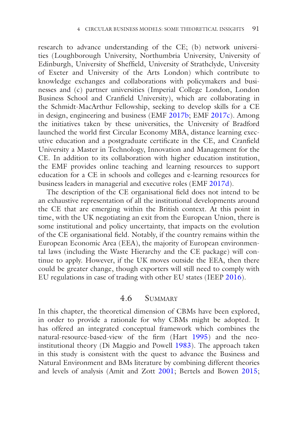research to advance understanding of the CE; (b) network universities (Loughborough University, Northumbria University, University of Edinburgh, University of Sheffeld, University of Strathclyde, University of Exeter and University of the Arts London) which contribute to knowledge exchanges and collaborations with policymakers and businesses and (c) partner universities (Imperial College London, London Business School and Cranfeld University), which are collaborating in the Schmidt-MacArthur Fellowship, seeking to develop skills for a CE in design, engineering and business (EMF 2017b; EMF 2017c). Among the initiatives taken by these universities, the University of Bradford launched the world frst Circular Economy MBA, distance learning executive education and a postgraduate certifcate in the CE, and Cranfeld University a Master in Technology, Innovation and Management for the CE. In addition to its collaboration with higher education institution, the EMF provides online teaching and learning resources to support education for a CE in schools and colleges and e-learning resources for business leaders in managerial and executive roles (EMF 2017d).

The description of the CE organisational feld does not intend to be an exhaustive representation of all the institutional developments around the CE that are emerging within the British context. At this point in time, with the UK negotiating an exit from the European Union, there is some institutional and policy uncertainty, that impacts on the evolution of the CE organisational feld. Notably, if the country remains within the European Economic Area (EEA), the majority of European environmental laws (including the Waste Hierarchy and the CE package) will continue to apply. However, if the UK moves outside the EEA, then there could be greater change, though exporters will still need to comply with EU regulations in case of trading with other EU states (IEEP 2016).

### 4.6 Summary

In this chapter, the theoretical dimension of CBMs have been explored, in order to provide a rationale for why CBMs might be adopted. It has offered an integrated conceptual framework which combines the natural-resource-based-view of the frm (Hart 1995) and the neoinstitutional theory (Di Maggio and Powell 1983). The approach taken in this study is consistent with the quest to advance the Business and Natural Environment and BMs literature by combining different theories and levels of analysis (Amit and Zott 2001; Bertels and Bowen 2015;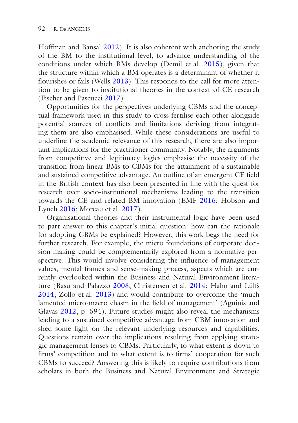Hoffman and Bansal 2012). It is also coherent with anchoring the study of the BM to the institutional level, to advance understanding of the conditions under which BMs develop (Demil et al. 2015), given that the structure within which a BM operates is a determinant of whether it flourishes or fails (Wells 2013). This responds to the call for more attention to be given to institutional theories in the context of CE research (Fischer and Pascucci 2017).

Opportunities for the perspectives underlying CBMs and the conceptual framework used in this study to cross-fertilise each other alongside potential sources of conficts and limitations deriving from integrating them are also emphasised. While these considerations are useful to underline the academic relevance of this research, there are also important implications for the practitioner community. Notably, the arguments from competitive and legitimacy logics emphasise the necessity of the transition from linear BMs to CBMs for the attainment of a sustainable and sustained competitive advantage. An outline of an emergent CE feld in the British context has also been presented in line with the quest for research over socio-institutional mechanisms leading to the transition towards the CE and related BM innovation (EMF 2016; Hobson and Lynch 2016; Moreau et al. 2017).

Organisational theories and their instrumental logic have been used to part answer to this chapter's initial question: how can the rationale for adopting CBMs be explained? However, this work begs the need for further research. For example, the micro foundations of corporate decision-making could be complementarily explored from a normative perspective. This would involve considering the influence of management values, mental frames and sense-making process, aspects which are currently overlooked within the Business and Natural Environment literature (Basu and Palazzo 2008; Christensen et al. 2014; Hahn and Lülfs 2014; Zollo et al. 2013) and would contribute to overcome the 'much lamented micro-macro chasm in the feld of management' (Aguinis and Glavas 2012, p. 594). Future studies might also reveal the mechanisms leading to a sustained competitive advantage from CBM innovation and shed some light on the relevant underlying resources and capabilities. Questions remain over the implications resulting from applying strategic management lenses to CBMs. Particularly, to what extent is down to firms' competition and to what extent is to firms' cooperation for such CBMs to succeed? Answering this is likely to require contributions from scholars in both the Business and Natural Environment and Strategic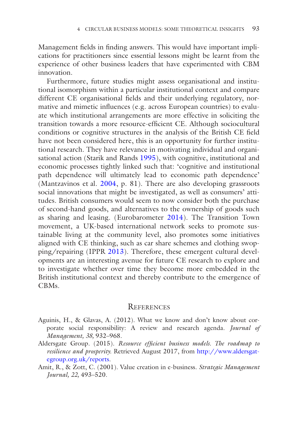Management felds in fnding answers. This would have important implications for practitioners since essential lessons might be learnt from the experience of other business leaders that have experimented with CBM innovation.

Furthermore, future studies might assess organisational and institutional isomorphism within a particular institutional context and compare different CE organisational felds and their underlying regulatory, normative and mimetic infuences (e.g. across European countries) to evaluate which institutional arrangements are more effective in soliciting the transition towards a more resource-effcient CE. Although sociocultural conditions or cognitive structures in the analysis of the British CE feld have not been considered here, this is an opportunity for further institutional research. They have relevance in motivating individual and organisational action (Starik and Rands 1995), with cognitive, institutional and economic processes tightly linked such that: 'cognitive and institutional path dependence will ultimately lead to economic path dependence' (Mantzavinos et al. 2004, p. 81). There are also developing grassroots social innovations that might be investigated, as well as consumers' attitudes. British consumers would seem to now consider both the purchase of second-hand goods, and alternatives to the ownership of goods such as sharing and leasing. (Eurobarometer 2014). The Transition Town movement, a UK-based international network seeks to promote sustainable living at the community level, also promotes some initiatives aligned with CE thinking, such as car share schemes and clothing swopping/repairing (IPPR 2013). Therefore, these emergent cultural developments are an interesting avenue for future CE research to explore and to investigate whether over time they become more embedded in the British institutional context and thereby contribute to the emergence of CBMs.

#### **REFERENCES**

- Aguinis, H., & Glavas, A. (2012). What we know and don't know about corporate social responsibility: A review and research agenda. *Journal of Management, 38,* 932–968.
- Aldersgate Group. (2015). *Resource effcient business models. The roadmap to resilience and prosperity.* Retrieved August 2017, from [http://www.aldersgat](http://www.aldersgategroup.org.uk/reports)[egroup.org.uk/reports.](http://www.aldersgategroup.org.uk/reports)
- Amit, R., & Zott, C. (2001). Value creation in e-business. *Strategic Management Journal, 22,* 493–520.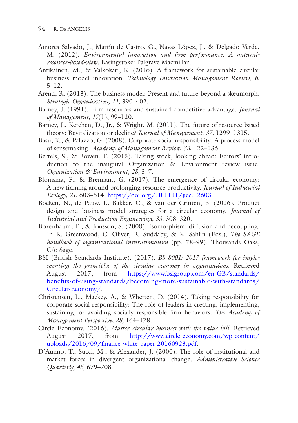- Amores Salvadó, J., Martín de Castro, G., Navas López, J., & Delgado Verde, M. (2012). *Environmental innovation and frm performance: A naturalresource-based-view*. Basingstoke: Palgrave Macmillan.
- Antikainen, M., & Valkokari, K. (2016). A framework for sustainable circular business model innovation. *Technology Innovation Management Review, 6,* 5–12.
- Arend, R. (2013). The business model: Present and future-beyond a skeumorph. *Strategic Organization, 11,* 390–402.
- Barney, J. (1991). Firm resources and sustained competitive advantage. *Journal of Management, 17*(1), 99–120.
- Barney, J., Ketchen, D., Jr., & Wright, M. (2011). The future of resource-based theory: Revitalization or decline? *Journal of Management, 37,* 1299–1315.
- Basu, K., & Palazzo, G. (2008). Corporate social responsibility: A process model of sensemaking. *Academy of Management Review, 33,* 122–136.
- Bertels, S., & Bowen, F. (2015). Taking stock, looking ahead: Editors' introduction to the inaugural Organization & Environment review issue. *Organization & Environment, 28,* 3–7.
- Blomsma, F., & Brennan., G. (2017). The emergence of circular economy: A new framing around prolonging resource productivity. *Journal of Industrial Ecology, 21,* 603–614. [https://doi.org/10.1111/jiec.12603.](http://dx.doi.org/10.1111/jiec.12603)
- Bocken, N., de Pauw, I., Bakker, C., & van der Grinten, B. (2016). Product design and business model strategies for a circular economy. *Journal of Industrial and Production Engineering, 33,* 308–320.
- Boxenbaum, E., & Jonsson, S. (2008). Isomorphism, diffusion and decoupling. In R. Greenwood, C. Oliver, R. Suddaby, & K. Sahlin (Eds.), *The SAGE handbook of organizational institutionalism* (pp. 78–99). Thousands Oaks, CA: Sage.
- BSI (British Standards Institute). (2017)*. BS 8001: 2017 framework for implementing the principles of the circular economy in organisations.* Retrieved August 2017, from [https://www.bsigroup.com/en-GB/standards/](https://www.bsigroup.com/en-GB/standards/benefits-of-using-standards/becoming-more-sustainable-with-standards/Circular-Economy/) [benefits-of-using-standards/becoming-more-sustainable-with-standards/](https://www.bsigroup.com/en-GB/standards/benefits-of-using-standards/becoming-more-sustainable-with-standards/Circular-Economy/) [Circular-Economy/](https://www.bsigroup.com/en-GB/standards/benefits-of-using-standards/becoming-more-sustainable-with-standards/Circular-Economy/).
- Christensen, L., Mackey, A., & Whetten, D. (2014). Taking responsibility for corporate social responsibility: The role of leaders in creating, implementing, sustaining, or avoiding socially responsible frm behaviors. *The Academy of Management Perspective, 28,* 164–178.
- Circle Economy. (2016). *Master circular business with the value hill*. Retrieved August 2017, from [http://www.circle-economy.com/wp-content/](http://www.circle-economy.com/wp-content/uploads/2016/09/finance-white-paper-20160923.pdf) [uploads/2016/09/fnance-white-paper-20160923.pdf.](http://www.circle-economy.com/wp-content/uploads/2016/09/finance-white-paper-20160923.pdf)
- D'Aunno, T., Succi, M., & Alexander, J. (2000). The role of institutional and market forces in divergent organizational change. *Administrative Science Quarterly, 45,* 679–708.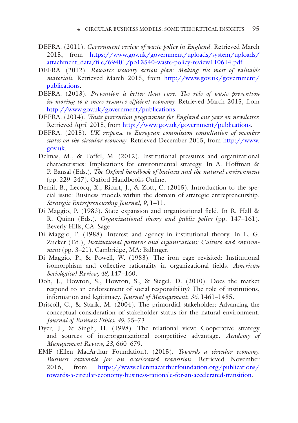- DEFRA. (2011). *Government review of waste policy in England*. Retrieved March 2015, from [https://www.gov.uk/government/uploads/system/uploads/](https://www.gov.uk/government/uploads/system/uploads/attachment_data/file/69401/pb13540-waste-policy-review110614.pdf) [attachment\\_data/fle/69401/pb13540-waste-policy-review110614.pdf](https://www.gov.uk/government/uploads/system/uploads/attachment_data/file/69401/pb13540-waste-policy-review110614.pdf).
- DEFRA. (2012). *Resource security action plan: Making the most of valuable materials.* Retrieved March 2015, from [http://www.gov.uk/government/](http://www.gov.uk/government/publications) [publications](http://www.gov.uk/government/publications).
- DEFRA. (2013). *Prevention is better than cure. The role of waste prevention in moving to a more resource effcient economy.* Retrieved March 2015, from <http://www.gov.uk/government/publications>.
- DEFRA. (2014). *Waste prevention programme for England one year on newsletter.* Retrieved April 2015, from <http://www.gov.uk/government/publications>.
- DEFRA. (2015). *UK response to European commission consultation of member states on the circular economy*. Retrieved December 2015, from [http://www.](http://www.gov.uk) [gov.uk](http://www.gov.uk).
- Delmas, M., & Toffel, M. (2012). Institutional pressures and organizational characteristics: Implications for environmental strategy. In A. Hoffman & P. Bansal (Eds.), *The Oxford handbook of business and the natural environment* (pp. 229–247). Oxford Handbooks Online.
- Demil, B., Lecocq, X., Ricart, J., & Zott, C. (2015). Introduction to the special issue: Business models within the domain of strategic entrepreneurship. *Strategic Entrepreneurship Journal, 9,* 1–11.
- Di Maggio, P. (1983). State expansion and organizational feld. In R. Hall & R. Quinn (Eds.), *Organizational theory and public policy* (pp. 147–161). Beverly Hills, CA: Sage.
- Di Maggio, P. (1988). Interest and agency in institutional theory. In L. G. Zucker (Ed.), *Institutional patterns and organizations: Culture and environment* (pp. 3–21). Cambridge, MA: Ballinger.
- Di Maggio, P., & Powell, W. (1983). The iron cage revisited: Institutional isomorphism and collective rationality in organizational felds. *American Sociological Review, 48,* 147–160.
- Doh, J., Howton, S., Howton, S., & Siegel, D. (2010). Does the market respond to an endorsement of social responsibility? The role of institutions, information and legitimacy. *Journal of Management, 36,* 1461–1485.
- Driscoll, C., & Starik, M. (2004). The primordial stakeholder: Advancing the conceptual consideration of stakeholder status for the natural environment. *Journal of Business Ethics, 49,* 55–73.
- Dyer, J., & Singh, H. (1998). The relational view: Cooperative strategy and sources of interorganizational competitive advantage. *Academy of Management Review, 23,* 660–679.
- EMF (Ellen MacArthur Foundation). (2015). *Towards a circular economy. Business rationale for an accelerated transition.* Retrieved November 2016, from [https://www.ellenmacarthurfoundation.org/publications/](https://www.ellenmacarthurfoundation.org/publications/towards-a-circular-economy-business-rationale-for-an-accelerated-transition) [towards-a-circular-economy-business-rationale-for-an-accelerated-transition](https://www.ellenmacarthurfoundation.org/publications/towards-a-circular-economy-business-rationale-for-an-accelerated-transition).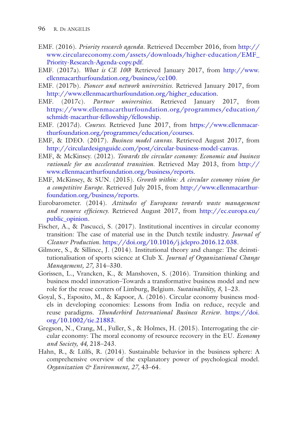- EMF. (2016). *Priority research agenda*. Retrieved December 2016, from [http://](http://www.circulareconomy.com/assets/downloads/higher-education/EMF_Priority-Research-Agenda-copy.pdf) [www.circulareconomy.com/assets/downloads/higher-education/EMF\\_](http://www.circulareconomy.com/assets/downloads/higher-education/EMF_Priority-Research-Agenda-copy.pdf) [Priority-Research-Agenda-copy.pdf.](http://www.circulareconomy.com/assets/downloads/higher-education/EMF_Priority-Research-Agenda-copy.pdf)
- EMF. (2017a). *What is CE 100*? Retrieved January 2017, from [http://www.](http://www.ellenmacarthurfoundation.org/business/ce100) [ellenmacarthurfoundation.org/business/ce100](http://www.ellenmacarthurfoundation.org/business/ce100).
- EMF. (2017b). *Pioneer and network universities*. Retrieved January 2017, from [http://www.ellenmacarthurfoundation.org/higher\\_education](http://www.ellenmacarthurfoundation.org/higher_education).
- EMF. (2017c). *Partner universities*. Retrieved January 2017, from [https://www.ellenmacarthurfoundation.org/programmes/education/](https://www.ellenmacarthurfoundation.org/programmes/education/schmidt-macarthur-fellowship/fellowship) [schmidt-macarthur-fellowship/fellowship](https://www.ellenmacarthurfoundation.org/programmes/education/schmidt-macarthur-fellowship/fellowship).
- EMF. (2017d). *Courses*. Retrieved June 2017, from [https://www.ellenmacar](https://www.ellenmacarthurfoundation.org/programmes/education/courses)[thurfoundation.org/programmes/education/courses](https://www.ellenmacarthurfoundation.org/programmes/education/courses).
- EMF, & IDEO. (2017). *Business model canvas*. Retrieved August 2017, from <http://circulardesignguide.com/post/circular-business-model-canvas>.
- EMF, & McKinsey. (2012). *Towards the circular economy: Economic and business rationale for an accelerated transition*. Retrieved May 2013, from [http://](http://www.ellenmacarthurfoundation.org/business/reports) [www.ellenmacarthurfoundation.org/business/reports.](http://www.ellenmacarthurfoundation.org/business/reports)
- EMF, McKinsey, & SUN. (2015)*. Growth within: A circular economy vision for a competitive Europe.* Retrieved July 2015, from [http://www.ellenmacarthur](http://www.ellenmacarthurfoundation.org/business/reports)[foundation.org/business/reports.](http://www.ellenmacarthurfoundation.org/business/reports)
- Eurobarometer. (2014). *Attitudes of Europeans towards waste management and resource effciency.* Retrieved August 2017, from [http://ec.europa.eu/](http://ec.europa.eu/public_opinion) [public\\_opinion.](http://ec.europa.eu/public_opinion)
- Fischer, A., & Pascucci, S. (2017). Institutional incentives in circular economy transition: The case of material use in the Dutch textile industry. *Journal of Cleaner Production*. [https://doi.org/10.1016/j.jclepro.2016.12.038.](http://dx.doi.org/10.1016/j.jclepro.2016.12.038)
- Gilmore, S., & Sillince, J. (2014). Institutional theory and change: The deinstitutionalisation of sports science at Club X. *Journal of Organizational Change Management, 27,* 314–330.
- Gorissen, L., Vrancken, K., & Manshoven, S. (2016). Transition thinking and business model innovation–Towards a transformative business model and new role for the reuse centers of Limburg, Belgium. *Sustainability, 8,* 1–23.
- Goyal, S., Esposito, M., & Kapoor, A. (2016). Circular economy business models in developing economies: Lessons from India on reduce, recycle and reuse paradigms. *Thunderbird International Business Review*. [https://doi.](http://dx.doi.org/10.1002/tie.21883) [org/10.1002/tie.21883](http://dx.doi.org/10.1002/tie.21883).
- Gregson, N., Crang, M., Fuller, S., & Holmes, H. (2015). Interrogating the circular economy: The moral economy of resource recovery in the EU. *Economy and Society, 44,* 218–243.
- Hahn, R., & Lülfs, R. (2014). Sustainable behavior in the business sphere: A comprehensive overview of the explanatory power of psychological model. *Organization & Environment, 27,* 43–64.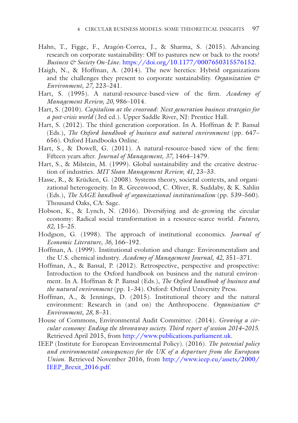- Hahn, T., Figge, F., Aragón-Correa, J., & Sharma, S. (2015). Advancing research on corporate sustainability: Off to pastures new or back to the roots? *Business & Society On-Line*. [https://doi.org/10.1177/0007650315576152.](http://dx.doi.org/10.1177/0007650315576152)
- Haigh, N., & Hoffman, A. (2014). The new heretics: Hybrid organizations and the challenges they present to corporate sustainability. *Organization & Environment, 27,* 223–241.
- Hart, S. (1995). A natural-resource-based-view of the frm. *Academy of Management Review, 20,* 986–1014.
- Hart, S. (2010). *Capitalism at the crossroad: Next generation business strategies for a post-crisis world* (3rd ed.). Upper Saddle River, NJ: Prentice Hall.
- Hart, S. (2012). The third generation corporation. In A. Hoffman & P. Bansal (Eds.), *The Oxford handbook of business and natural environment* (pp. 647– 656). Oxford Handbooks Online.
- Hart, S., & Dowell, G. (2011). A natural-resource-based view of the frm: Fifteen years after. *Journal of Management, 37,* 1464–1479.
- Hart, S., & Milstein, M. (1999). Global sustainability and the creative destruction of industries. *MIT Sloan Management Review, 41,* 23–33.
- Hasse, R., & Krücken, G. (2008). Systems theory, societal contexts, and organizational heterogeneity. In R. Greenwood, C. Oliver, R. Suddaby, & K. Sahlin (Eds.), *The SAGE handbook of organizational institutionalism* (pp. 539–560). Thousand Oaks, CA: Sage.
- Hobson, K., & Lynch, N. (2016). Diversifying and de-growing the circular economy: Radical social transformation in a resource-scarce world. *Futures, 82,* 15–25.
- Hodgson, G. (1998). The approach of institutional economics. *Journal of Economic Literature, 36,* 166–192.
- Hoffman, A. (1999). Institutional evolution and change: Environmentalism and the U.S. chemical industry. *Academy of Management Journal, 42,* 351–371.
- Hoffman, A., & Bansal, P. (2012). Retrospective, perspective and prospective: Introduction to the Oxford handbook on business and the natural environment. In A. Hoffman & P. Bansal (Eds.), *The Oxford handbook of business and the natural environment* (pp. 1–34). Oxford: Oxford University Press.
- Hoffman, A., & Jennings, D. (2015). Institutional theory and the natural environment: Research in (and on) the Anthropocene. *Organization & Environment, 28,* 8–31.
- House of Commons, Environmental Audit Committee. (2014). *Growing a circular economy: Ending the throwaway society. Third report of session 2014–2015*. Retrieved April 2015, from <http://www.publications.parliament.uk>.
- IEEP (Institute for European Environmental Policy). (2016). *The potential policy and environmental consequences for the UK of a departure from the European Union*. Retrieved November 2016, from [http://www.ieep.eu/assets/2000/](http://www.ieep.eu/assets/2000/IEEP_Brexit_2016.pdf) [IEEP\\_Brexit\\_2016.pdf](http://www.ieep.eu/assets/2000/IEEP_Brexit_2016.pdf).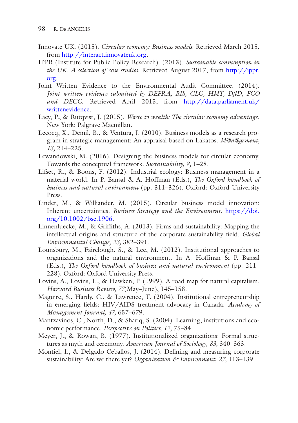- Innovate UK. (2015). *Circular economy: Business models.* Retrieved March 2015, from<http://interact.innovateuk.org>.
- IPPR (Institute for Public Policy Research). (2013). *Sustainable consumption in the UK. A selection of case studies*. Retrieved August 2017, from [http://ippr.](http://ippr.org) [org.](http://ippr.org)
- Joint Written Evidence to the Environmental Audit Committee. (2014). *Joint written evidence submitted by DEFRA, BIS, CLG, HMT, DfD, FCO and DECC.* Retrieved April 2015, from [http://data.parliament.uk/](http://data.parliament.uk/writtenevidence) [writtenevidence](http://data.parliament.uk/writtenevidence).
- Lacy, P., & Rutqvist, J. (2015). *Waste to wealth: The circular economy advantage*. New York: Palgrave Macmillan.
- Lecocq, X., Demil, B., & Ventura, J. (2010). Business models as a research program in strategic management: An appraisal based on Lakatos. *M@n@gement, 13,* 214–225.
- Lewandowski, M. (2016). Designing the business models for circular economy. Towards the conceptual framework. *Sustainability, 8,* 1–28.
- Lifset, R., & Boons, F. (2012). Industrial ecology: Business management in a material world. In P. Bansal & A. Hoffman (Eds.), *The Oxford handbook of business and natural environment* (pp. 311–326). Oxford: Oxford University Press.
- Linder, M., & Williander, M. (2015). Circular business model innovation: Inherent uncertainties. *Business Strategy and the Environment*. [https://doi.](http://dx.doi.org/10.1002/bse.1906) [org/10.1002/bse.1906](http://dx.doi.org/10.1002/bse.1906).
- Linnenluecke, M., & Griffths, A. (2013). Firms and sustainability: Mapping the intellectual origins and structure of the corporate sustainability feld. *Global Environmental Change, 23,* 382–391.
- Lounsbury, M., Fairclough, S., & Lee, M. (2012). Institutional approaches to organizations and the natural environment. In A. Hoffman & P. Bansal (Eds.), *The Oxford handbook of business and natural environment* (pp. 211– 228). Oxford: Oxford University Press.
- Lovins, A., Lovins, L., & Hawken, P. (1999). A road map for natural capitalism. *Harvard Business Review, 77*(May–June), 145–158.
- Maguire, S., Hardy, C., & Lawrence, T. (2004). Institutional entrepreneurship in emerging felds: HIV/AIDS treatment advocacy in Canada. *Academy of Management Journal, 47,* 657–679.
- Mantzavinos, C., North, D., & Shariq, S. (2004). Learning, institutions and economic performance. *Perspective on Politics, 12,* 75–84.
- Meyer, J., & Rowan, B. (1977). Institutionalized organizations: Formal structures as myth and ceremony. *American Journal of Sociology, 83,* 340–363.
- Montiel, I., & Delgado-Ceballos, J. (2014). Defning and measuring corporate sustainability: Are we there yet? *Organization & Environment, 27,* 113–139.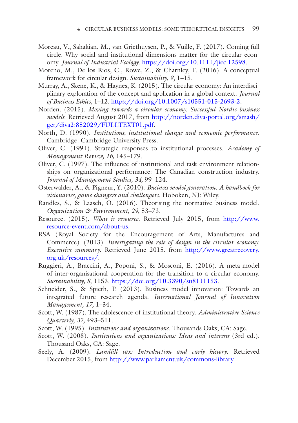- Moreau, V., Sahakian, M., van Griethuysen, P., & Vuille, F. (2017). Coming full circle. Why social and institutional dimensions matter for the circular economy. *Journal of Industrial Ecology*. [https://doi.org/10.1111/jiec.12598](http://dx.doi.org/10.1111/jiec.12598).
- Moreno, M., De los Rios, C., Rowe, Z., & Charnley, F. (2016). A conceptual framework for circular design. *Sustainability, 8,* 1–15.
- Murray, A., Skene, K., & Haynes, K. (2015). The circular economy: An interdisciplinary exploration of the concept and application in a global context. *Journal of Business Ethics,* 1–12. [https://doi.org/10.1007/s10551-015-2693-2](http://dx.doi.org/10.1007/s10551-015-2693-2).
- Norden. (2015). *Moving towards a circular economy. Successful Nordic business models*. Retrieved August 2017, from [http://norden.diva-portal.org/smash/](http://norden.diva-portal.org/smash/get/diva2:852029/FULLTEXT01.pdf) [get/diva2:852029/FULLTEXT01.pdf](http://norden.diva-portal.org/smash/get/diva2:852029/FULLTEXT01.pdf).
- North, D. (1990). *Institutions, institutional change and economic performance*. Cambridge: Cambridge University Press.
- Oliver, C. (1991). Strategic responses to institutional processes. *Academy of Management Review, 16,* 145–179.
- Oliver, C. (1997). The infuence of institutional and task environment relationships on organizational performance: The Canadian construction industry. *Journal of Management Studies, 34,* 99–124.
- Osterwalder, A., & Pigneur, Y. (2010). *Business model generation. A handbook for visionaries, game changers and challengers.* Hoboken, NJ: Wiley.
- Randles, S., & Laasch, O. (2016). Theorising the normative business model. *Organization & Environment, 29,* 53–73.
- Resource. (2015). *What is resource*. Retrieved July 2015, from [http://www.](http://www.resource-event.com/about-us) [resource-event.com/about-us](http://www.resource-event.com/about-us).
- RSA (Royal Society for the Encouragement of Arts, Manufactures and Commerce). (2013). *Investigating the role of design in the circular economy. Executive summary*. Retrieved June 2015, from [http://www.greatrecovery.](http://www.greatrecovery.org.uk/resources/) [org.uk/resources/.](http://www.greatrecovery.org.uk/resources/)
- Ruggieri, A., Braccini, A., Poponi, S., & Mosconi, E. (2016). A meta-model of inter-organisational cooperation for the transition to a circular economy. *Sustainability, 8,* 1153. [https://doi.org/10.3390/su8111153](http://dx.doi.org/10.3390/su8111153).
- Schneider, S., & Spieth, P. (2013). Business model innovation: Towards an integrated future research agenda. *International Journal of Innovation Management, 17,* 1–34.
- Scott, W. (1987). The adolescence of institutional theory. *Administrative Science Quarterly, 32,* 493–511.
- Scott, W. (1995). *Institutions and organizations*. Thousands Oaks; CA: Sage.
- Scott, W. (2008). *Institutions and organizations: Ideas and interests* (3rd ed.). Thousand Oaks, CA: Sage.
- Seely, A. (2009). *Landfll tax: Introduction and early history*. Retrieved December 2015, from<http://www.parliament.uk/commons-library>.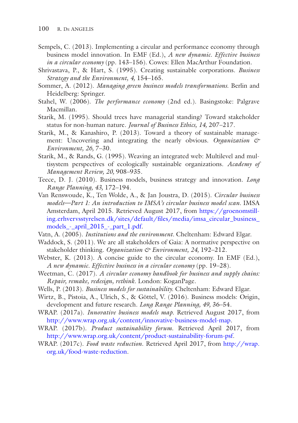- Sempels, C. (2013). Implementing a circular and performance economy through business model innovation. In EMF (Ed.), *A new dynamic. Effective business in a circular economy* (pp. 143–156). Cowes: Ellen MacArthur Foundation.
- Shrivastava, P., & Hart, S. (1995). Creating sustainable corporations. *Business Strategy and the Environment, 4,* 154–165.
- Sommer, A. (2012). *Managing green business models transformations*. Berlin and Heidelberg: Springer.
- Stahel, W. (2006). *The performance economy* (2nd ed.). Basingstoke: Palgrave Macmillan.
- Starik, M. (1995). Should trees have managerial standing? Toward stakeholder status for non-human nature. *Journal of Business Ethics, 14,* 207–217.
- Starik, M., & Kanashiro, P. (2013). Toward a theory of sustainable management: Uncovering and integrating the nearly obvious. *Organization & Environment, 26,* 7–30.
- Starik, M., & Rands, G. (1995). Weaving an integrated web: Multilevel and multisystem perspectives of ecologically sustainable organizations. *Academy of Management Review, 20,* 908–935.
- Teece, D. J. (2010). Business models, business strategy and innovation. *Long Range Planning, 43,* 172–194.
- Van Renswoude, K., Ten Wolde, A., & Jan Joustra, D. (2015). *Circular business models—Part 1: An introduction to IMSA's circular business model scan.* IMSA Amsterdam, April 2015. Retrieved August 2017, from [https://groenomstill](https://groenomstilling.erhvervsstyrelsen.dk/sites/default/files/media/imsa_circular_business_models_-_april_2015_-_part_1.pdf)[ing.erhvervsstyrelsen.dk/sites/default/fles/media/imsa\\_circular\\_business\\_](https://groenomstilling.erhvervsstyrelsen.dk/sites/default/files/media/imsa_circular_business_models_-_april_2015_-_part_1.pdf) models - april 2015 - part 1.pdf.
- Vatn, A. (2005). *Institutions and the environment.* Cheltenham: Edward Elgar.
- Waddock, S. (2011). We are all stakeholders of Gaia: A normative perspective on stakeholder thinking. *Organization & Environment, 24,* 192–212.
- Webster, K. (2013). A concise guide to the circular economy. In EMF (Ed.), *A new dynamic. Effective business in a circular economy* (pp. 19–28).
- Weetman, C. (2017). *A circular economy handbook for business and supply chains: Repair, remake, redesign, rethink*. London: KoganPage.
- Wells, P. (2013). *Business models for sustainability.* Cheltenham: Edward Elgar.
- Wirtz, B., Pistoia, A., Ulrich, S., & Göttel, V. (2016). Business models: Origin, development and future research. *Long Range Planning, 49,* 36–54.
- WRAP. (2017a). *Innovative business models map.* Retrieved August 2017, from [http://www.wrap.org.uk/content/innovative-business-model-map.](http://www.wrap.org.uk/content/innovative-business-model-map)
- WRAP. (2017b). *Product sustainability forum*. Retrieved April 2017, from [http://www.wrap.org.uk/content/product-sustainability-forum-psf.](http://www.wrap.org.uk/content/product-sustainability-forum-psf)
- WRAP. (2017c). *Food waste reduction*. Retrieved April 2017, from [http://wrap.](http://wrap.org.uk/food-waste-reduction) [org.uk/food-waste-reduction.](http://wrap.org.uk/food-waste-reduction)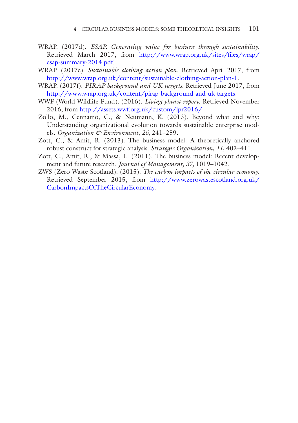- WRAP. (2017d). *ESAP. Generating value for business through sustainability*. Retrieved March 2017, from [http://www.wrap.org.uk/sites/fles/wrap/](http://www.wrap.org.uk/sites/files/wrap/esap-summary-2014.pdf) [esap-summary-2014.pdf](http://www.wrap.org.uk/sites/files/wrap/esap-summary-2014.pdf).
- WRAP. (2017e). *Sustainable clothing action plan*. Retrieved April 2017, from [http://www.wrap.org.uk/content/sustainable-clothing-action-plan-1.](http://www.wrap.org.uk/content/sustainable-clothing-action-plan-1)
- WRAP. (2017f). *PIRAP background and UK targets.* Retrieved June 2017, from <http://www.wrap.org.uk/content/pirap-background-and-uk-targets>.
- WWF (World Wildlife Fund). (2016). *Living planet report*. Retrieved November 2016, from [http://assets.wwf.org.uk/custom/lpr2016/.](http://assets.wwf.org.uk/custom/lpr2016/)
- Zollo, M., Cennamo, C., & Neumann, K. (2013). Beyond what and why: Understanding organizational evolution towards sustainable enterprise models. *Organization & Environment, 26,* 241–259.
- Zott, C., & Amit, R. (2013). The business model: A theoretically anchored robust construct for strategic analysis. *Strategic Organization, 11,* 403–411.
- Zott, C., Amit, R., & Massa, L. (2011). The business model: Recent development and future research. *Journal of Management, 37,* 1019–1042.
- ZWS (Zero Waste Scotland). (2015). *The carbon impacts of the circular economy*. Retrieved September 2015, from [http://www.zerowastescotland.org.uk/](http://www.zerowastescotland.org.uk/CarbonImpactsOfTheCircularEconomy) [CarbonImpactsOfTheCircularEconomy](http://www.zerowastescotland.org.uk/CarbonImpactsOfTheCircularEconomy).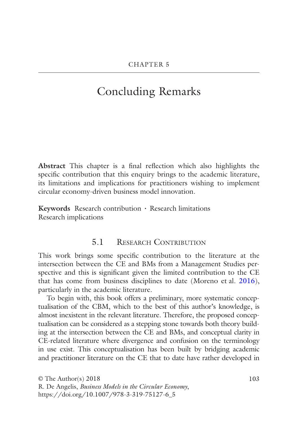# Concluding Remarks

**Abstract** This chapter is a fnal refection which also highlights the specifc contribution that this enquiry brings to the academic literature, its limitations and implications for practitioners wishing to implement circular economy-driven business model innovation.

**Keywords** Research contribution · Research limitations Research implications

## 5.1 **RESEARCH CONTRIBUTION**

This work brings some specifc contribution to the literature at the intersection between the CE and BMs from a Management Studies perspective and this is signifcant given the limited contribution to the CE that has come from business disciplines to date (Moreno et al. 2016), particularly in the academic literature.

To begin with, this book offers a preliminary, more systematic conceptualisation of the CBM, which to the best of this author's knowledge, is almost inexistent in the relevant literature. Therefore, the proposed conceptualisation can be considered as a stepping stone towards both theory building at the intersection between the CE and BMs, and conceptual clarity in CE-related literature where divergence and confusion on the terminology in use exist. This conceptualisation has been built by bridging academic and practitioner literature on the CE that to date have rather developed in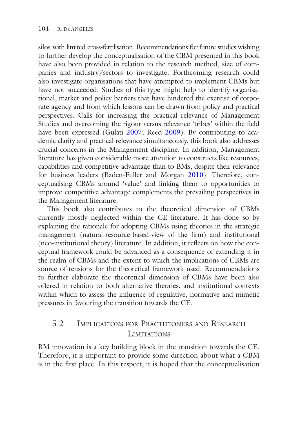silos with limited cross-fertilisation. Recommendations for future studies wishing to further develop the conceptualisation of the CBM presented in this book have also been provided in relation to the research method, size of companies and industry/sectors to investigate. Forthcoming research could also investigate organisations that have attempted to implement CBMs but have not succeeded. Studies of this type might help to identify organisational, market and policy barriers that have hindered the exercise of corporate agency and from which lessons can be drawn from policy and practical perspectives. Calls for increasing the practical relevance of Management Studies and overcoming the rigour versus relevance 'tribes' within the feld have been expressed (Gulati 2007; Reed 2009). By contributing to academic clarity and practical relevance simultaneously, this book also addresses crucial concerns in the Management discipline. In addition, Management literature has given considerable more attention to constructs like resources, capabilities and competitive advantage than to BMs, despite their relevance for business leaders (Baden-Fuller and Morgan 2010). Therefore, conceptualising CBMs around 'value' and linking them to opportunities to improve competitive advantage complements the prevailing perspectives in the Management literature.

This book also contributes to the theoretical dimension of CBMs currently mostly neglected within the CE literature. It has done so by explaining the rationale for adopting CBMs using theories in the strategic management (natural-resource-based-view of the frm) and institutional (neo-institutional theory) literature. In addition, it refects on how the conceptual framework could be advanced as a consequence of extending it in the realm of CBMs and the extent to which the implications of CBMs are source of tensions for the theoretical framework used. Recommendations to further elaborate the theoretical dimension of CBMs have been also offered in relation to both alternative theories, and institutional contexts within which to assess the infuence of regulative, normative and mimetic pressures in favouring the transition towards the CE.

## 5.2 Implications for Practitioners and Research **LIMITATIONS**

BM innovation is a key building block in the transition towards the CE. Therefore, it is important to provide some direction about what a CBM is in the frst place. In this respect, it is hoped that the conceptualisation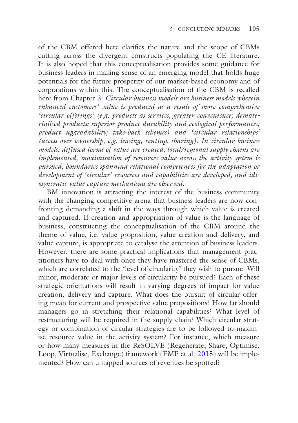of the CBM offered here clarifes the nature and the scope of CBMs cutting across the divergent constructs populating the CE literature. It is also hoped that this conceptualisation provides some guidance for business leaders in making sense of an emerging model that holds huge potentials for the future prosperity of our market-based economy and of corporations within this. The conceptualisation of the CBM is recalled here from Chapter [3](http://dx.doi.org/10.1007/978-3-319-75127-6_3): *Circular business models are business models wherein enhanced customers' value is produced as a result of more comprehensive 'circular offerings' (e.g. products as services; greater convenience; dematerialised products; superior product durability and ecological performances; product upgradability; take*-*back schemes) and 'circular relationships' (access over ownership, e.g. leasing, renting, sharing). In circular business models*, *diffused forms of value are created, local/regional supply chains are implemented, maximisation of resources value across the activity system is pursued, boundaries spanning relational competences for the adaptation or development of 'circular' resources and capabilities are developed, and idiosyncratic value capture mechanisms are observed.*

BM innovation is attracting the interest of the business community with the changing competitive arena that business leaders are now confronting demanding a shift in the ways through which value is created and captured. If creation and appropriation of value is the language of business, constructing the conceptualisation of the CBM around the theme of value, i.e. value proposition, value creation and delivery, and value capture, is appropriate to catalyse the attention of business leaders. However, there are some practical implications that management practitioners have to deal with once they have mastered the sense of CBMs, which are correlated to the 'level of circularity' they wish to pursue. Will minor, moderate or major levels of circularity be pursued? Each of these strategic orientations will result in varying degrees of impact for value creation, delivery and capture. What does the pursuit of circular offering mean for current and prospective value propositions? How far should managers go in stretching their relational capabilities? What level of restructuring will be required in the supply chain? Which circular strategy or combination of circular strategies are to be followed to maximise resource value in the activity system? For instance, which measure or how many measures in the ReSOLVE (Regenerate, Share, Optimise, Loop, Virtualise, Exchange) framework (EMF et al. 2015) will be implemented? How can untapped sources of revenues be spotted?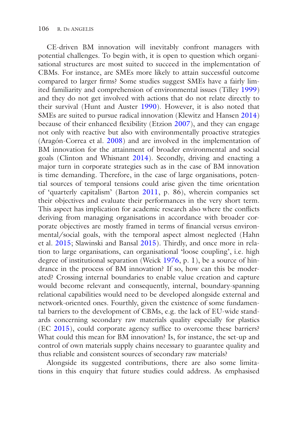CE-driven BM innovation will inevitably confront managers with potential challenges. To begin with, it is open to question which organisational structures are most suited to succeed in the implementation of CBMs. For instance, are SMEs more likely to attain successful outcome compared to larger frms? Some studies suggest SMEs have a fairly limited familiarity and comprehension of environmental issues (Tilley 1999) and they do not get involved with actions that do not relate directly to their survival (Hunt and Auster 1990). However, it is also noted that SMEs are suited to pursue radical innovation (Klewitz and Hansen 2014) because of their enhanced fexibility (Etzion 2007), and they can engage not only with reactive but also with environmentally proactive strategies (Aragón-Correa et al. 2008) and are involved in the implementation of BM innovation for the attainment of broader environmental and social goals (Clinton and Whisnant 2014). Secondly, driving and enacting a major turn in corporate strategies such as in the case of BM innovation is time demanding. Therefore, in the case of large organisations, potential sources of temporal tensions could arise given the time orientation of 'quarterly capitalism' (Barton 2011, p. 86), wherein companies set their objectives and evaluate their performances in the very short term. This aspect has implication for academic research also where the conficts deriving from managing organisations in accordance with broader corporate objectives are mostly framed in terms of fnancial versus environmental/social goals, with the temporal aspect almost neglected (Hahn et al. 2015; Slawinski and Bansal 2015). Thirdly, and once more in relation to large organisations, can organisational 'loose coupling', i.e. high degree of institutional separation (Weick 1976, p. 1), be a source of hindrance in the process of BM innovation? If so, how can this be moderated? Crossing internal boundaries to enable value creation and capture would become relevant and consequently, internal, boundary-spanning relational capabilities would need to be developed alongside external and network-oriented ones. Fourthly, given the existence of some fundamental barriers to the development of CBMs, e.g. the lack of EU-wide standards concerning secondary raw materials quality especially for plastics (EC 2015), could corporate agency suffice to overcome these barriers? What could this mean for BM innovation? Is, for instance, the set-up and control of own materials supply chains necessary to guarantee quality and thus reliable and consistent sources of secondary raw materials?

Alongside its suggested contributions, there are also some limitations in this enquiry that future studies could address. As emphasised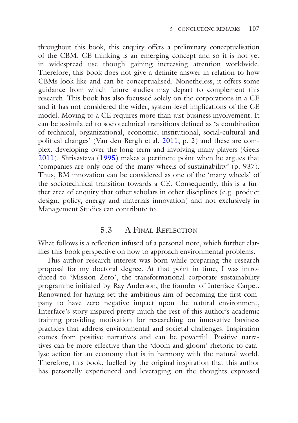throughout this book, this enquiry offers a preliminary conceptualisation of the CBM. CE thinking is an emerging concept and so it is not yet in widespread use though gaining increasing attention worldwide. Therefore, this book does not give a defnite answer in relation to how CBMs look like and can be conceptualised. Nonetheless, it offers some guidance from which future studies may depart to complement this research. This book has also focussed solely on the corporations in a CE and it has not considered the wider, system-level implications of the CE model. Moving to a CE requires more than just business involvement. It can be assimilated to sociotechnical transitions defned as 'a combination of technical, organizational, economic, institutional, social-cultural and political changes' (Van den Bergh et al. 2011, p. 2) and these are complex, developing over the long term and involving many players (Geels 2011). Shrivastava (1995) makes a pertinent point when he argues that 'companies are only one of the many wheels of sustainability' (p. 937). Thus, BM innovation can be considered as one of the 'many wheels' of the sociotechnical transition towards a CE. Consequently, this is a further area of enquiry that other scholars in other disciplines (e.g. product design, policy, energy and materials innovation) and not exclusively in Management Studies can contribute to.

## 5.3 A Final Reflection

What follows is a refection infused of a personal note, which further clarifes this book perspective on how to approach environmental problems.

This author research interest was born while preparing the research proposal for my doctoral degree. At that point in time, I was introduced to 'Mission Zero', the transformational corporate sustainability programme initiated by Ray Anderson, the founder of Interface Carpet. Renowned for having set the ambitious aim of becoming the frst company to have zero negative impact upon the natural environment, Interface's story inspired pretty much the rest of this author's academic training providing motivation for researching on innovative business practices that address environmental and societal challenges. Inspiration comes from positive narratives and can be powerful. Positive narratives can be more effective than the 'doom and gloom' rhetoric to catalyse action for an economy that is in harmony with the natural world. Therefore, this book, fuelled by the original inspiration that this author has personally experienced and leveraging on the thoughts expressed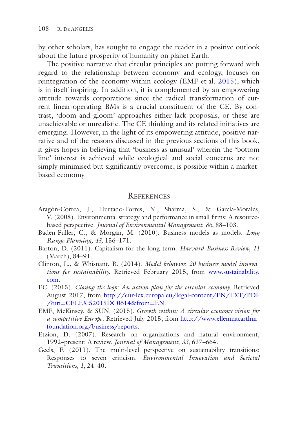by other scholars, has sought to engage the reader in a positive outlook about the future prosperity of humanity on planet Earth.

The positive narrative that circular principles are putting forward with regard to the relationship between economy and ecology, focuses on reintegration of the economy within ecology (EMF et al. 2015), which is in itself inspiring. In addition, it is complemented by an empowering attitude towards corporations since the radical transformation of current linear-operating BMs is a crucial constituent of the CE. By contrast, 'doom and gloom' approaches either lack proposals, or these are unachievable or unrealistic. The CE thinking and its related initiatives are emerging. However, in the light of its empowering attitude, positive narrative and of the reasons discussed in the previous sections of this book, it gives hopes in believing that 'business as unusual' wherein the 'bottom line' interest is achieved while ecological and social concerns are not simply minimised but signifcantly overcome, is possible within a marketbased economy.

#### **REFERENCES**

- Aragón-Correa, J., Hurtado-Torres, N., Sharma, S., & García-Morales, V. (2008). Environmental strategy and performance in small frms: A resourcebased perspective. *Journal of Environmental Management, 86,* 88–103.
- Baden-Fuller, C., & Morgan, M. (2010). Business models as models. *Long Range Planning, 43,* 156–171.
- Barton, D. (2011). Capitalism for the long term. *Harvard Business Review, 11*  (March), 84–91.
- Clinton, L., & Whisnant, R. (2014). *Model behavior. 20 business model innovations for sustainability.* Retrieved February 2015, from [www.sustainability.](http://www.sustainability.com) [com](http://www.sustainability.com).
- EC. (2015). *Closing the loop: An action plan for the circular economy.* Retrieved August 2017, from [http://eur-lex.europa.eu/legal-content/EN/TXT/PDF](http://eur-lex.europa.eu/legal-content/EN/TXT/PDF/%3furi%3dCELEX:52015DC0614%26from%3dEN) /?uri=[CELEX:52015DC0614&from](http://eur-lex.europa.eu/legal-content/EN/TXT/PDF/%3furi%3dCELEX:52015DC0614%26from%3dEN)=EN.
- EMF, McKinsey, & SUN. (2015)*. Growth within: A circular economy vision for a competitive Europe.* Retrieved July 2015, from [http://www.ellenmacarthur](http://www.ellenmacarthurfoundation.org/business/reports)[foundation.org/business/reports.](http://www.ellenmacarthurfoundation.org/business/reports)
- Etzion, D. (2007). Research on organizations and natural environment, 1992–present: A review. *Journal of Management, 33,* 637–664.
- Geels, F. (2011). The multi-level perspective on sustainability transitions: Responses to seven criticism. *Environmental Innovation and Societal Transitions, 1,* 24–40.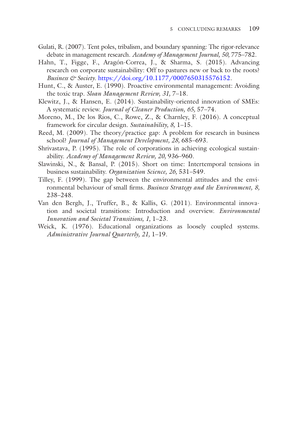- Gulati, R. (2007). Tent poles, tribalism, and boundary spanning: The rigor-relevance debate in management research. *Academy of Management Journal, 50,* 775–782.
- Hahn, T., Figge, F., Aragón-Correa, J., & Sharma, S. (2015). Advancing research on corporate sustainability: Off to pastures new or back to the roots? *Business & Society*. [https://doi.org/10.1177/0007650315576152](http://dx.doi.org/10.1177/0007650315576152).
- Hunt, C., & Auster, E. (1990). Proactive environmental management: Avoiding the toxic trap. *Sloan Management Review, 31,* 7–18.
- Klewitz, J., & Hansen, E. (2014). Sustainability-oriented innovation of SMEs: A systematic review. *Journal of Cleaner Production, 65,* 57–74.
- Moreno, M., De los Rios, C., Rowe, Z., & Charnley, F. (2016). A conceptual framework for circular design. *Sustainability, 8,* 1–15.
- Reed, M. (2009). The theory/practice gap: A problem for research in business school? *Journal of Management Development, 28,* 685–693.
- Shrivastava, P. (1995). The role of corporations in achieving ecological sustainability. *Academy of Management Review, 20,* 936–960.
- Slawinski, N., & Bansal, P. (2015). Short on time: Intertemporal tensions in business sustainability. *Organization Science, 26,* 531–549.
- Tilley, F. (1999). The gap between the environmental attitudes and the environmental behaviour of small frms. *Business Strategy and the Environment, 8,* 238–248.
- Van den Bergh, J., Truffer, B., & Kallis, G. (2011). Environmental innovation and societal transitions: Introduction and overview. *Environmental Innovation and Societal Transitions, 1,* 1–23.
- Weick, K. (1976). Educational organizations as loosely coupled systems. *Administrative Journal Quarterly, 21,* 1–19.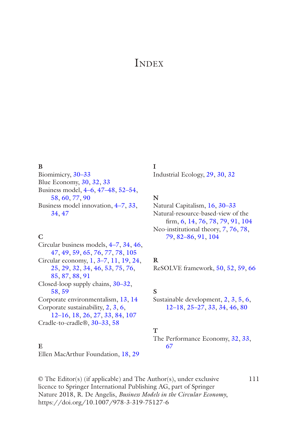## **INDEX**

#### **B**

Biomimicry, 30–33 Blue Economy, 30, 32, 33 Business model, [4–6](#page-18-0), 47–48, 52–54, 58, 60, 77, 90 Business model innovation, [4–7,](#page-18-0) 33, 34, 47

#### **C**

Circular business models, [4–7](#page-18-0), 34, 46, 47, 49, 59, 65, 76, 77, 78, 105 Circular economy, [1](#page-15-0), [3–7](#page-17-0), 11, 19, 24, 25, 29, 32, 34, 46, 53, 75, 76, 85, 87, 88, 91 Closed-loop supply chains, 30–32, 58, 59 Corporate environmentalism, 13, 14 Corporate sustainability, [2](#page-16-0), [3](#page-17-0), [6](#page-20-0), 12–16, 18, 26, 27, 33, 84, 107 Cradle-to-cradle®, 30–33, 58

#### **E**

Ellen MacArthur Foundation, 18, 29

#### **I**

Industrial Ecology, 29, 30, 32

### **N**

Natural Capitalism, 16, 30–33 Natural-resource-based-view of the frm, [6,](#page-20-0) 14, 76, 78, 79, 91, 104 Neo-institutional theory, [7](#page-21-0), 76, 78, 79, 82–86, 91, 104

## **R**

ReSOLVE framework, 50, 52, 59, 66

#### **S**

Sustainable development, [2,](#page-16-0) [3,](#page-17-0) [5,](#page-19-0) [6,](#page-20-0) 12–18, 25–27, 33, 34, 46, 80

#### **T**

The Performance Economy, 32, 33, 67

© The Editor(s) (if applicable) and The Author(s), under exclusive 111 licence to Springer International Publishing AG, part of Springer Nature 2018, R. De Angelis, *Business Models in the Circular Economy*, https://doi.org/10.1007/978-3-319-75127-6